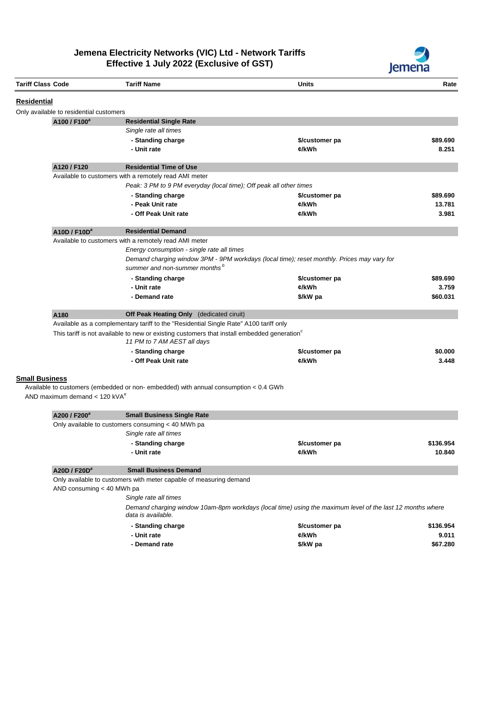

| <b>Tariff Class Code</b> |                                           | <b>Tariff Name</b>                                                                                                                     | Units                                                                                                     | Rate      |
|--------------------------|-------------------------------------------|----------------------------------------------------------------------------------------------------------------------------------------|-----------------------------------------------------------------------------------------------------------|-----------|
| Residential              |                                           |                                                                                                                                        |                                                                                                           |           |
|                          | Only available to residential customers   |                                                                                                                                        |                                                                                                           |           |
|                          | A100 / F100 <sup>ª</sup>                  | <b>Residential Single Rate</b>                                                                                                         |                                                                                                           |           |
|                          |                                           | Single rate all times                                                                                                                  |                                                                                                           |           |
|                          |                                           | - Standing charge                                                                                                                      | \$/customer pa                                                                                            | \$89,690  |
|                          |                                           | - Unit rate                                                                                                                            | ¢/kWh                                                                                                     | 8.251     |
|                          | A120 / F120                               | <b>Residential Time of Use</b>                                                                                                         |                                                                                                           |           |
|                          |                                           | Available to customers with a remotely read AMI meter                                                                                  |                                                                                                           |           |
|                          |                                           | Peak: 3 PM to 9 PM everyday (local time); Off peak all other times                                                                     |                                                                                                           |           |
|                          |                                           | - Standing charge                                                                                                                      | \$/customer pa                                                                                            | \$89.690  |
|                          |                                           | - Peak Unit rate                                                                                                                       | ¢/kWh                                                                                                     | 13.781    |
|                          |                                           | - Off Peak Unit rate                                                                                                                   | ¢/kWh                                                                                                     | 3.981     |
|                          | A10D / F10D <sup>a</sup>                  | <b>Residential Demand</b>                                                                                                              |                                                                                                           |           |
|                          |                                           | Available to customers with a remotely read AMI meter                                                                                  |                                                                                                           |           |
|                          |                                           | Energy consumption - single rate all times                                                                                             | Demand charging window 3PM - 9PM workdays (local time); reset monthly. Prices may vary for                |           |
|                          |                                           | summer and non-summer months <sup>b</sup>                                                                                              |                                                                                                           |           |
|                          |                                           | - Standing charge                                                                                                                      | \$/customer pa                                                                                            | \$89.690  |
|                          |                                           | - Unit rate                                                                                                                            | ¢/kWh                                                                                                     | 3.759     |
|                          |                                           | - Demand rate                                                                                                                          | \$/kW pa                                                                                                  | \$60.031  |
|                          | A180                                      | Off Peak Heating Only (dedicated ciruit)                                                                                               |                                                                                                           |           |
|                          |                                           | Available as a complementary tariff to the "Residential Single Rate" A100 tariff only                                                  |                                                                                                           |           |
|                          |                                           | This tariff is not available to new or existing customers that install embedded generation <sup>c</sup><br>11 PM to 7 AM AEST all days |                                                                                                           |           |
|                          |                                           | - Standing charge                                                                                                                      | \$/customer pa                                                                                            | \$0.000   |
|                          |                                           | - Off Peak Unit rate                                                                                                                   | ¢/kWh                                                                                                     | 3.448     |
| <b>Small Business</b>    |                                           |                                                                                                                                        |                                                                                                           |           |
|                          | AND maximum demand $<$ 120 kVA $^{\circ}$ | Available to customers (embedded or non-embedded) with annual consumption < 0.4 GWh                                                    |                                                                                                           |           |
|                          |                                           |                                                                                                                                        |                                                                                                           |           |
|                          | A200 / F200 <sup>ª</sup>                  | <b>Small Business Single Rate</b>                                                                                                      |                                                                                                           |           |
|                          |                                           | Only available to customers consuming < 40 MWh pa                                                                                      |                                                                                                           |           |
|                          |                                           | Single rate all times                                                                                                                  |                                                                                                           |           |
|                          |                                           | - Standing charge                                                                                                                      | \$/customer pa                                                                                            | \$136.954 |
|                          |                                           | - Unit rate                                                                                                                            | ¢/kWh                                                                                                     | 10.840    |
|                          | A20D / F20D <sup>a</sup>                  | <b>Small Business Demand</b>                                                                                                           |                                                                                                           |           |
|                          |                                           | Only available to customers with meter capable of measuring demand                                                                     |                                                                                                           |           |
|                          | AND consuming < 40 MWh pa                 |                                                                                                                                        |                                                                                                           |           |
|                          |                                           | Single rate all times                                                                                                                  |                                                                                                           |           |
|                          |                                           | data is available.                                                                                                                     | Demand charging window 10am-8pm workdays (local time) using the maximum level of the last 12 months where |           |
|                          |                                           | - Standing charge                                                                                                                      | \$/customer pa                                                                                            | \$136.954 |
|                          |                                           | - Unit rate                                                                                                                            | ¢/kWh                                                                                                     | 9.011     |
|                          |                                           | - Demand rate                                                                                                                          | \$/kW pa                                                                                                  | \$67.280  |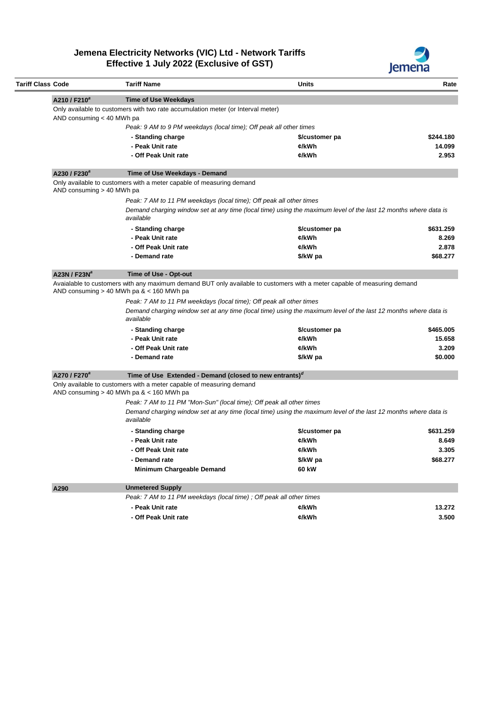

|                                                                                                                                                                                                                                                                                                                                                                | <b>Tariff Name</b>                                                                                                                                                                  | <b>Units</b>                                                                                                    | Rate                                    |
|----------------------------------------------------------------------------------------------------------------------------------------------------------------------------------------------------------------------------------------------------------------------------------------------------------------------------------------------------------------|-------------------------------------------------------------------------------------------------------------------------------------------------------------------------------------|-----------------------------------------------------------------------------------------------------------------|-----------------------------------------|
| A210 / F210 <sup>ª</sup>                                                                                                                                                                                                                                                                                                                                       | <b>Time of Use Weekdays</b>                                                                                                                                                         |                                                                                                                 |                                         |
|                                                                                                                                                                                                                                                                                                                                                                | Only available to customers with two rate accumulation meter (or Interval meter)                                                                                                    |                                                                                                                 |                                         |
| AND consuming $<$ 40 MWh pa                                                                                                                                                                                                                                                                                                                                    |                                                                                                                                                                                     |                                                                                                                 |                                         |
|                                                                                                                                                                                                                                                                                                                                                                | Peak: 9 AM to 9 PM weekdays (local time); Off peak all other times                                                                                                                  |                                                                                                                 |                                         |
|                                                                                                                                                                                                                                                                                                                                                                | - Standing charge                                                                                                                                                                   | \$/customer pa                                                                                                  | \$244.180                               |
|                                                                                                                                                                                                                                                                                                                                                                | - Peak Unit rate                                                                                                                                                                    | ¢/kWh                                                                                                           | 14.099                                  |
|                                                                                                                                                                                                                                                                                                                                                                | - Off Peak Unit rate                                                                                                                                                                | ¢/kWh                                                                                                           | 2.953                                   |
| A230 / F230 <sup>a</sup>                                                                                                                                                                                                                                                                                                                                       | Time of Use Weekdays - Demand                                                                                                                                                       |                                                                                                                 |                                         |
| AND consuming > 40 MWh pa                                                                                                                                                                                                                                                                                                                                      | Only available to customers with a meter capable of measuring demand                                                                                                                |                                                                                                                 |                                         |
|                                                                                                                                                                                                                                                                                                                                                                | Peak: 7 AM to 11 PM weekdays (local time); Off peak all other times                                                                                                                 |                                                                                                                 |                                         |
|                                                                                                                                                                                                                                                                                                                                                                | available                                                                                                                                                                           | Demand charging window set at any time (local time) using the maximum level of the last 12 months where data is |                                         |
|                                                                                                                                                                                                                                                                                                                                                                | - Standing charge                                                                                                                                                                   | \$/customer pa                                                                                                  | \$631.259                               |
|                                                                                                                                                                                                                                                                                                                                                                | - Peak Unit rate                                                                                                                                                                    | ¢/kWh                                                                                                           | 8.269                                   |
|                                                                                                                                                                                                                                                                                                                                                                | - Off Peak Unit rate                                                                                                                                                                | ¢/kWh                                                                                                           | 2.878                                   |
|                                                                                                                                                                                                                                                                                                                                                                | - Demand rate                                                                                                                                                                       | \$/kW pa                                                                                                        | \$68.277                                |
| A23N / F23N <sup>a</sup>                                                                                                                                                                                                                                                                                                                                       | Time of Use - Opt-out                                                                                                                                                               |                                                                                                                 |                                         |
| Avaialable to customers with any maximum demand BUT only available to customers with a meter capable of measuring demand<br>AND consuming > 40 MWh pa & < 160 MWh pa<br>Peak: 7 AM to 11 PM weekdays (local time); Off peak all other times<br>Demand charging window set at any time (local time) using the maximum level of the last 12 months where data is |                                                                                                                                                                                     |                                                                                                                 |                                         |
|                                                                                                                                                                                                                                                                                                                                                                |                                                                                                                                                                                     |                                                                                                                 |                                         |
|                                                                                                                                                                                                                                                                                                                                                                | available                                                                                                                                                                           |                                                                                                                 |                                         |
|                                                                                                                                                                                                                                                                                                                                                                | - Standing charge                                                                                                                                                                   | \$/customer pa                                                                                                  |                                         |
|                                                                                                                                                                                                                                                                                                                                                                | - Peak Unit rate                                                                                                                                                                    | ¢/kWh                                                                                                           |                                         |
|                                                                                                                                                                                                                                                                                                                                                                | - Off Peak Unit rate<br>- Demand rate                                                                                                                                               | ¢/kWh<br>\$/kW pa                                                                                               |                                         |
|                                                                                                                                                                                                                                                                                                                                                                |                                                                                                                                                                                     |                                                                                                                 |                                         |
|                                                                                                                                                                                                                                                                                                                                                                | Time of Use Extended - Demand (closed to new entrants) $\sigma$<br>Only available to customers with a meter capable of measuring demand<br>AND consuming > 40 MWh pa & < 160 MWh pa |                                                                                                                 |                                         |
| A270 / F270 <sup>ª</sup>                                                                                                                                                                                                                                                                                                                                       | Peak: 7 AM to 11 PM "Mon-Sun" (local time); Off peak all other times                                                                                                                |                                                                                                                 | \$465.005<br>15.658<br>3.209<br>\$0.000 |
|                                                                                                                                                                                                                                                                                                                                                                | available                                                                                                                                                                           | Demand charging window set at any time (local time) using the maximum level of the last 12 months where data is |                                         |
|                                                                                                                                                                                                                                                                                                                                                                | - Standing charge                                                                                                                                                                   | \$/customer pa                                                                                                  |                                         |
|                                                                                                                                                                                                                                                                                                                                                                | - Peak Unit rate                                                                                                                                                                    | ¢/kWh                                                                                                           |                                         |
|                                                                                                                                                                                                                                                                                                                                                                | - Off Peak Unit rate                                                                                                                                                                | ¢/kWh                                                                                                           |                                         |
|                                                                                                                                                                                                                                                                                                                                                                | - Demand rate                                                                                                                                                                       | \$/kW pa                                                                                                        |                                         |
|                                                                                                                                                                                                                                                                                                                                                                | Minimum Chargeable Demand                                                                                                                                                           | 60 kW                                                                                                           |                                         |
| A290                                                                                                                                                                                                                                                                                                                                                           | <b>Unmetered Supply</b>                                                                                                                                                             |                                                                                                                 | \$631.259<br>8.649<br>3.305<br>\$68.277 |
|                                                                                                                                                                                                                                                                                                                                                                | Peak: 7 AM to 11 PM weekdays (local time); Off peak all other times                                                                                                                 |                                                                                                                 |                                         |
|                                                                                                                                                                                                                                                                                                                                                                | - Peak Unit rate                                                                                                                                                                    | ¢/kWh                                                                                                           | 13.272                                  |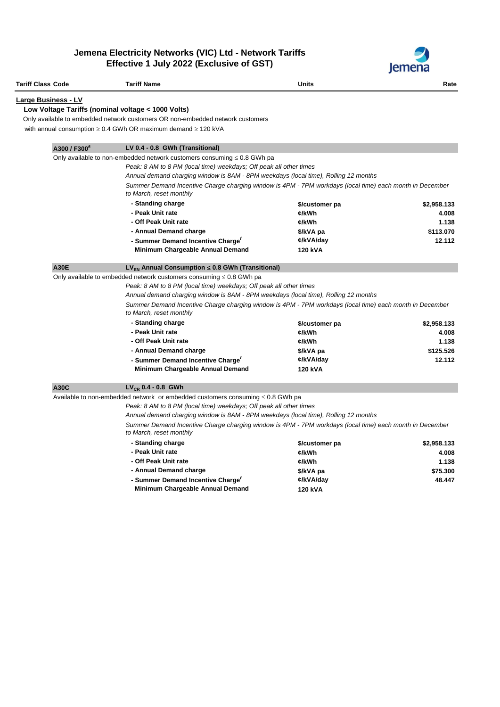

| <b>Tariff Class Code</b> | <b>Tariff Name</b>                                                                                                                  | <b>Units</b>   | Rate        |  |  |  |
|--------------------------|-------------------------------------------------------------------------------------------------------------------------------------|----------------|-------------|--|--|--|
| Large Business - LV      |                                                                                                                                     |                |             |  |  |  |
|                          | Low Voltage Tariffs (nominal voltage < 1000 Volts)                                                                                  |                |             |  |  |  |
|                          | Only available to embedded network customers OR non-embedded network customers                                                      |                |             |  |  |  |
|                          | with annual consumption $\geq 0.4$ GWh OR maximum demand $\geq 120$ kVA                                                             |                |             |  |  |  |
| A300 / F300 <sup>a</sup> | LV 0.4 - 0.8 GWh (Transitional)                                                                                                     |                |             |  |  |  |
|                          | Only available to non-embedded network customers consuming $\leq 0.8$ GWh pa                                                        |                |             |  |  |  |
|                          | Peak: 8 AM to 8 PM (local time) weekdays; Off peak all other times                                                                  |                |             |  |  |  |
|                          | Annual demand charging window is 8AM - 8PM weekdays (local time), Rolling 12 months                                                 |                |             |  |  |  |
|                          | Summer Demand Incentive Charge charging window is 4PM - 7PM workdays (local time) each month in December<br>to March, reset monthly |                |             |  |  |  |
|                          | - Standing charge                                                                                                                   | \$/customer pa | \$2,958.133 |  |  |  |
|                          | - Peak Unit rate                                                                                                                    | ¢/kWh          | 4.008       |  |  |  |
|                          | - Off Peak Unit rate                                                                                                                | ¢/kWh          | 1.138       |  |  |  |
|                          | - Annual Demand charge                                                                                                              | \$/kVA pa      | \$113.070   |  |  |  |
|                          | - Summer Demand Incentive Charge'                                                                                                   | ¢/kVA/day      | 12.112      |  |  |  |
|                          | Minimum Chargeable Annual Demand                                                                                                    | 120 KVA        |             |  |  |  |
| <b>A30E</b>              | $LV_{EN}$ Annual Consumption $\leq$ 0.8 GWh (Transitional)                                                                          |                |             |  |  |  |
|                          | Only available to embedded network customers consuming $\leq 0.8$ GWh pa                                                            |                |             |  |  |  |
|                          | Peak: 8 AM to 8 PM (local time) weekdays; Off peak all other times                                                                  |                |             |  |  |  |
|                          | Annual demand charging window is 8AM - 8PM weekdays (local time), Rolling 12 months                                                 |                |             |  |  |  |
|                          | Summer Demand Incentive Charge charging window is 4PM - 7PM workdays (local time) each month in December<br>to March, reset monthly |                |             |  |  |  |
|                          | - Standing charge                                                                                                                   | \$/customer pa | \$2,958.133 |  |  |  |
|                          | - Peak Unit rate                                                                                                                    | ¢/kWh          | 4.008       |  |  |  |
|                          | - Off Peak Unit rate                                                                                                                | ¢/kWh          | 1.138       |  |  |  |
|                          | - Annual Demand charge                                                                                                              | \$/kVA pa      | \$125.526   |  |  |  |
|                          | - Summer Demand Incentive Charge'                                                                                                   | ¢/kVA/day      | 12.112      |  |  |  |
|                          | Minimum Chargeable Annual Demand                                                                                                    | <b>120 kVA</b> |             |  |  |  |
| A30C                     | $LV_{CR}$ 0.4 - 0.8 GWh                                                                                                             |                |             |  |  |  |
|                          | Available to non-embedded network or embedded customers consuming $\leq 0.8$ GWh pa                                                 |                |             |  |  |  |
|                          | Peak: 8 AM to 8 PM (local time) weekdays; Off peak all other times                                                                  |                |             |  |  |  |
|                          | Annual demand charging window is 8AM - 8PM weekdays (local time), Rolling 12 months                                                 |                |             |  |  |  |
|                          | Summer Demand Incentive Charge charging window is 4PM - 7PM workdays (local time) each month in December<br>to March, reset monthly |                |             |  |  |  |
|                          | - Standing charge                                                                                                                   | \$/customer pa | \$2,958.133 |  |  |  |
|                          | - Peak Unit rate                                                                                                                    | ¢/kWh          | 4.008       |  |  |  |
|                          | - Off Peak Unit rate                                                                                                                | ¢/kWh          | 1.138       |  |  |  |
|                          | - Annual Demand charge                                                                                                              | \$/kVA pa      | \$75.300    |  |  |  |
|                          | - Summer Demand Incentive Charge'                                                                                                   | ¢/kVA/day      | 48.447      |  |  |  |
|                          | Minimum Chargeable Annual Demand                                                                                                    | 120 kVA        |             |  |  |  |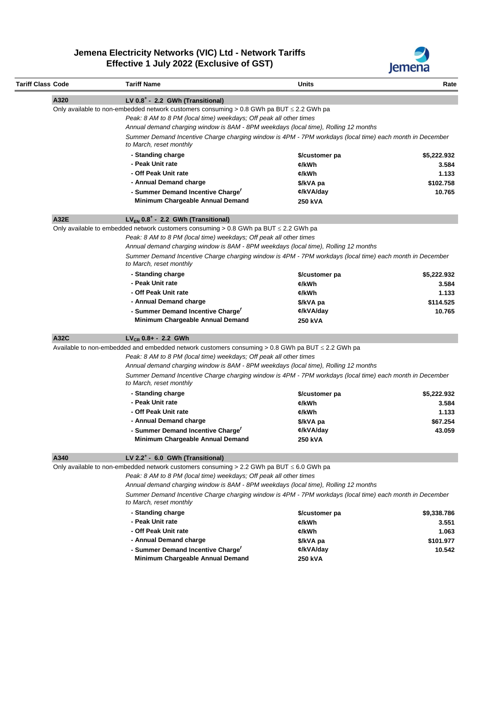

| <b>Tariff Class Code</b> | <b>Tariff Name</b>                                                                                                                  | Units                  | Rate        |  |  |
|--------------------------|-------------------------------------------------------------------------------------------------------------------------------------|------------------------|-------------|--|--|
| A320                     | LV 0.8 <sup>+</sup> - 2.2 GWh (Transitional)                                                                                        |                        |             |  |  |
|                          | Only available to non-embedded network customers consuming $> 0.8$ GWh pa BUT $\leq$ 2.2 GWh pa                                     |                        |             |  |  |
|                          | Peak: 8 AM to 8 PM (local time) weekdays; Off peak all other times                                                                  |                        |             |  |  |
|                          | Annual demand charging window is 8AM - 8PM weekdays (local time), Rolling 12 months                                                 |                        |             |  |  |
|                          | Summer Demand Incentive Charge charging window is 4PM - 7PM workdays (local time) each month in December<br>to March, reset monthly |                        |             |  |  |
|                          | - Standing charge                                                                                                                   | \$/customer pa         | \$5,222.932 |  |  |
|                          | - Peak Unit rate                                                                                                                    | ¢/kWh                  | 3.584       |  |  |
|                          | - Off Peak Unit rate                                                                                                                | ¢/kWh                  | 1.133       |  |  |
|                          | - Annual Demand charge                                                                                                              | \$/kVA pa              | \$102.758   |  |  |
|                          | - Summer Demand Incentive Charge'                                                                                                   | ¢/kVA/day              | 10.765      |  |  |
|                          | Minimum Chargeable Annual Demand                                                                                                    | 250 kVA                |             |  |  |
| A32E                     | $LV_{EN}$ 0.8 <sup>+</sup> - 2.2 GWh (Transitional)                                                                                 |                        |             |  |  |
|                          | Only available to embedded network customers consuming $> 0.8$ GWh pa BUT $\leq 2.2$ GWh pa                                         |                        |             |  |  |
|                          | Peak: 8 AM to 8 PM (local time) weekdays; Off peak all other times                                                                  |                        |             |  |  |
|                          | Annual demand charging window is 8AM - 8PM weekdays (local time), Rolling 12 months                                                 |                        |             |  |  |
|                          | Summer Demand Incentive Charge charging window is 4PM - 7PM workdays (local time) each month in December                            |                        |             |  |  |
|                          | to March, reset monthly                                                                                                             |                        |             |  |  |
|                          | - Standing charge                                                                                                                   | \$/customer pa         | \$5,222.932 |  |  |
|                          | - Peak Unit rate                                                                                                                    | ¢/kWh                  | 3.584       |  |  |
|                          | - Off Peak Unit rate                                                                                                                | ¢/kWh                  | 1.133       |  |  |
|                          | - Annual Demand charge                                                                                                              | \$/kVA pa              | \$114.525   |  |  |
|                          | - Summer Demand Incentive Charge <sup>f</sup>                                                                                       | ¢/kVA/day              | 10.765      |  |  |
|                          | Minimum Chargeable Annual Demand                                                                                                    | <b>250 kVA</b>         |             |  |  |
| A32C                     | $LV_{CR}$ 0.8+ - 2.2 GWh                                                                                                            |                        |             |  |  |
|                          | Available to non-embedded and embedded network customers consuming > 0.8 GWh pa BUT $\leq$ 2.2 GWh pa                               |                        |             |  |  |
|                          | Peak: 8 AM to 8 PM (local time) weekdays; Off peak all other times                                                                  |                        |             |  |  |
|                          | Annual demand charging window is 8AM - 8PM weekdays (local time), Rolling 12 months                                                 |                        |             |  |  |
|                          | Summer Demand Incentive Charge charging window is 4PM - 7PM workdays (local time) each month in December<br>to March, reset monthly |                        |             |  |  |
|                          | - Standing charge                                                                                                                   | \$/customer pa         | \$5,222.932 |  |  |
|                          | - Peak Unit rate                                                                                                                    | ¢/kWh                  | 3.584       |  |  |
|                          | - Off Peak Unit rate                                                                                                                | ¢/kWh                  | 1.133       |  |  |
|                          | - Annual Demand charge                                                                                                              |                        |             |  |  |
|                          |                                                                                                                                     | \$/kVA pa              | \$67.254    |  |  |
|                          | - Summer Demand Incentive Charge'                                                                                                   | ¢/kVA/day              | 43.059      |  |  |
|                          | Minimum Chargeable Annual Demand                                                                                                    | <b>250 kVA</b>         |             |  |  |
| A340                     | LV 2.2 <sup>+</sup> - 6.0 GWh (Transitional)                                                                                        |                        |             |  |  |
|                          | Only available to non-embedded network customers consuming $> 2.2$ GWh pa BUT $\leq 6.0$ GWh pa                                     |                        |             |  |  |
|                          | Peak: 8 AM to 8 PM (local time) weekdays; Off peak all other times                                                                  |                        |             |  |  |
|                          | Annual demand charging window is 8AM - 8PM weekdays (local time), Rolling 12 months                                                 |                        |             |  |  |
|                          | Summer Demand Incentive Charge charging window is 4PM - 7PM workdays (local time) each month in December<br>to March, reset monthly |                        |             |  |  |
|                          |                                                                                                                                     | \$/customer pa         | \$9,338.786 |  |  |
|                          | - Standing charge                                                                                                                   |                        |             |  |  |
|                          | - Peak Unit rate                                                                                                                    | ¢/kWh                  | 3.551       |  |  |
|                          | - Off Peak Unit rate                                                                                                                | ¢/kWh                  | 1.063       |  |  |
|                          | - Annual Demand charge                                                                                                              |                        | \$101.977   |  |  |
|                          | - Summer Demand Incentive Charge <sup>f</sup>                                                                                       | \$/kVA pa<br>¢/kVA/day | 10.542      |  |  |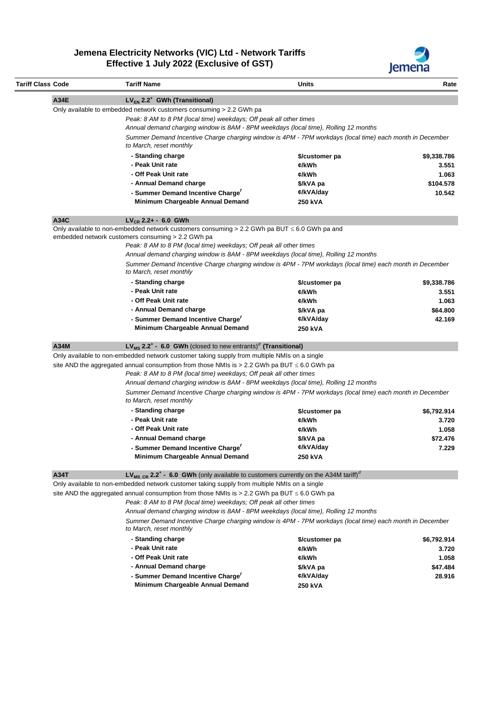

| Tariff Class Code | <b>Tariff Name</b>                                                                                                                   | <b>Units</b>   | Rate        |  |  |
|-------------------|--------------------------------------------------------------------------------------------------------------------------------------|----------------|-------------|--|--|
| <b>A34E</b>       | $LV_{EN}$ 2.2 <sup>+</sup> GWh (Transitional)                                                                                        |                |             |  |  |
|                   | Only available to embedded network customers consuming > 2.2 GWh pa                                                                  |                |             |  |  |
|                   | Peak: 8 AM to 8 PM (local time) weekdays; Off peak all other times                                                                   |                |             |  |  |
|                   | Annual demand charging window is 8AM - 8PM weekdays (local time), Rolling 12 months                                                  |                |             |  |  |
|                   | Summer Demand Incentive Charge charging window is 4PM - 7PM workdays (local time) each month in December<br>to March, reset monthly  |                |             |  |  |
|                   | - Standing charge                                                                                                                    | \$/customer pa | \$9,338.786 |  |  |
|                   | - Peak Unit rate                                                                                                                     | ¢/kWh          | 3.551       |  |  |
|                   | - Off Peak Unit rate                                                                                                                 | ¢/kWh          | 1.063       |  |  |
|                   | - Annual Demand charge                                                                                                               | \$/kVA pa      | \$104.578   |  |  |
|                   | - Summer Demand Incentive Charge'                                                                                                    | ¢/kVA/day      | 10.542      |  |  |
|                   | Minimum Chargeable Annual Demand                                                                                                     | 250 kVA        |             |  |  |
| A34C              | $LV_{CR}$ 2.2+ - 6.0 GWh                                                                                                             |                |             |  |  |
|                   | Only available to non-embedded network customers consuming > 2.2 GWh pa BUT $\leq$ 6.0 GWh pa and                                    |                |             |  |  |
|                   | embedded network customers consuming > 2.2 GWh pa                                                                                    |                |             |  |  |
|                   | Peak: 8 AM to 8 PM (local time) weekdays; Off peak all other times                                                                   |                |             |  |  |
|                   | Annual demand charging window is 8AM - 8PM weekdays (local time), Rolling 12 months                                                  |                |             |  |  |
|                   | Summer Demand Incentive Charge charging window is 4PM - 7PM workdays (local time) each month in December<br>to March, reset monthly  |                |             |  |  |
|                   | - Standing charge                                                                                                                    | \$/customer pa | \$9,338.786 |  |  |
|                   | - Peak Unit rate                                                                                                                     | ¢/kWh          | 3.551       |  |  |
|                   | - Off Peak Unit rate                                                                                                                 | ¢/kWh          | 1.063       |  |  |
|                   | - Annual Demand charge                                                                                                               | \$/kVA pa      | \$64.800    |  |  |
|                   | - Summer Demand Incentive Charge'                                                                                                    | ¢/kVA/day      | 42.169      |  |  |
|                   | Minimum Chargeable Annual Demand                                                                                                     | <b>250 kVA</b> |             |  |  |
| A34M              | $LV_{MS}$ 2.2 <sup>+</sup> - 6.0 GWh (closed to new entrants) <sup>d</sup> (Transitional)                                            |                |             |  |  |
|                   | Only available to non-embedded network customer taking supply from multiple NMIs on a single                                         |                |             |  |  |
|                   | site AND the aggregated annual consumption from those NMIs is $> 2.2$ GWh pa BUT $\leq 6.0$ GWh pa                                   |                |             |  |  |
|                   | Peak: 8 AM to 8 PM (local time) weekdays; Off peak all other times                                                                   |                |             |  |  |
|                   | Annual demand charging window is 8AM - 8PM weekdays (local time), Rolling 12 months                                                  |                |             |  |  |
|                   | Summer Demand Incentive Charge charging window is 4PM - 7PM workdays (local time) each month in December<br>to March, reset monthly  |                |             |  |  |
|                   | - Standing charge                                                                                                                    | \$/customer pa | \$6,792.914 |  |  |
|                   | - Peak Unit rate                                                                                                                     | ¢/kWh          | 3.720       |  |  |
|                   | - Off Peak Unit rate                                                                                                                 | ¢/kWh          | 1.058       |  |  |
|                   | - Annual Demand charge                                                                                                               | \$/kVA pa      | \$72.476    |  |  |
|                   | - Summer Demand Incentive Charge'                                                                                                    | ¢/kVA/day      | 7.229       |  |  |
|                   | Minimum Chargeable Annual Demand                                                                                                     | 250 kVA        |             |  |  |
| A34T              | $LV_{MS \, GR}$ 2.2 <sup>+</sup> - 6.0 GWh (only available to customers currently on the A34M tariff) <sup><math>\sigma</math></sup> |                |             |  |  |
|                   | Only available to non-embedded network customer taking supply from multiple NMIs on a single                                         |                |             |  |  |
|                   | site AND the aggregated annual consumption from those NMIs is $> 2.2$ GWh pa BUT $\leq 6.0$ GWh pa                                   |                |             |  |  |
|                   | Peak: 8 AM to 8 PM (local time) weekdays; Off peak all other times                                                                   |                |             |  |  |
|                   | Annual demand charging window is 8AM - 8PM weekdays (local time), Rolling 12 months                                                  |                |             |  |  |
|                   | Summer Demand Incentive Charge charging window is 4PM - 7PM workdays (local time) each month in December<br>to March, reset monthly  |                |             |  |  |
|                   | - Standing charge                                                                                                                    | \$/customer pa | \$6,792.914 |  |  |
|                   | - Peak Unit rate                                                                                                                     | ¢/kWh          | 3.720       |  |  |
|                   | - Off Peak Unit rate                                                                                                                 | ¢/kWh          | 1.058       |  |  |
|                   | - Annual Demand charge                                                                                                               | \$/kVA pa      | \$47.484    |  |  |
|                   | - Summer Demand Incentive Charge'                                                                                                    | ¢/kVA/day      | 28.916      |  |  |
|                   | Minimum Chargeable Annual Demand                                                                                                     | 250 kVA        |             |  |  |
|                   |                                                                                                                                      |                |             |  |  |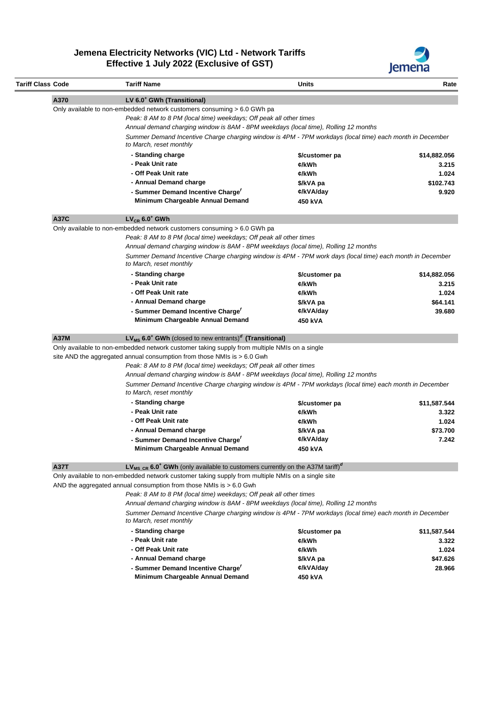

| <b>Tariff Class Code</b> |                                                                         | <b>Tariff Name</b>                                                                                                                         | Units                                                                                                    | Rate         |  |  |  |
|--------------------------|-------------------------------------------------------------------------|--------------------------------------------------------------------------------------------------------------------------------------------|----------------------------------------------------------------------------------------------------------|--------------|--|--|--|
|                          | A370                                                                    | LV 6.0 <sup>+</sup> GWh (Transitional)                                                                                                     |                                                                                                          |              |  |  |  |
|                          | Only available to non-embedded network customers consuming > 6.0 GWh pa |                                                                                                                                            |                                                                                                          |              |  |  |  |
|                          |                                                                         | Peak: 8 AM to 8 PM (local time) weekdays; Off peak all other times                                                                         |                                                                                                          |              |  |  |  |
|                          |                                                                         | Annual demand charging window is 8AM - 8PM weekdays (local time), Rolling 12 months                                                        |                                                                                                          |              |  |  |  |
|                          |                                                                         | to March, reset monthly                                                                                                                    | Summer Demand Incentive Charge charging window is 4PM - 7PM workdays (local time) each month in December |              |  |  |  |
|                          |                                                                         | - Standing charge                                                                                                                          | \$/customer pa                                                                                           | \$14,882.056 |  |  |  |
|                          |                                                                         | - Peak Unit rate                                                                                                                           | ¢/kWh                                                                                                    | 3.215        |  |  |  |
|                          |                                                                         | - Off Peak Unit rate                                                                                                                       | ¢/kWh                                                                                                    | 1.024        |  |  |  |
|                          |                                                                         | - Annual Demand charge                                                                                                                     | \$/kVA pa                                                                                                | \$102.743    |  |  |  |
|                          |                                                                         | - Summer Demand Incentive Charge'                                                                                                          | ¢/kVA/day                                                                                                | 9.920        |  |  |  |
|                          |                                                                         | Minimum Chargeable Annual Demand                                                                                                           | 450 kVA                                                                                                  |              |  |  |  |
|                          | <b>A37C</b>                                                             | $LV_{CR}$ 6.0 <sup>+</sup> GWh                                                                                                             |                                                                                                          |              |  |  |  |
|                          |                                                                         | Only available to non-embedded network customers consuming > 6.0 GWh pa                                                                    |                                                                                                          |              |  |  |  |
|                          |                                                                         | Peak: 8 AM to 8 PM (local time) weekdays; Off peak all other times                                                                         |                                                                                                          |              |  |  |  |
|                          |                                                                         | Annual demand charging window is 8AM - 8PM weekdays (local time), Rolling 12 months                                                        |                                                                                                          |              |  |  |  |
|                          |                                                                         | Summer Demand Incentive Charge charging window is 4PM - 7PM work days (local time) each month in December<br>to March, reset monthly       |                                                                                                          |              |  |  |  |
|                          |                                                                         | - Standing charge                                                                                                                          | \$/customer pa                                                                                           | \$14,882.056 |  |  |  |
|                          |                                                                         | - Peak Unit rate                                                                                                                           | ¢/kWh                                                                                                    | 3.215        |  |  |  |
|                          |                                                                         | - Off Peak Unit rate                                                                                                                       | ¢/kWh                                                                                                    | 1.024        |  |  |  |
|                          |                                                                         | - Annual Demand charge                                                                                                                     | \$/kVA pa                                                                                                | \$64.141     |  |  |  |
|                          |                                                                         | - Summer Demand Incentive Charge <sup>f</sup>                                                                                              | ¢/kVA/day                                                                                                | 39.680       |  |  |  |
|                          |                                                                         | Minimum Chargeable Annual Demand                                                                                                           | 450 kVA                                                                                                  |              |  |  |  |
|                          | A37M                                                                    | $LV_{MS}$ 6.0 <sup>+</sup> GWh (closed to new entrants) <sup><math>d</math></sup> (Transitional)                                           |                                                                                                          |              |  |  |  |
|                          |                                                                         | Only available to non-embedded network customer taking supply from multiple NMIs on a single                                               |                                                                                                          |              |  |  |  |
|                          |                                                                         | site AND the aggregated annual consumption from those NMIs is $> 6.0$ Gwh                                                                  |                                                                                                          |              |  |  |  |
|                          |                                                                         | Peak: 8 AM to 8 PM (local time) weekdays; Off peak all other times                                                                         |                                                                                                          |              |  |  |  |
|                          |                                                                         | Annual demand charging window is 8AM - 8PM weekdays (local time), Rolling 12 months                                                        |                                                                                                          |              |  |  |  |
|                          |                                                                         | Summer Demand Incentive Charge charging window is 4PM - 7PM workdays (local time) each month in December<br>to March, reset monthly        |                                                                                                          |              |  |  |  |
|                          |                                                                         | - Standing charge                                                                                                                          | \$/customer pa                                                                                           | \$11,587.544 |  |  |  |
|                          |                                                                         | - Peak Unit rate                                                                                                                           | ¢/kWh                                                                                                    | 3.322        |  |  |  |
|                          |                                                                         | - Off Peak Unit rate                                                                                                                       | ¢/kWh                                                                                                    | 1.024        |  |  |  |
|                          |                                                                         | - Annual Demand charge                                                                                                                     | \$/kVA pa                                                                                                | \$73.700     |  |  |  |
|                          |                                                                         | - Summer Demand Incentive Charge'                                                                                                          | ¢/kVA/day                                                                                                | 7.242        |  |  |  |
|                          |                                                                         | Minimum Chargeable Annual Demand                                                                                                           | 450 kVA                                                                                                  |              |  |  |  |
|                          | <b>A37T</b>                                                             | LV <sub>MS CR</sub> 6.0 <sup>+</sup> GWh (only available to customers currently on the A37M tariff) <sup>d</sup>                           |                                                                                                          |              |  |  |  |
|                          |                                                                         | Only available to non-embedded network customer taking supply from multiple NMIs on a single site                                          |                                                                                                          |              |  |  |  |
|                          |                                                                         | AND the aggregated annual consumption from those NMIs is $> 6.0$ Gwh<br>Peak: 8 AM to 8 PM (local time) weekdays; Off peak all other times |                                                                                                          |              |  |  |  |
|                          |                                                                         | Annual demand charging window is 8AM - 8PM weekdays (local time), Rolling 12 months                                                        |                                                                                                          |              |  |  |  |
|                          |                                                                         | Summer Demand Incentive Charge charging window is 4PM - 7PM workdays (local time) each month in December                                   |                                                                                                          |              |  |  |  |
|                          |                                                                         | to March, reset monthly                                                                                                                    |                                                                                                          |              |  |  |  |
|                          |                                                                         | - Standing charge                                                                                                                          | \$/customer pa                                                                                           | \$11,587.544 |  |  |  |
|                          |                                                                         | - Peak Unit rate                                                                                                                           | ¢/kWh                                                                                                    | 3.322        |  |  |  |
|                          |                                                                         | - Off Peak Unit rate                                                                                                                       | ¢/kWh                                                                                                    | 1.024        |  |  |  |
|                          |                                                                         | - Annual Demand charge                                                                                                                     | \$/kVA pa                                                                                                | \$47.626     |  |  |  |
|                          |                                                                         | - Summer Demand Incentive Charge'                                                                                                          | ¢/kVA/day                                                                                                | 28.966       |  |  |  |
|                          |                                                                         | Minimum Chargeable Annual Demand                                                                                                           | 450 kVA                                                                                                  |              |  |  |  |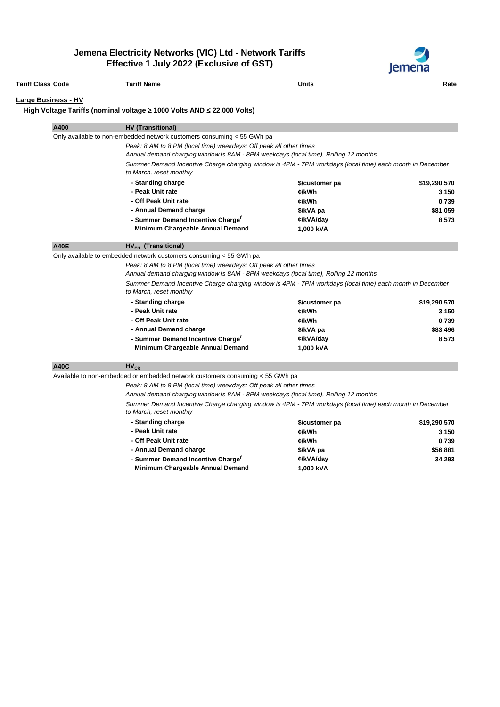

|                            |                                                                                                                                                           |                | JCI I ICI IA |
|----------------------------|-----------------------------------------------------------------------------------------------------------------------------------------------------------|----------------|--------------|
| <b>Tariff Class Code</b>   | <b>Tariff Name</b>                                                                                                                                        | Units          | Rate         |
| <b>Large Business - HV</b> |                                                                                                                                                           |                |              |
|                            | High Voltage Tariffs (nominal voltage ≥ 1000 Volts AND ≤ 22,000 Volts)                                                                                    |                |              |
| A400                       | <b>HV (Transitional)</b>                                                                                                                                  |                |              |
|                            | Only available to non-embedded network customers consuming < 55 GWh pa                                                                                    |                |              |
|                            | Peak: 8 AM to 8 PM (local time) weekdays; Off peak all other times                                                                                        |                |              |
|                            | Annual demand charging window is 8AM - 8PM weekdays (local time), Rolling 12 months                                                                       |                |              |
|                            | Summer Demand Incentive Charge charging window is 4PM - 7PM workdays (local time) each month in December<br>to March, reset monthly                       |                |              |
|                            | - Standing charge                                                                                                                                         | \$/customer pa | \$19,290.570 |
|                            | - Peak Unit rate                                                                                                                                          | ¢/kWh          | 3.150        |
|                            | - Off Peak Unit rate                                                                                                                                      | ¢/kWh          | 0.739        |
|                            | - Annual Demand charge                                                                                                                                    | \$/kVA pa      | \$81.059     |
|                            | - Summer Demand Incentive Charge'                                                                                                                         | ¢/kVA/day      | 8.573        |
|                            | Minimum Chargeable Annual Demand                                                                                                                          | 1,000 kVA      |              |
| <b>A40E</b>                | HV <sub>FN</sub> (Transitional)                                                                                                                           |                |              |
|                            | Only available to embedded network customers consuming < 55 GWh pa                                                                                        |                |              |
|                            | Peak: 8 AM to 8 PM (local time) weekdays; Off peak all other times<br>Annual demand charging window is 8AM - 8PM weekdays (local time), Rolling 12 months |                |              |
|                            | Summer Demand Incentive Charge charging window is 4PM - 7PM workdays (local time) each month in December<br>to March, reset monthly                       |                |              |
|                            | - Standing charge                                                                                                                                         | \$/customer pa | \$19,290.570 |
|                            | - Peak Unit rate                                                                                                                                          | ¢/kWh          | 3.150        |
|                            | - Off Peak Unit rate                                                                                                                                      | ¢/kWh          | 0.739        |
|                            | - Annual Demand charge                                                                                                                                    | \$/kVA pa      | \$83,496     |
|                            | - Summer Demand Incentive Charge <sup>f</sup>                                                                                                             | ¢/kVA/day      | 8.573        |
|                            | Minimum Chargeable Annual Demand                                                                                                                          | 1,000 kVA      |              |
| <b>A40C</b>                | $HV_{CR}$                                                                                                                                                 |                |              |
|                            | Available to non-embedded or embedded network customers consuming < 55 GWh pa                                                                             |                |              |
|                            | Peak: 8 AM to 8 PM (local time) weekdays; Off peak all other times                                                                                        |                |              |
|                            | Annual demand charging window is 8AM - 8PM weekdays (local time), Rolling 12 months                                                                       |                |              |
|                            | Summar Damand Incontivo Charge oberging window is ABM 7DM workdows (local time) agab manth in December                                                    |                |              |

*Summer Demand Incentive Charge charging window is 4PM - 7PM workdays (local time) each month in December to March, reset monthly* 

| - Standing charge                             | \$/customer pa | \$19,290.570 |
|-----------------------------------------------|----------------|--------------|
| - Peak Unit rate                              | ¢/kWh          | 3.150        |
| - Off Peak Unit rate                          | ¢/kWh          | 0.739        |
| - Annual Demand charge                        | \$/kVA pa      | \$56.881     |
| - Summer Demand Incentive Charge <sup>f</sup> | ¢/kVA/day      | 34.293       |
| Minimum Chargeable Annual Demand              | 1,000 kVA      |              |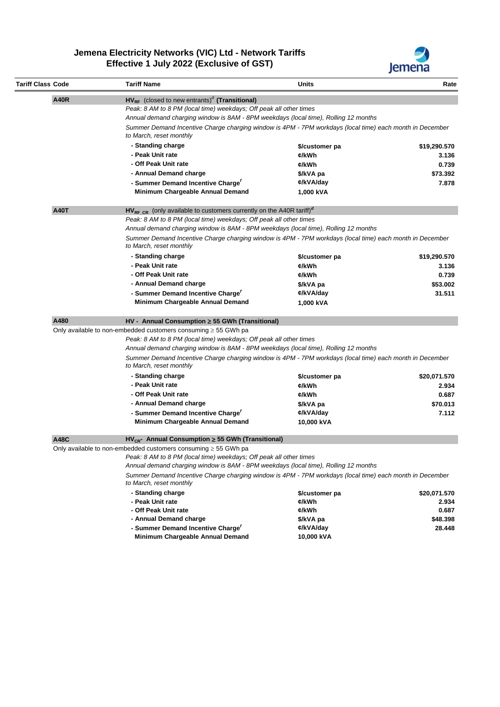

|             | <b>Tariff Name</b>                                                                                                                                                                                                         | <b>Units</b>            | Rate                        |  |  |  |
|-------------|----------------------------------------------------------------------------------------------------------------------------------------------------------------------------------------------------------------------------|-------------------------|-----------------------------|--|--|--|
| <b>A40R</b> | $H\mathsf{V}_{RF}$ (closed to new entrants) <sup>d</sup> (Transitional)                                                                                                                                                    |                         |                             |  |  |  |
|             | Peak: 8 AM to 8 PM (local time) weekdays; Off peak all other times                                                                                                                                                         |                         |                             |  |  |  |
|             | Annual demand charging window is 8AM - 8PM weekdays (local time), Rolling 12 months                                                                                                                                        |                         |                             |  |  |  |
|             | Summer Demand Incentive Charge charging window is 4PM - 7PM workdays (local time) each month in December<br>to March, reset monthly                                                                                        |                         |                             |  |  |  |
|             | - Standing charge                                                                                                                                                                                                          | \$/customer pa          | \$19,290.570                |  |  |  |
|             | - Peak Unit rate                                                                                                                                                                                                           | ¢/kWh                   | 3.136                       |  |  |  |
|             | - Off Peak Unit rate                                                                                                                                                                                                       | ¢/kWh                   | 0.739                       |  |  |  |
|             | - Annual Demand charge                                                                                                                                                                                                     | \$/kVA pa               | \$73.392                    |  |  |  |
|             | - Summer Demand Incentive Charge'                                                                                                                                                                                          | ¢/kVA/day               | 7.878                       |  |  |  |
|             | Minimum Chargeable Annual Demand                                                                                                                                                                                           | 1,000 kVA               |                             |  |  |  |
| <b>A40T</b> | $H\dot{V}_{RF}$ c <sub>R</sub> (only available to customers currently on the A40R tariff) <sup><math>d</math></sup>                                                                                                        |                         |                             |  |  |  |
|             | Peak: 8 AM to 8 PM (local time) weekdays; Off peak all other times                                                                                                                                                         |                         |                             |  |  |  |
|             | Annual demand charging window is 8AM - 8PM weekdays (local time), Rolling 12 months                                                                                                                                        |                         |                             |  |  |  |
|             | Summer Demand Incentive Charge charging window is 4PM - 7PM workdays (local time) each month in December<br>to March, reset monthly                                                                                        |                         |                             |  |  |  |
|             | - Standing charge                                                                                                                                                                                                          | \$/customer pa          | \$19,290.570                |  |  |  |
|             | - Peak Unit rate                                                                                                                                                                                                           | ¢/kWh                   | 3.136                       |  |  |  |
|             | - Off Peak Unit rate                                                                                                                                                                                                       | ¢/kWh                   | 0.739                       |  |  |  |
|             | - Annual Demand charge                                                                                                                                                                                                     | \$/kVA pa               | \$53.002                    |  |  |  |
|             | - Summer Demand Incentive Charge'                                                                                                                                                                                          | ¢/kVA/day               | 31.511                      |  |  |  |
|             | Minimum Chargeable Annual Demand                                                                                                                                                                                           | 1,000 kVA               |                             |  |  |  |
| A480        | HV - Annual Consumption ≥ 55 GWh (Transitional)                                                                                                                                                                            |                         |                             |  |  |  |
|             | Only available to non-embedded customers consuming $\geq$ 55 GWh pa                                                                                                                                                        |                         |                             |  |  |  |
|             | Peak: 8 AM to 8 PM (local time) weekdays; Off peak all other times                                                                                                                                                         |                         |                             |  |  |  |
|             | Annual demand charging window is 8AM - 8PM weekdays (local time), Rolling 12 months                                                                                                                                        |                         |                             |  |  |  |
|             | Summer Demand Incentive Charge charging window is 4PM - 7PM workdays (local time) each month in December<br>to March, reset monthly                                                                                        |                         |                             |  |  |  |
|             |                                                                                                                                                                                                                            |                         |                             |  |  |  |
|             |                                                                                                                                                                                                                            |                         |                             |  |  |  |
|             | - Standing charge<br>- Peak Unit rate                                                                                                                                                                                      | \$/customer pa          | \$20,071.570                |  |  |  |
|             |                                                                                                                                                                                                                            | ¢/kWh                   | 2.934                       |  |  |  |
|             | - Off Peak Unit rate                                                                                                                                                                                                       | ¢/kWh                   | 0.687                       |  |  |  |
|             | - Annual Demand charge                                                                                                                                                                                                     | \$/kVA pa               | \$70.013                    |  |  |  |
|             | - Summer Demand Incentive Charge'<br>Minimum Chargeable Annual Demand                                                                                                                                                      | ¢/kVA/day<br>10,000 kVA | 7.112                       |  |  |  |
| <b>A48C</b> | $HV_{CR}$ - Annual Consumption $\geq$ 55 GWh (Transitional)                                                                                                                                                                |                         |                             |  |  |  |
|             | Only available to non-embedded customers consuming $\geq$ 55 GWh pa<br>Peak: 8 AM to 8 PM (local time) weekdays; Off peak all other times                                                                                  |                         |                             |  |  |  |
|             | Annual demand charging window is 8AM - 8PM weekdays (local time), Rolling 12 months<br>Summer Demand Incentive Charge charging window is 4PM - 7PM workdays (local time) each month in December<br>to March, reset monthly |                         |                             |  |  |  |
|             |                                                                                                                                                                                                                            |                         |                             |  |  |  |
|             | - Standing charge                                                                                                                                                                                                          | \$/customer pa          | \$20,071.570                |  |  |  |
|             | - Peak Unit rate<br>- Off Peak Unit rate                                                                                                                                                                                   | ¢/kWh                   |                             |  |  |  |
|             | - Annual Demand charge                                                                                                                                                                                                     | ¢/kWh                   | 0.687                       |  |  |  |
|             | - Summer Demand Incentive Charge <sup>f</sup>                                                                                                                                                                              | \$/kVA pa<br>¢/kVA/day  | 2.934<br>\$48.398<br>28.448 |  |  |  |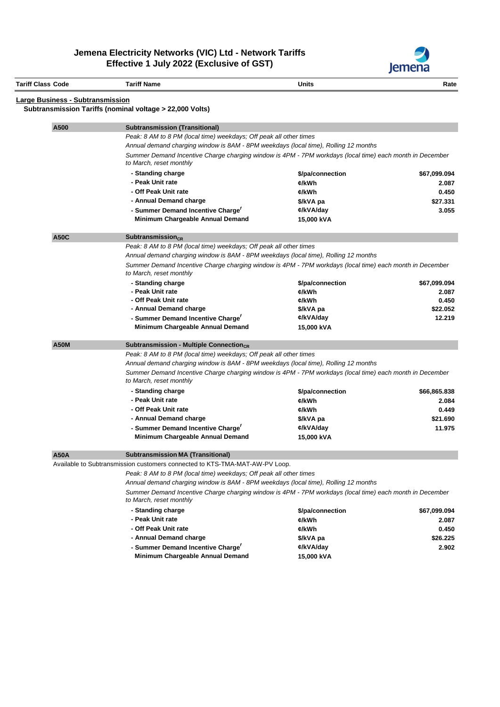

| <b>Tariff Class Code</b>                | <b>Tariff Name</b>                                                                                                                  | <b>Units</b>     | Rate         |  |  |  |
|-----------------------------------------|-------------------------------------------------------------------------------------------------------------------------------------|------------------|--------------|--|--|--|
| <b>Large Business - Subtransmission</b> |                                                                                                                                     |                  |              |  |  |  |
|                                         | Subtransmission Tariffs (nominal voltage > 22,000 Volts)                                                                            |                  |              |  |  |  |
| A500                                    | <b>Subtransmission (Transitional)</b>                                                                                               |                  |              |  |  |  |
|                                         | Peak: 8 AM to 8 PM (local time) weekdays; Off peak all other times                                                                  |                  |              |  |  |  |
|                                         | Annual demand charging window is 8AM - 8PM weekdays (local time), Rolling 12 months                                                 |                  |              |  |  |  |
|                                         | Summer Demand Incentive Charge charging window is 4PM - 7PM workdays (local time) each month in December<br>to March, reset monthly |                  |              |  |  |  |
|                                         | - Standing charge                                                                                                                   | \$/pa/connection | \$67,099.094 |  |  |  |
|                                         | - Peak Unit rate                                                                                                                    | ¢/kWh            | 2.087        |  |  |  |
|                                         | - Off Peak Unit rate                                                                                                                | ¢/kWh            | 0.450        |  |  |  |
|                                         | - Annual Demand charge                                                                                                              | \$/kVA pa        | \$27.331     |  |  |  |
|                                         | - Summer Demand Incentive Charge'                                                                                                   | ¢/kVA/day        | 3.055        |  |  |  |
|                                         | Minimum Chargeable Annual Demand                                                                                                    | 15,000 kVA       |              |  |  |  |
| <b>A50C</b>                             | Subtransmission $_{CR}$                                                                                                             |                  |              |  |  |  |
|                                         | Peak: 8 AM to 8 PM (local time) weekdays; Off peak all other times                                                                  |                  |              |  |  |  |
|                                         | Annual demand charging window is 8AM - 8PM weekdays (local time), Rolling 12 months                                                 |                  |              |  |  |  |
|                                         | Summer Demand Incentive Charge charging window is 4PM - 7PM workdays (local time) each month in December<br>to March, reset monthly |                  |              |  |  |  |
|                                         | - Standing charge                                                                                                                   | \$/pa/connection | \$67,099.094 |  |  |  |
|                                         | - Peak Unit rate                                                                                                                    | ¢/kWh            | 2.087        |  |  |  |
|                                         | - Off Peak Unit rate                                                                                                                | ¢/kWh            | 0.450        |  |  |  |
|                                         | - Annual Demand charge                                                                                                              | \$/kVA pa        | \$22.052     |  |  |  |
|                                         | - Summer Demand Incentive Charge'                                                                                                   | ¢/kVA/day        | 12.219       |  |  |  |
|                                         | Minimum Chargeable Annual Demand                                                                                                    | 15,000 kVA       |              |  |  |  |
| <b>A50M</b>                             | Subtransmission - Multiple Connection $_{CR}$                                                                                       |                  |              |  |  |  |
|                                         | Peak: 8 AM to 8 PM (local time) weekdays; Off peak all other times                                                                  |                  |              |  |  |  |
|                                         | Annual demand charging window is 8AM - 8PM weekdays (local time), Rolling 12 months                                                 |                  |              |  |  |  |
|                                         | Summer Demand Incentive Charge charging window is 4PM - 7PM workdays (local time) each month in December<br>to March, reset monthly |                  |              |  |  |  |
|                                         | - Standing charge                                                                                                                   | \$/pa/connection | \$66,865.838 |  |  |  |
|                                         | - Peak Unit rate                                                                                                                    | ¢/kWh            | 2.084        |  |  |  |
|                                         | - Off Peak Unit rate                                                                                                                | ¢/kWh            | 0.449        |  |  |  |
|                                         | - Annual Demand charge                                                                                                              | \$/kVA pa        | \$21.690     |  |  |  |
|                                         | - Summer Demand Incentive Charge'                                                                                                   | ¢/kVA/day        | 11.975       |  |  |  |
|                                         | Minimum Chargeable Annual Demand                                                                                                    | 15,000 kVA       |              |  |  |  |
| <b>A50A</b>                             | <b>Subtransmission MA (Transitional)</b>                                                                                            |                  |              |  |  |  |
|                                         | Available to Subtransmission customers connected to KTS-TMA-MAT-AW-PV Loop.                                                         |                  |              |  |  |  |
|                                         | Peak: 8 AM to 8 PM (local time) weekdays; Off peak all other times                                                                  |                  |              |  |  |  |
|                                         | Annual demand charging window is 8AM - 8PM weekdays (local time), Rolling 12 months                                                 |                  |              |  |  |  |
|                                         | Summer Demand Incentive Charge charging window is 4PM - 7PM workdays (local time) each month in December<br>to March, reset monthly |                  |              |  |  |  |
|                                         | - Standing charge                                                                                                                   | \$/pa/connection | \$67,099.094 |  |  |  |
|                                         | - Peak Unit rate                                                                                                                    | ¢/kWh            | 2.087        |  |  |  |
|                                         | - Off Peak Unit rate                                                                                                                | ¢/kWh            | 0.450        |  |  |  |
|                                         | - Annual Demand charge                                                                                                              | \$/kVA pa        | \$26.225     |  |  |  |
|                                         | - Summer Demand Incentive Charge <sup>f</sup>                                                                                       | ¢/kVA/day        | 2.902        |  |  |  |
|                                         | Minimum Chargeable Annual Demand                                                                                                    | 15,000 kVA       |              |  |  |  |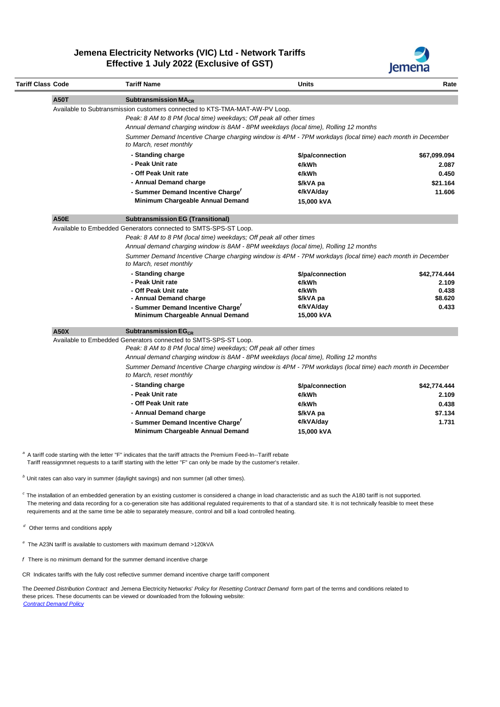

|  | Tariff Class Code                                               | <b>Tariff Name</b>                                                                                                                                        | <b>Units</b>                                                                                             | Rate             |  |  |  |  |
|--|-----------------------------------------------------------------|-----------------------------------------------------------------------------------------------------------------------------------------------------------|----------------------------------------------------------------------------------------------------------|------------------|--|--|--|--|
|  | <b>A50T</b>                                                     | Subtransmission MA <sub>CR</sub>                                                                                                                          |                                                                                                          |                  |  |  |  |  |
|  |                                                                 | Available to Subtransmission customers connected to KTS-TMA-MAT-AW-PV Loop.                                                                               |                                                                                                          |                  |  |  |  |  |
|  |                                                                 | Peak: 8 AM to 8 PM (local time) weekdays; Off peak all other times                                                                                        |                                                                                                          |                  |  |  |  |  |
|  |                                                                 | Annual demand charging window is 8AM - 8PM weekdays (local time), Rolling 12 months                                                                       |                                                                                                          |                  |  |  |  |  |
|  |                                                                 | to March, reset monthly                                                                                                                                   | Summer Demand Incentive Charge charging window is 4PM - 7PM workdays (local time) each month in December |                  |  |  |  |  |
|  | - Standing charge<br>\$/pa/connection                           |                                                                                                                                                           |                                                                                                          |                  |  |  |  |  |
|  |                                                                 | - Peak Unit rate                                                                                                                                          | ¢/kWh                                                                                                    | 2.087            |  |  |  |  |
|  |                                                                 | - Off Peak Unit rate                                                                                                                                      | ¢/kWh                                                                                                    | 0.450            |  |  |  |  |
|  |                                                                 | - Annual Demand charge                                                                                                                                    | \$/kVA pa                                                                                                | \$21.164         |  |  |  |  |
|  |                                                                 | - Summer Demand Incentive Charge'                                                                                                                         | ¢/kVA/day                                                                                                | 11.606           |  |  |  |  |
|  |                                                                 | Minimum Chargeable Annual Demand                                                                                                                          | 15,000 kVA                                                                                               |                  |  |  |  |  |
|  | <b>A50E</b>                                                     | <b>Subtransmission EG (Transitional)</b>                                                                                                                  |                                                                                                          |                  |  |  |  |  |
|  |                                                                 | Available to Embedded Generators connected to SMTS-SPS-ST Loop.                                                                                           |                                                                                                          |                  |  |  |  |  |
|  |                                                                 | Peak: 8 AM to 8 PM (local time) weekdays; Off peak all other times<br>Annual demand charging window is 8AM - 8PM weekdays (local time), Rolling 12 months |                                                                                                          |                  |  |  |  |  |
|  |                                                                 |                                                                                                                                                           |                                                                                                          |                  |  |  |  |  |
|  |                                                                 | Summer Demand Incentive Charge charging window is 4PM - 7PM workdays (local time) each month in December<br>to March, reset monthly                       |                                                                                                          |                  |  |  |  |  |
|  |                                                                 | - Standing charge                                                                                                                                         | \$/pa/connection                                                                                         | \$42,774.444     |  |  |  |  |
|  |                                                                 | - Peak Unit rate                                                                                                                                          | ¢/kWh                                                                                                    | 2.109            |  |  |  |  |
|  |                                                                 | - Off Peak Unit rate                                                                                                                                      | ¢/kWh                                                                                                    | 0.438            |  |  |  |  |
|  |                                                                 | - Annual Demand charge                                                                                                                                    | \$/kVA pa<br>¢/kVA/day                                                                                   | \$8.620<br>0.433 |  |  |  |  |
|  |                                                                 | - Summer Demand Incentive Charge'<br>Minimum Chargeable Annual Demand                                                                                     | 15,000 kVA                                                                                               |                  |  |  |  |  |
|  | <b>A50X</b>                                                     | Subtransmission $EG_{CR}$                                                                                                                                 |                                                                                                          |                  |  |  |  |  |
|  | Available to Embedded Generators connected to SMTS-SPS-ST Loop. |                                                                                                                                                           |                                                                                                          |                  |  |  |  |  |
|  |                                                                 |                                                                                                                                                           | Peak: 8 AM to 8 PM (local time) weekdays; Off peak all other times                                       |                  |  |  |  |  |
|  |                                                                 |                                                                                                                                                           |                                                                                                          |                  |  |  |  |  |
|  |                                                                 | Annual demand charging window is 8AM - 8PM weekdays (local time), Rolling 12 months                                                                       |                                                                                                          |                  |  |  |  |  |
|  |                                                                 | Summer Demand Incentive Charge charging window is 4PM - 7PM workdays (local time) each month in December<br>to March, reset monthly                       |                                                                                                          |                  |  |  |  |  |
|  |                                                                 | - Standing charge                                                                                                                                         |                                                                                                          | \$42,774.444     |  |  |  |  |
|  |                                                                 | - Peak Unit rate                                                                                                                                          | \$/pa/connection<br>¢/kWh                                                                                | 2.109            |  |  |  |  |
|  |                                                                 | - Off Peak Unit rate                                                                                                                                      | ¢/kWh                                                                                                    | 0.438            |  |  |  |  |
|  |                                                                 | - Annual Demand charge                                                                                                                                    | \$/kVA pa                                                                                                | \$7.134          |  |  |  |  |
|  |                                                                 | - Summer Demand Incentive Charge'                                                                                                                         | ¢/kVA/day                                                                                                | 1.731            |  |  |  |  |

*<sup>c</sup>* The installation of an embedded generation by an existing customer is considered a change in load characteristic and as such the A180 tariff is not supported. The metering and data recording for a co-generation site has additional regulated requirements to that of a standard site. It is not technically feasible to meet these requirements and at the same time be able to separately measure, control and bill a load controlled heating.

*<sup>d</sup>* Other terms and conditions apply

*<sup>e</sup>*The A23N tariff is available to customers with maximum demand >120kVA

 *f* There is no minimum demand for the summer demand incentive charge

CR Indicates tariffs with the fully cost reflective summer demand incentive charge tariff component

 The *Deemed Distribution Contract* and Jemena Electricity Networks' *Policy for Resetting Contract Demand* form part of the terms and conditions related to these prices. These documents can be viewed or downloaded from the following website:  *[Contract Demand Policy](https://jemena.com.au/about/document-centre/electricity/contract-demand-reset-policy)*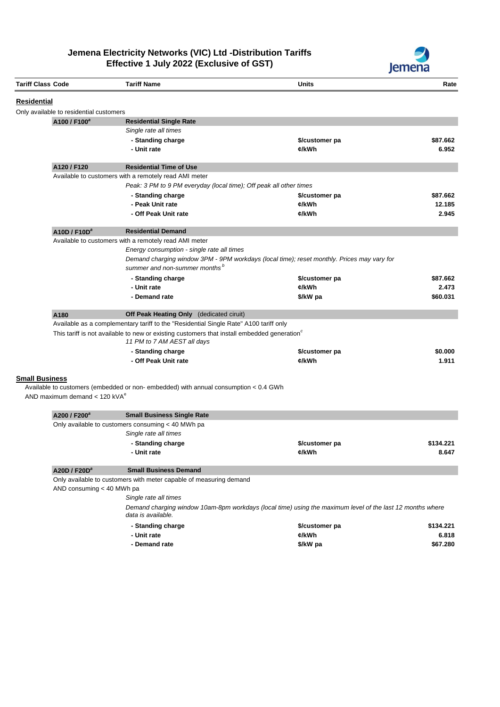

| <b>Tariff Class Code</b> |                                           | <b>Tariff Name</b>                                                                                                                     | <b>Units</b>   | Rate      |
|--------------------------|-------------------------------------------|----------------------------------------------------------------------------------------------------------------------------------------|----------------|-----------|
| Residential              |                                           |                                                                                                                                        |                |           |
|                          | Only available to residential customers   |                                                                                                                                        |                |           |
|                          | A100 / F100 <sup>a</sup>                  | <b>Residential Single Rate</b>                                                                                                         |                |           |
|                          |                                           | Single rate all times                                                                                                                  |                |           |
|                          |                                           | - Standing charge                                                                                                                      | \$/customer pa | \$87.662  |
|                          |                                           | - Unit rate                                                                                                                            | ¢/kWh          | 6.952     |
|                          | A120 / F120                               | <b>Residential Time of Use</b>                                                                                                         |                |           |
|                          |                                           | Available to customers with a remotely read AMI meter                                                                                  |                |           |
|                          |                                           | Peak: 3 PM to 9 PM everyday (local time); Off peak all other times                                                                     |                |           |
|                          |                                           | - Standing charge                                                                                                                      | \$/customer pa | \$87.662  |
|                          |                                           | - Peak Unit rate                                                                                                                       | ¢/kWh          | 12.185    |
|                          |                                           | - Off Peak Unit rate                                                                                                                   | ¢/kWh          | 2.945     |
|                          | A10D / F10D <sup>a</sup>                  | <b>Residential Demand</b>                                                                                                              |                |           |
|                          |                                           | Available to customers with a remotely read AMI meter                                                                                  |                |           |
|                          |                                           | Energy consumption - single rate all times                                                                                             |                |           |
|                          |                                           | Demand charging window 3PM - 9PM workdays (local time); reset monthly. Prices may vary for                                             |                |           |
|                          |                                           | summer and non-summer months <sup>b</sup>                                                                                              |                |           |
|                          |                                           | - Standing charge                                                                                                                      | \$/customer pa | \$87.662  |
|                          |                                           | - Unit rate                                                                                                                            | ¢/kWh          | 2.473     |
|                          |                                           | - Demand rate                                                                                                                          | \$/kW pa       | \$60.031  |
|                          | A180                                      | Off Peak Heating Only (dedicated ciruit)                                                                                               |                |           |
|                          |                                           | Available as a complementary tariff to the "Residential Single Rate" A100 tariff only                                                  |                |           |
|                          |                                           | This tariff is not available to new or existing customers that install embedded generation <sup>c</sup><br>11 PM to 7 AM AEST all days |                |           |
|                          |                                           | - Standing charge                                                                                                                      | \$/customer pa | \$0.000   |
|                          |                                           | - Off Peak Unit rate                                                                                                                   | ¢/kWh          | 1.911     |
| <b>Small Business</b>    | AND maximum demand $<$ 120 kVA $^{\circ}$ | Available to customers (embedded or non-embedded) with annual consumption < 0.4 GWh                                                    |                |           |
|                          | A200 / F200 <sup>a</sup>                  | <b>Small Business Single Rate</b>                                                                                                      |                |           |
|                          |                                           | Only available to customers consuming < 40 MWh pa                                                                                      |                |           |
|                          |                                           | Single rate all times                                                                                                                  |                |           |
|                          |                                           | - Standing charge                                                                                                                      | \$/customer pa | \$134.221 |
|                          |                                           | - Unit rate                                                                                                                            | ¢/kWh          | 8.647     |
|                          | A20D / F20D <sup>a</sup>                  | <b>Small Business Demand</b>                                                                                                           |                |           |
|                          |                                           | Only available to customers with meter capable of measuring demand                                                                     |                |           |
|                          | AND consuming < 40 MWh pa                 |                                                                                                                                        |                |           |
|                          |                                           | Single rate all times                                                                                                                  |                |           |
|                          |                                           | Demand charging window 10am-8pm workdays (local time) using the maximum level of the last 12 months where<br>data is available.        |                |           |
|                          |                                           | - Standing charge                                                                                                                      | \$/customer pa | \$134.221 |
|                          |                                           | - Unit rate                                                                                                                            | ¢/kWh          | 6.818     |
|                          |                                           | - Demand rate                                                                                                                          | \$/kW pa       | \$67.280  |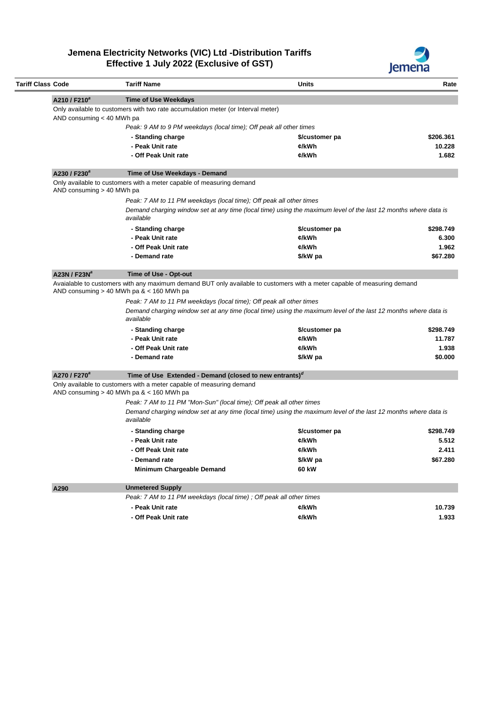

| Tariff Class Code         | <b>Tariff Name</b>                                                                                                                          | Units                                                                                                                    | Rate             |
|---------------------------|---------------------------------------------------------------------------------------------------------------------------------------------|--------------------------------------------------------------------------------------------------------------------------|------------------|
| A210 / F210 <sup>a</sup>  | <b>Time of Use Weekdays</b>                                                                                                                 |                                                                                                                          |                  |
|                           | Only available to customers with two rate accumulation meter (or Interval meter)                                                            |                                                                                                                          |                  |
| AND consuming < 40 MWh pa |                                                                                                                                             |                                                                                                                          |                  |
|                           | Peak: 9 AM to 9 PM weekdays (local time); Off peak all other times                                                                          |                                                                                                                          |                  |
|                           | - Standing charge                                                                                                                           | \$/customer pa                                                                                                           | \$206.361        |
|                           | - Peak Unit rate                                                                                                                            | ¢/kWh                                                                                                                    | 10.228           |
|                           | - Off Peak Unit rate                                                                                                                        | ¢/kWh                                                                                                                    | 1.682            |
| A230 / F230 <sup>ª</sup>  | Time of Use Weekdays - Demand                                                                                                               |                                                                                                                          |                  |
| AND consuming > 40 MWh pa | Only available to customers with a meter capable of measuring demand                                                                        |                                                                                                                          |                  |
|                           | Peak: 7 AM to 11 PM weekdays (local time); Off peak all other times                                                                         |                                                                                                                          |                  |
|                           | available                                                                                                                                   | Demand charging window set at any time (local time) using the maximum level of the last 12 months where data is          |                  |
|                           | - Standing charge                                                                                                                           | \$/customer pa                                                                                                           | \$298.749        |
|                           | - Peak Unit rate                                                                                                                            | ¢/kWh                                                                                                                    | 6.300            |
|                           | - Off Peak Unit rate                                                                                                                        | ¢/kWh                                                                                                                    | 1.962            |
|                           | - Demand rate                                                                                                                               | \$/kW pa                                                                                                                 | \$67.280         |
| A23N / F23N <sup>a</sup>  | Time of Use - Opt-out                                                                                                                       |                                                                                                                          |                  |
|                           | AND consuming $> 40$ MWh pa $\< 160$ MWh pa<br>Peak: 7 AM to 11 PM weekdays (local time); Off peak all other times                          | Avaialable to customers with any maximum demand BUT only available to customers with a meter capable of measuring demand |                  |
|                           | available                                                                                                                                   | Demand charging window set at any time (local time) using the maximum level of the last 12 months where data is          |                  |
|                           | - Standing charge                                                                                                                           | \$/customer pa                                                                                                           | \$298.749        |
|                           | - Peak Unit rate                                                                                                                            | ¢/kWh                                                                                                                    | 11.787           |
|                           | - Off Peak Unit rate<br>- Demand rate                                                                                                       | ¢/kWh<br>\$/kW pa                                                                                                        | 1.938<br>\$0.000 |
|                           |                                                                                                                                             |                                                                                                                          |                  |
| A270 / F270 <sup>a</sup>  | Time of Use Extended - Demand (closed to new entrants) <sup>a</sup><br>Only available to customers with a meter capable of measuring demand |                                                                                                                          |                  |
|                           | AND consuming > 40 MWh pa & < 160 MWh pa<br>Peak: 7 AM to 11 PM "Mon-Sun" (local time); Off peak all other times                            |                                                                                                                          |                  |
|                           | available                                                                                                                                   | Demand charging window set at any time (local time) using the maximum level of the last 12 months where data is          |                  |
|                           |                                                                                                                                             |                                                                                                                          | \$298.749        |
|                           | - Standing charge<br>- Peak Unit rate                                                                                                       | \$/customer pa                                                                                                           | 5.512            |
|                           |                                                                                                                                             | ¢/kWh                                                                                                                    |                  |
|                           | - Off Peak Unit rate                                                                                                                        | ¢/kWh                                                                                                                    | 2.411            |
|                           | - Demand rate<br>Minimum Chargeable Demand                                                                                                  | \$/kW pa<br>60 kW                                                                                                        | \$67.280         |
| A290                      | <b>Unmetered Supply</b>                                                                                                                     |                                                                                                                          |                  |
|                           | Peak: 7 AM to 11 PM weekdays (local time) ; Off peak all other times                                                                        |                                                                                                                          |                  |
|                           | - Peak Unit rate                                                                                                                            | ¢/kWh                                                                                                                    | 10.739           |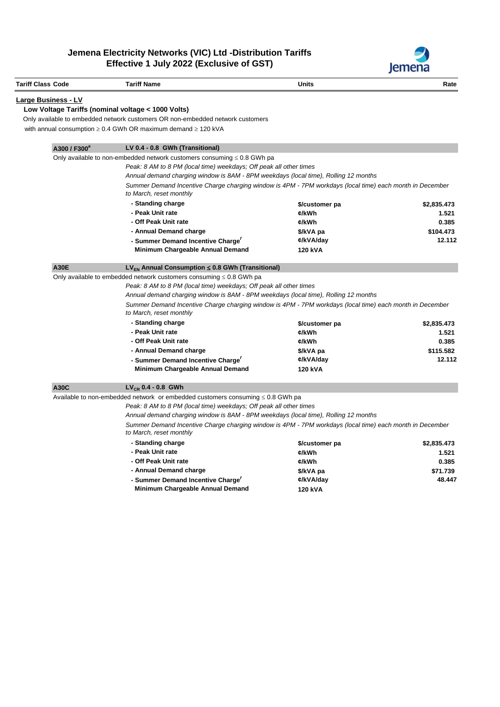

| <b>Tariff Class Code</b>   |                          | <b>Tariff Name</b>                                                                                                                  | <b>Units</b>   | Rate        |
|----------------------------|--------------------------|-------------------------------------------------------------------------------------------------------------------------------------|----------------|-------------|
| <b>Large Business - LV</b> |                          | Low Voltage Tariffs (nominal voltage < 1000 Volts)                                                                                  |                |             |
|                            |                          | Only available to embedded network customers OR non-embedded network customers                                                      |                |             |
|                            |                          | with annual consumption $\geq 0.4$ GWh OR maximum demand $\geq 120$ kVA                                                             |                |             |
|                            | A300 / F300 <sup>a</sup> | LV 0.4 - 0.8 GWh (Transitional)                                                                                                     |                |             |
|                            |                          | Only available to non-embedded network customers consuming $\leq 0.8$ GWh pa                                                        |                |             |
|                            |                          | Peak: 8 AM to 8 PM (local time) weekdays; Off peak all other times                                                                  |                |             |
|                            |                          | Annual demand charging window is 8AM - 8PM weekdays (local time), Rolling 12 months                                                 |                |             |
|                            |                          | Summer Demand Incentive Charge charging window is 4PM - 7PM workdays (local time) each month in December<br>to March, reset monthly |                |             |
|                            |                          | - Standing charge                                                                                                                   | \$/customer pa | \$2,835.473 |
|                            |                          | - Peak Unit rate                                                                                                                    | ¢/kWh          | 1.521       |
|                            |                          | - Off Peak Unit rate                                                                                                                | ¢/kWh          | 0.385       |
|                            |                          | - Annual Demand charge                                                                                                              | \$/kVA pa      | \$104.473   |
|                            |                          | - Summer Demand Incentive Charge'                                                                                                   | ¢/kVA/day      | 12.112      |
|                            |                          | Minimum Chargeable Annual Demand                                                                                                    | 120 kVA        |             |
|                            | <b>A30E</b>              | $LV_{EN}$ Annual Consumption $\leq$ 0.8 GWh (Transitional)                                                                          |                |             |
|                            |                          | Only available to embedded network customers consuming $\leq 0.8$ GWh pa                                                            |                |             |
|                            |                          | Peak: 8 AM to 8 PM (local time) weekdays; Off peak all other times                                                                  |                |             |
|                            |                          | Annual demand charging window is 8AM - 8PM weekdays (local time), Rolling 12 months                                                 |                |             |
|                            |                          | Summer Demand Incentive Charge charging window is 4PM - 7PM workdays (local time) each month in December<br>to March, reset monthly |                |             |
|                            |                          | - Standing charge                                                                                                                   | \$/customer pa | \$2,835.473 |
|                            |                          | - Peak Unit rate                                                                                                                    | ¢/kWh          | 1.521       |
|                            |                          | - Off Peak Unit rate                                                                                                                | ¢/kWh          | 0.385       |
|                            |                          | - Annual Demand charge                                                                                                              | \$/kVA pa      | \$115.582   |
|                            |                          | - Summer Demand Incentive Charge'                                                                                                   | ¢/kVA/day      | 12.112      |
|                            |                          | Minimum Chargeable Annual Demand                                                                                                    | <b>120 kVA</b> |             |
|                            | A30C                     | $LV_{CR}$ 0.4 - 0.8 GWh                                                                                                             |                |             |
|                            |                          | Available to non-embedded network or embedded customers consuming $\leq 0.8$ GWh pa                                                 |                |             |
|                            |                          | Peak: 8 AM to 8 PM (local time) weekdays; Off peak all other times                                                                  |                |             |
|                            |                          | Annual demand charging window is 8AM - 8PM weekdays (local time), Rolling 12 months                                                 |                |             |
|                            |                          | Summer Demand Incentive Charge charging window is 4PM - 7PM workdays (local time) each month in December<br>to March, reset monthly |                |             |
|                            |                          | - Standing charge                                                                                                                   | \$/customer pa | \$2,835.473 |
|                            |                          | - Peak Unit rate                                                                                                                    | ¢/kWh          | 1.521       |
|                            |                          | - Off Peak Unit rate                                                                                                                | ¢/kWh          | 0.385       |
|                            |                          | - Annual Demand charge                                                                                                              | \$/kVA pa      | \$71.739    |
|                            |                          | - Summer Demand Incentive Charge'                                                                                                   | ¢/kVA/day      | 48.447      |
|                            |                          | Minimum Chargeable Annual Demand                                                                                                    | <b>120 kVA</b> |             |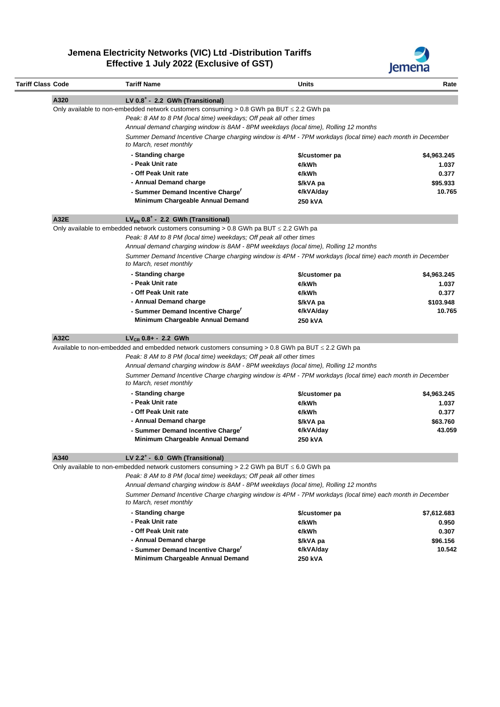

| <b>Tariff Class Code</b> | <b>Tariff Name</b>                                                                                                                                                                                                         | <b>Units</b>   | Rate                                                |
|--------------------------|----------------------------------------------------------------------------------------------------------------------------------------------------------------------------------------------------------------------------|----------------|-----------------------------------------------------|
| A320                     | LV 0.8 <sup>+</sup> - 2.2 GWh (Transitional)                                                                                                                                                                               |                |                                                     |
|                          | Only available to non-embedded network customers consuming $> 0.8$ GWh pa BUT $\leq$ 2.2 GWh pa                                                                                                                            |                |                                                     |
|                          | Peak: 8 AM to 8 PM (local time) weekdays; Off peak all other times                                                                                                                                                         |                |                                                     |
|                          | Annual demand charging window is 8AM - 8PM weekdays (local time), Rolling 12 months                                                                                                                                        |                |                                                     |
|                          | Summer Demand Incentive Charge charging window is 4PM - 7PM workdays (local time) each month in December<br>to March, reset monthly                                                                                        |                |                                                     |
|                          | - Standing charge                                                                                                                                                                                                          | \$/customer pa | \$4,963.245                                         |
|                          | - Peak Unit rate                                                                                                                                                                                                           | ¢/kWh          | 1.037                                               |
|                          | - Off Peak Unit rate                                                                                                                                                                                                       | ¢/kWh          | 0.377                                               |
|                          | - Annual Demand charge                                                                                                                                                                                                     | \$/kVA pa      | \$95.933                                            |
|                          | - Summer Demand Incentive Charge'                                                                                                                                                                                          | ¢/kVA/day      | 10.765                                              |
|                          | Minimum Chargeable Annual Demand                                                                                                                                                                                           | 250 kVA        |                                                     |
| A32E                     | $LV_{EN}$ 0.8 <sup>+</sup> - 2.2 GWh (Transitional)                                                                                                                                                                        |                |                                                     |
|                          | Only available to embedded network customers consuming > 0.8 GWh pa BUT $\leq$ 2.2 GWh pa                                                                                                                                  |                |                                                     |
|                          | Peak: 8 AM to 8 PM (local time) weekdays; Off peak all other times                                                                                                                                                         |                |                                                     |
|                          | Annual demand charging window is 8AM - 8PM weekdays (local time), Rolling 12 months                                                                                                                                        |                |                                                     |
|                          | Summer Demand Incentive Charge charging window is 4PM - 7PM workdays (local time) each month in December                                                                                                                   |                |                                                     |
|                          | to March, reset monthly                                                                                                                                                                                                    |                |                                                     |
|                          | - Standing charge                                                                                                                                                                                                          | \$/customer pa | \$4,963.245                                         |
|                          | - Peak Unit rate                                                                                                                                                                                                           | ¢/kWh          | 1.037                                               |
|                          | - Off Peak Unit rate                                                                                                                                                                                                       | ¢/kWh          | 0.377                                               |
|                          | - Annual Demand charge                                                                                                                                                                                                     | \$/kVA pa      | \$103.948                                           |
|                          | - Summer Demand Incentive Charge <sup>f</sup>                                                                                                                                                                              | ¢/kVA/day      | 10.765                                              |
|                          | Minimum Chargeable Annual Demand                                                                                                                                                                                           | 250 kVA        |                                                     |
|                          |                                                                                                                                                                                                                            |                |                                                     |
|                          | $LV_{CR}$ 0.8+ - 2.2 GWh                                                                                                                                                                                                   |                |                                                     |
|                          |                                                                                                                                                                                                                            |                |                                                     |
| A32C                     |                                                                                                                                                                                                                            |                |                                                     |
|                          | Available to non-embedded and embedded network customers consuming $> 0.8$ GWh pa BUT $\leq$ 2.2 GWh pa                                                                                                                    |                |                                                     |
|                          | Peak: 8 AM to 8 PM (local time) weekdays; Off peak all other times                                                                                                                                                         |                |                                                     |
|                          | Annual demand charging window is 8AM - 8PM weekdays (local time), Rolling 12 months<br>Summer Demand Incentive Charge charging window is 4PM - 7PM workdays (local time) each month in December<br>to March, reset monthly |                |                                                     |
|                          |                                                                                                                                                                                                                            |                |                                                     |
|                          | - Standing charge                                                                                                                                                                                                          | \$/customer pa |                                                     |
|                          | - Peak Unit rate                                                                                                                                                                                                           | ¢/kWh          |                                                     |
|                          | - Off Peak Unit rate                                                                                                                                                                                                       | ¢/kWh          |                                                     |
|                          | - Annual Demand charge                                                                                                                                                                                                     | \$/kVA pa      |                                                     |
|                          | - Summer Demand Incentive Charge'                                                                                                                                                                                          | ¢/kVA/day      |                                                     |
|                          | Minimum Chargeable Annual Demand                                                                                                                                                                                           | <b>250 kVA</b> |                                                     |
| A340                     | LV 2.2 <sup>+</sup> - 6.0 GWh (Transitional)                                                                                                                                                                               |                | \$4,963.245<br>1.037<br>0.377<br>\$63.760<br>43.059 |
|                          | Only available to non-embedded network customers consuming $> 2.2$ GWh pa BUT $\leq 6.0$ GWh pa                                                                                                                            |                |                                                     |
|                          | Peak: 8 AM to 8 PM (local time) weekdays; Off peak all other times                                                                                                                                                         |                |                                                     |
|                          | Annual demand charging window is 8AM - 8PM weekdays (local time), Rolling 12 months                                                                                                                                        |                |                                                     |
|                          | Summer Demand Incentive Charge charging window is 4PM - 7PM workdays (local time) each month in December<br>to March, reset monthly                                                                                        |                |                                                     |
|                          | - Standing charge                                                                                                                                                                                                          | \$/customer pa |                                                     |
|                          | - Peak Unit rate                                                                                                                                                                                                           | ¢/kWh          |                                                     |
|                          | - Off Peak Unit rate                                                                                                                                                                                                       | ¢/kWh          |                                                     |
|                          | - Annual Demand charge                                                                                                                                                                                                     | \$/kVA pa      |                                                     |
|                          | - Summer Demand Incentive Charge'                                                                                                                                                                                          | ¢/kVA/day      | \$7,612.683<br>0.950<br>0.307<br>\$96.156<br>10.542 |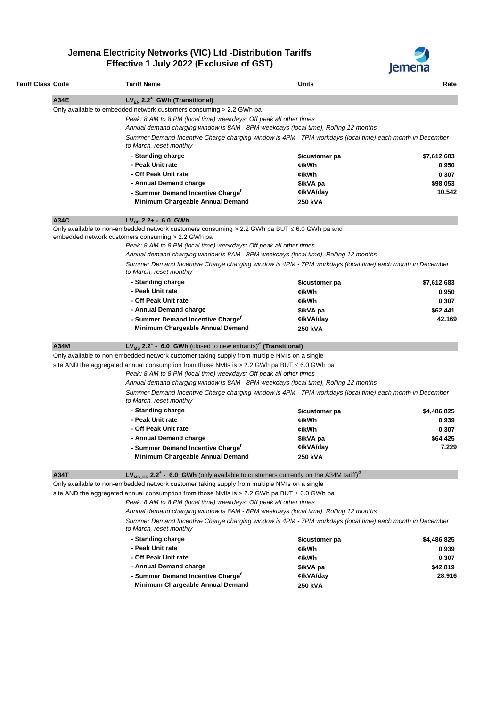

| Tariff Class Code |      | <b>Tariff Name</b>                                                                                                                                        | Units          | Rate        |
|-------------------|------|-----------------------------------------------------------------------------------------------------------------------------------------------------------|----------------|-------------|
|                   | A34E | LV <sub>EN</sub> 2.2 <sup>+</sup> GWh (Transitional)                                                                                                      |                |             |
|                   |      | Only available to embedded network customers consuming > 2.2 GWh pa                                                                                       |                |             |
|                   |      | Peak: 8 AM to 8 PM (local time) weekdays; Off peak all other times<br>Annual demand charging window is 8AM - 8PM weekdays (local time), Rolling 12 months |                |             |
|                   |      | Summer Demand Incentive Charge charging window is 4PM - 7PM workdays (local time) each month in December<br>to March, reset monthly                       |                |             |
|                   |      | - Standing charge                                                                                                                                         | \$/customer pa | \$7,612.683 |
|                   |      | - Peak Unit rate                                                                                                                                          | ¢/kWh          | 0.950       |
|                   |      | - Off Peak Unit rate                                                                                                                                      | ¢/kWh          | 0.307       |
|                   |      | - Annual Demand charge                                                                                                                                    | \$/kVA pa      | \$98.053    |
|                   |      | - Summer Demand Incentive Charge'                                                                                                                         | ¢/kVA/day      | 10.542      |
|                   |      | Minimum Chargeable Annual Demand                                                                                                                          | 250 kVA        |             |
|                   | A34C | $LV_{CR}$ 2.2+ - 6.0 GWh                                                                                                                                  |                |             |
|                   |      | Only available to non-embedded network customers consuming > 2.2 GWh pa BUT $\leq$ 6.0 GWh pa and<br>embedded network customers consuming > 2.2 GWh pa    |                |             |
|                   |      | Peak: 8 AM to 8 PM (local time) weekdays; Off peak all other times                                                                                        |                |             |
|                   |      | Annual demand charging window is 8AM - 8PM weekdays (local time), Rolling 12 months                                                                       |                |             |
|                   |      | Summer Demand Incentive Charge charging window is 4PM - 7PM workdays (local time) each month in December<br>to March, reset monthly                       |                |             |
|                   |      | - Standing charge                                                                                                                                         | \$/customer pa | \$7,612.683 |
|                   |      | - Peak Unit rate                                                                                                                                          | ¢/kWh          | 0.950       |
|                   |      | - Off Peak Unit rate                                                                                                                                      | ¢/kWh          | 0.307       |
|                   |      | - Annual Demand charge                                                                                                                                    | \$/kVA pa      | \$62.441    |
|                   |      | - Summer Demand Incentive Charge'                                                                                                                         | ¢/kVA/day      | 42.169      |
|                   |      | Minimum Chargeable Annual Demand                                                                                                                          | <b>250 kVA</b> |             |
|                   | A34M | $LV_{MS}$ 2.2 <sup>+</sup> - 6.0 GWh (closed to new entrants) <sup>d</sup> (Transitional)                                                                 |                |             |
|                   |      | Only available to non-embedded network customer taking supply from multiple NMIs on a single                                                              |                |             |
|                   |      | site AND the aggregated annual consumption from those NMIs is $> 2.2$ GWh pa BUT $\leq 6.0$ GWh pa                                                        |                |             |
|                   |      | Peak: 8 AM to 8 PM (local time) weekdays; Off peak all other times                                                                                        |                |             |
|                   |      | Annual demand charging window is 8AM - 8PM weekdays (local time), Rolling 12 months                                                                       |                |             |
|                   |      | Summer Demand Incentive Charge charging window is 4PM - 7PM workdays (local time) each month in December<br>to March, reset monthly                       |                |             |
|                   |      | - Standing charge                                                                                                                                         | \$/customer pa | \$4,486.825 |
|                   |      | - Peak Unit rate                                                                                                                                          | ¢/kWh          | 0.939       |
|                   |      | - Off Peak Unit rate                                                                                                                                      | ¢/kWh          | 0.307       |
|                   |      | - Annual Demand charge                                                                                                                                    | \$/kVA pa      | \$64.425    |
|                   |      | - Summer Demand Incentive Charge'                                                                                                                         | ¢/kVA/day      | 7.229       |
|                   |      | Minimum Chargeable Annual Demand                                                                                                                          | 250 kVA        |             |
|                   | A34T | LV <sub>MS CR</sub> 2.2 <sup>+</sup> - 6.0 GWh (only available to customers currently on the A34M tariff) <sup><math>\sigma</math></sup>                  |                |             |
|                   |      | Only available to non-embedded network customer taking supply from multiple NMIs on a single                                                              |                |             |
|                   |      | site AND the aggregated annual consumption from those NMIs is $> 2.2$ GWh pa BUT $\leq 6.0$ GWh pa                                                        |                |             |
|                   |      | Peak: 8 AM to 8 PM (local time) weekdays; Off peak all other times                                                                                        |                |             |
|                   |      | Annual demand charging window is 8AM - 8PM weekdays (local time), Rolling 12 months                                                                       |                |             |
|                   |      | Summer Demand Incentive Charge charging window is 4PM - 7PM workdays (local time) each month in December<br>to March, reset monthly                       |                |             |
|                   |      | - Standing charge                                                                                                                                         | \$/customer pa | \$4,486.825 |
|                   |      | - Peak Unit rate                                                                                                                                          | ¢/kWh          | 0.939       |
|                   |      | - Off Peak Unit rate                                                                                                                                      | ¢/kWh          | 0.307       |
|                   |      | - Annual Demand charge                                                                                                                                    | \$/kVA pa      | \$42.819    |
|                   |      | - Summer Demand Incentive Charge'                                                                                                                         | ¢/kVA/day      | 28.916      |
|                   |      | Minimum Chargeable Annual Demand                                                                                                                          | 250 kVA        |             |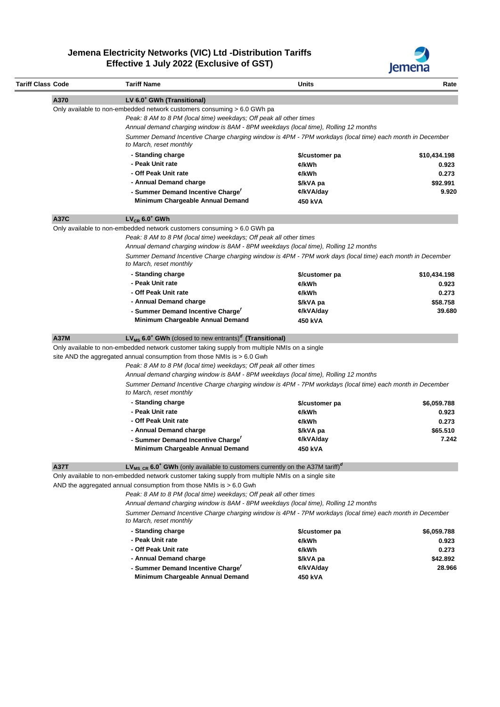

| Tariff Class Code |             | <b>Tariff Name</b>                                                                                                                  | Units                | Rate         |
|-------------------|-------------|-------------------------------------------------------------------------------------------------------------------------------------|----------------------|--------------|
|                   | A370        | LV 6.0 <sup>+</sup> GWh (Transitional)                                                                                              |                      |              |
|                   |             | Only available to non-embedded network customers consuming > 6.0 GWh pa                                                             |                      |              |
|                   |             | Peak: 8 AM to 8 PM (local time) weekdays; Off peak all other times                                                                  |                      |              |
|                   |             | Annual demand charging window is 8AM - 8PM weekdays (local time), Rolling 12 months                                                 |                      |              |
|                   |             | Summer Demand Incentive Charge charging window is 4PM - 7PM workdays (local time) each month in December<br>to March, reset monthly |                      |              |
|                   |             | - Standing charge                                                                                                                   | \$/customer pa       | \$10,434.198 |
|                   |             | - Peak Unit rate                                                                                                                    | ¢/kWh                | 0.923        |
|                   |             | - Off Peak Unit rate                                                                                                                | ¢/kWh                | 0.273        |
|                   |             | - Annual Demand charge                                                                                                              | \$/kVA pa            | \$92.991     |
|                   |             | - Summer Demand Incentive Charge'                                                                                                   | ¢/kVA/day            | 9.920        |
|                   |             | Minimum Chargeable Annual Demand                                                                                                    | 450 kVA              |              |
|                   | <b>A37C</b> | $LV_{CR}$ 6.0 <sup>+</sup> GWh                                                                                                      |                      |              |
|                   |             | Only available to non-embedded network customers consuming > 6.0 GWh pa                                                             |                      |              |
|                   |             | Peak: 8 AM to 8 PM (local time) weekdays; Off peak all other times                                                                  |                      |              |
|                   |             | Annual demand charging window is 8AM - 8PM weekdays (local time), Rolling 12 months                                                 |                      |              |
|                   |             | Summer Demand Incentive Charge charging window is 4PM - 7PM work days (local time) each month in December                           |                      |              |
|                   |             | to March, reset monthly                                                                                                             |                      |              |
|                   |             | - Standing charge                                                                                                                   | \$/customer pa       | \$10,434.198 |
|                   |             | - Peak Unit rate                                                                                                                    | ¢/kWh                | 0.923        |
|                   |             | - Off Peak Unit rate                                                                                                                | ¢/kWh                | 0.273        |
|                   |             | - Annual Demand charge                                                                                                              | \$/kVA pa            | \$58.758     |
|                   |             | - Summer Demand Incentive Charge'                                                                                                   | ¢/kVA/day            | 39.680       |
|                   |             | Minimum Chargeable Annual Demand                                                                                                    | 450 kVA              |              |
|                   | A37M        | $LV_{MS}$ 6.0 <sup>+</sup> GWh (closed to new entrants) <sup><math>d</math></sup> (Transitional)                                    |                      |              |
|                   |             | Only available to non-embedded network customer taking supply from multiple NMIs on a single                                        |                      |              |
|                   |             | site AND the aggregated annual consumption from those NMIs is > 6.0 Gwh                                                             |                      |              |
|                   |             | Peak: 8 AM to 8 PM (local time) weekdays; Off peak all other times                                                                  |                      |              |
|                   |             | Annual demand charging window is 8AM - 8PM weekdays (local time), Rolling 12 months                                                 |                      |              |
|                   |             | Summer Demand Incentive Charge charging window is 4PM - 7PM workdays (local time) each month in December<br>to March, reset monthly |                      |              |
|                   |             | - Standing charge                                                                                                                   | \$/customer pa       | \$6,059.788  |
|                   |             | - Peak Unit rate                                                                                                                    | ¢/kWh                | 0.923        |
|                   |             | - Off Peak Unit rate                                                                                                                | ¢/kWh                | 0.273        |
|                   |             | - Annual Demand charge                                                                                                              | \$/kVA pa            | \$65.510     |
|                   |             | - Summer Demand Incentive Charge'                                                                                                   | ¢/kVA/day            | 7.242        |
|                   |             | Minimum Chargeable Annual Demand                                                                                                    | 450 kVA              |              |
|                   | <b>A37T</b> | $LV_{MS\_CR}$ 6.0 <sup>+</sup> GWh (only available to customers currently on the A37M tariff) <sup>d</sup>                          |                      |              |
|                   |             | Only available to non-embedded network customer taking supply from multiple NMIs on a single site                                   |                      |              |
|                   |             | AND the aggregated annual consumption from those NMIs is $> 6.0$ Gwh                                                                |                      |              |
|                   |             | Peak: 8 AM to 8 PM (local time) weekdays; Off peak all other times                                                                  |                      |              |
|                   |             | Annual demand charging window is 8AM - 8PM weekdays (local time), Rolling 12 months                                                 |                      |              |
|                   |             | Summer Demand Incentive Charge charging window is 4PM - 7PM workdays (local time) each month in December<br>to March, reset monthly |                      |              |
|                   |             | - Standing charge                                                                                                                   | \$/customer pa       | \$6,059.788  |
|                   |             | - Peak Unit rate                                                                                                                    | ¢/kWh                | 0.923        |
|                   |             | - Off Peak Unit rate                                                                                                                | ¢/kWh                | 0.273        |
|                   |             | - Annual Demand charge                                                                                                              | \$/kVA pa            | \$42.892     |
|                   |             |                                                                                                                                     |                      | 28.966       |
|                   |             |                                                                                                                                     |                      |              |
|                   |             | - Summer Demand Incentive Charge'<br>Minimum Chargeable Annual Demand                                                               | ¢/kVA/day<br>450 kVA |              |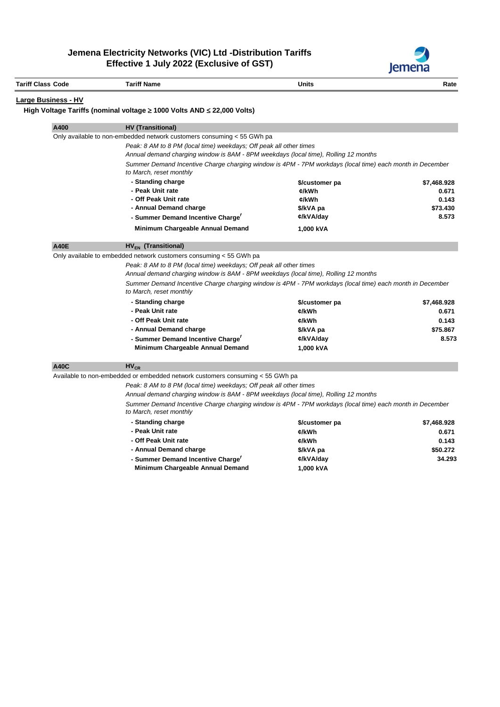

|                          |                                                                                  |                                                                                                          | JULIULO     |
|--------------------------|----------------------------------------------------------------------------------|----------------------------------------------------------------------------------------------------------|-------------|
| <b>Tariff Class Code</b> | <b>Tariff Name</b>                                                               | Units                                                                                                    | Rate        |
| Large Business - HV      |                                                                                  |                                                                                                          |             |
|                          | High Voltage Tariffs (nominal voltage $\geq$ 1000 Volts AND $\leq$ 22,000 Volts) |                                                                                                          |             |
| A400                     | <b>HV (Transitional)</b>                                                         |                                                                                                          |             |
|                          | Only available to non-embedded network customers consuming < 55 GWh pa           |                                                                                                          |             |
|                          | Peak: 8 AM to 8 PM (local time) weekdays; Off peak all other times               | Annual demand charging window is 8AM - 8PM weekdays (local time), Rolling 12 months                      |             |
|                          | to March, reset monthly                                                          | Summer Demand Incentive Charge charging window is 4PM - 7PM workdays (local time) each month in December |             |
|                          | - Standing charge                                                                | \$/customer pa                                                                                           | \$7,468.928 |
|                          | - Peak Unit rate                                                                 | ¢/kWh                                                                                                    | 0.671       |
|                          | - Off Peak Unit rate                                                             | ¢/kWh                                                                                                    | 0.143       |
|                          | - Annual Demand charge                                                           | \$/kVA pa                                                                                                | \$73.430    |
|                          | - Summer Demand Incentive Charge'                                                | ¢/kVA/day                                                                                                | 8.573       |
|                          | Minimum Chargeable Annual Demand                                                 | 1,000 kVA                                                                                                |             |
| <b>A40E</b>              | $HV_{EN}$ (Transitional)                                                         |                                                                                                          |             |
|                          | Only available to embedded network customers consuming < 55 GWh pa               |                                                                                                          |             |
|                          | Peak: 8 AM to 8 PM (local time) weekdays; Off peak all other times               |                                                                                                          |             |
|                          |                                                                                  | Annual demand charging window is 8AM - 8PM weekdays (local time), Rolling 12 months                      |             |
|                          | to March, reset monthly                                                          | Summer Demand Incentive Charge charging window is 4PM - 7PM workdays (local time) each month in December |             |
|                          | - Standing charge                                                                | \$/customer pa                                                                                           | \$7,468.928 |
|                          | - Peak Unit rate                                                                 | ¢/kWh                                                                                                    | 0.671       |
|                          | - Off Peak Unit rate                                                             | ¢/kWh                                                                                                    | 0.143       |
|                          | - Annual Demand charge                                                           | \$/kVA pa                                                                                                | \$75.867    |
|                          | - Summer Demand Incentive Charge <sup>f</sup>                                    | ¢/kVA/day                                                                                                | 8.573       |
|                          | Minimum Chargeable Annual Demand                                                 | 1,000 kVA                                                                                                |             |
| <b>A40C</b>              | $HV_{CR}$                                                                        |                                                                                                          |             |
|                          | Available to non-embedded or embedded network customers consuming < 55 GWh pa    |                                                                                                          |             |
|                          | Peak: 8 AM to 8 PM (local time) weekdays; Off peak all other times               |                                                                                                          |             |
|                          |                                                                                  | Annual demand charging window is 8AM - 8PM weekdays (local time), Rolling 12 months                      |             |
|                          | to March, reset monthly                                                          | Summer Demand Incentive Charge charging window is 4PM - 7PM workdays (local time) each month in December |             |

| \$/customer pa | \$7,468.928 |
|----------------|-------------|
| ¢/kWh          | 0.671       |
| ¢/kWh          | 0.143       |
| \$/kVA pa      | \$50,272    |
| ¢/kVA/day      | 34.293      |
| 1.000 kVA      |             |
|                |             |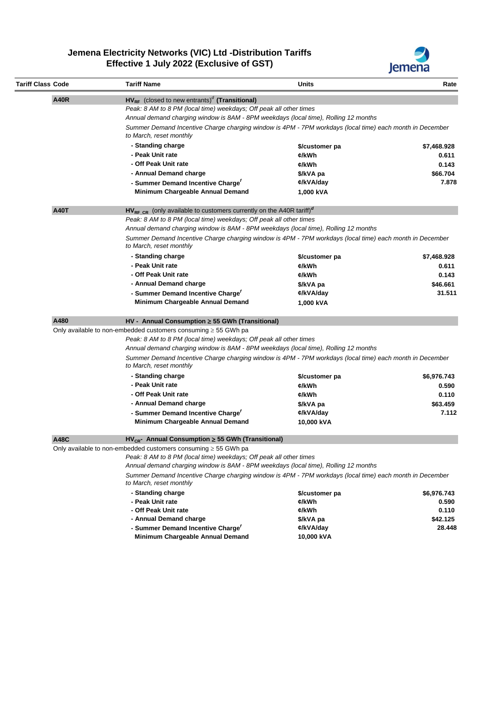

| <b>Tariff Class Code</b> | <b>Tariff Name</b>                                                                                                                  | Units          | Rate        |  |
|--------------------------|-------------------------------------------------------------------------------------------------------------------------------------|----------------|-------------|--|
| <b>A40R</b>              | $H V_{RF}$ (closed to new entrants) <sup>d</sup> (Transitional)                                                                     |                |             |  |
|                          | Peak: 8 AM to 8 PM (local time) weekdays; Off peak all other times                                                                  |                |             |  |
|                          | Annual demand charging window is 8AM - 8PM weekdays (local time), Rolling 12 months                                                 |                |             |  |
|                          | Summer Demand Incentive Charge charging window is 4PM - 7PM workdays (local time) each month in December                            |                |             |  |
|                          | to March, reset monthly                                                                                                             |                |             |  |
|                          | - Standing charge                                                                                                                   | \$/customer pa | \$7,468.928 |  |
|                          | - Peak Unit rate                                                                                                                    | ¢/kWh          | 0.611       |  |
|                          | - Off Peak Unit rate                                                                                                                | ¢/kWh          | 0.143       |  |
|                          | - Annual Demand charge                                                                                                              | \$/kVA pa      | \$66.704    |  |
|                          | - Summer Demand Incentive Charge'                                                                                                   | ¢/kVA/day      | 7.878       |  |
|                          | Minimum Chargeable Annual Demand                                                                                                    | 1,000 kVA      |             |  |
| <b>A40T</b>              | $HV_{RF}$ cR (only available to customers currently on the A40R tariff) <sup>d</sup>                                                |                |             |  |
|                          | Peak: 8 AM to 8 PM (local time) weekdays; Off peak all other times                                                                  |                |             |  |
|                          | Annual demand charging window is 8AM - 8PM weekdays (local time), Rolling 12 months                                                 |                |             |  |
|                          | Summer Demand Incentive Charge charging window is 4PM - 7PM workdays (local time) each month in December                            |                |             |  |
|                          | to March, reset monthly                                                                                                             |                |             |  |
|                          |                                                                                                                                     |                |             |  |
|                          | - Standing charge                                                                                                                   | \$/customer pa | \$7,468.928 |  |
|                          | - Peak Unit rate<br>- Off Peak Unit rate                                                                                            | ¢/kWh          | 0.611       |  |
|                          |                                                                                                                                     | ¢/kWh          | 0.143       |  |
|                          | - Annual Demand charge                                                                                                              | \$/kVA pa      | \$46.661    |  |
|                          | - Summer Demand Incentive Charge'                                                                                                   | ¢/kVA/day      | 31.511      |  |
|                          | Minimum Chargeable Annual Demand                                                                                                    | 1,000 kVA      |             |  |
| A480                     | HV - Annual Consumption ≥ 55 GWh (Transitional)                                                                                     |                |             |  |
|                          | Only available to non-embedded customers consuming $\geq$ 55 GWh pa                                                                 |                |             |  |
|                          | Peak: 8 AM to 8 PM (local time) weekdays; Off peak all other times                                                                  |                |             |  |
|                          | Annual demand charging window is 8AM - 8PM weekdays (local time), Rolling 12 months                                                 |                |             |  |
|                          | Summer Demand Incentive Charge charging window is 4PM - 7PM workdays (local time) each month in December<br>to March, reset monthly |                |             |  |
|                          | - Standing charge                                                                                                                   | \$/customer pa | \$6,976.743 |  |
|                          | - Peak Unit rate                                                                                                                    | ¢/kWh          | 0.590       |  |
|                          | - Off Peak Unit rate                                                                                                                | ¢/kWh          | 0.110       |  |
|                          | - Annual Demand charge                                                                                                              | \$/kVA pa      | \$63.459    |  |
|                          | - Summer Demand Incentive Charge'                                                                                                   | ¢/kVA/day      | 7.112       |  |
|                          | Minimum Chargeable Annual Demand                                                                                                    | 10,000 kVA     |             |  |
| <b>A48C</b>              | $HV_{CR}$ - Annual Consumption $\geq$ 55 GWh (Transitional)                                                                         |                |             |  |
|                          | Only available to non-embedded customers consuming $\geq$ 55 GWh pa                                                                 |                |             |  |
|                          | Peak: 8 AM to 8 PM (local time) weekdays; Off peak all other times                                                                  |                |             |  |
|                          | Annual demand charging window is 8AM - 8PM weekdays (local time), Rolling 12 months                                                 |                |             |  |
|                          | Summer Demand Incentive Charge charging window is 4PM - 7PM workdays (local time) each month in December<br>to March, reset monthly |                |             |  |
|                          | - Standing charge                                                                                                                   | \$/customer pa | \$6,976.743 |  |
|                          | - Peak Unit rate                                                                                                                    | ¢/kWh          | 0.590       |  |
|                          | - Off Peak Unit rate                                                                                                                | ¢/kWh          | 0.110       |  |
|                          | - Annual Demand charge                                                                                                              | \$/kVA pa      | \$42.125    |  |
|                          | - Summer Demand Incentive Charge'                                                                                                   | ¢/kVA/day      | 28.448      |  |
|                          | Minimum Chargeable Annual Demand                                                                                                    | 10,000 kVA     |             |  |
|                          |                                                                                                                                     |                |             |  |
|                          |                                                                                                                                     |                |             |  |
|                          |                                                                                                                                     |                |             |  |
|                          |                                                                                                                                     |                |             |  |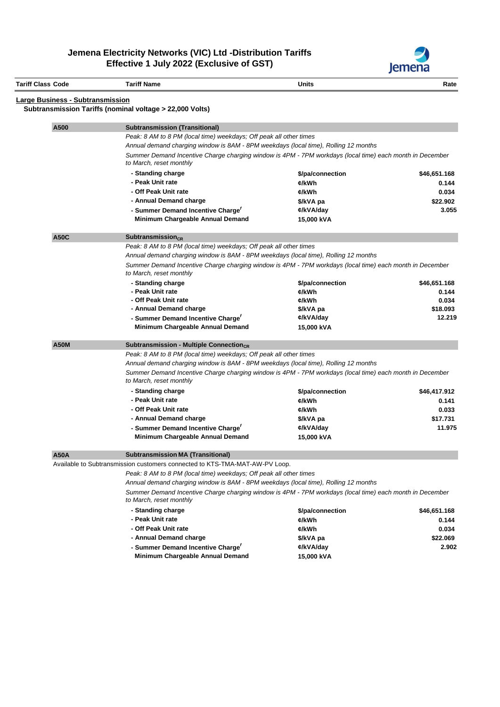

| <b>Tariff Class Code</b>                | <b>Tariff Name</b>                                                                                                                  | <b>Units</b>     | Rate         |
|-----------------------------------------|-------------------------------------------------------------------------------------------------------------------------------------|------------------|--------------|
| <b>Large Business - Subtransmission</b> |                                                                                                                                     |                  |              |
|                                         | Subtransmission Tariffs (nominal voltage > 22,000 Volts)                                                                            |                  |              |
| A500                                    | Subtransmission (Transitional)                                                                                                      |                  |              |
|                                         | Peak: 8 AM to 8 PM (local time) weekdays; Off peak all other times                                                                  |                  |              |
|                                         | Annual demand charging window is 8AM - 8PM weekdays (local time), Rolling 12 months                                                 |                  |              |
|                                         | Summer Demand Incentive Charge charging window is 4PM - 7PM workdays (local time) each month in December<br>to March, reset monthly |                  |              |
|                                         | - Standing charge                                                                                                                   | \$/pa/connection | \$46,651.168 |
|                                         | - Peak Unit rate                                                                                                                    | ¢/kWh            | 0.144        |
|                                         | - Off Peak Unit rate                                                                                                                | ¢/kWh            | 0.034        |
|                                         | - Annual Demand charge                                                                                                              | \$/kVA pa        | \$22.902     |
|                                         | - Summer Demand Incentive Charge'                                                                                                   | ¢/kVA/day        | 3.055        |
|                                         | Minimum Chargeable Annual Demand                                                                                                    | 15,000 kVA       |              |
| <b>A50C</b>                             | Subtransmission $_{CR}$                                                                                                             |                  |              |
|                                         | Peak: 8 AM to 8 PM (local time) weekdays; Off peak all other times                                                                  |                  |              |
|                                         | Annual demand charging window is 8AM - 8PM weekdays (local time), Rolling 12 months                                                 |                  |              |
|                                         | Summer Demand Incentive Charge charging window is 4PM - 7PM workdays (local time) each month in December<br>to March, reset monthly |                  |              |
|                                         | - Standing charge                                                                                                                   | \$/pa/connection | \$46,651.168 |
|                                         | - Peak Unit rate                                                                                                                    | ¢/kWh            | 0.144        |
|                                         | - Off Peak Unit rate                                                                                                                | ¢/kWh            | 0.034        |
|                                         | - Annual Demand charge                                                                                                              | \$/kVA pa        | \$18.093     |
|                                         | - Summer Demand Incentive Charge'                                                                                                   | ¢/kVA/day        | 12.219       |
|                                         | Minimum Chargeable Annual Demand                                                                                                    | 15,000 kVA       |              |
| <b>A50M</b>                             | Subtransmission - Multiple Connection <sub>CR</sub>                                                                                 |                  |              |
|                                         | Peak: 8 AM to 8 PM (local time) weekdays; Off peak all other times                                                                  |                  |              |
|                                         | Annual demand charging window is 8AM - 8PM weekdays (local time), Rolling 12 months                                                 |                  |              |
|                                         | Summer Demand Incentive Charge charging window is 4PM - 7PM workdays (local time) each month in December<br>to March, reset monthly |                  |              |
|                                         | - Standing charge                                                                                                                   | \$/pa/connection | \$46,417.912 |
|                                         | - Peak Unit rate                                                                                                                    | ¢/kWh            | 0.141        |
|                                         | - Off Peak Unit rate                                                                                                                | ¢/kWh            | 0.033        |
|                                         | - Annual Demand charge                                                                                                              | \$/kVA pa        | \$17.731     |
|                                         | - Summer Demand Incentive Charge'                                                                                                   | ¢/kVA/day        | 11.975       |
|                                         | Minimum Chargeable Annual Demand                                                                                                    | 15,000 kVA       |              |
| <b>A50A</b>                             | <b>Subtransmission MA (Transitional)</b>                                                                                            |                  |              |
|                                         | Available to Subtransmission customers connected to KTS-TMA-MAT-AW-PV Loop.                                                         |                  |              |
|                                         | Peak: 8 AM to 8 PM (local time) weekdays; Off peak all other times                                                                  |                  |              |
|                                         | Annual demand charging window is 8AM - 8PM weekdays (local time), Rolling 12 months                                                 |                  |              |
|                                         | Summer Demand Incentive Charge charging window is 4PM - 7PM workdays (local time) each month in December<br>to March, reset monthly |                  |              |
|                                         | - Standing charge                                                                                                                   | \$/pa/connection | \$46,651.168 |
|                                         | - Peak Unit rate                                                                                                                    | ¢/kWh            | 0.144        |
|                                         | - Off Peak Unit rate                                                                                                                | ¢/kWh            | 0.034        |
|                                         | - Annual Demand charge                                                                                                              | \$/kVA pa        | \$22.069     |
|                                         | - Summer Demand Incentive Charge'                                                                                                   | ¢/kVA/day        | 2.902        |
|                                         | Minimum Chargeable Annual Demand                                                                                                    | 15,000 kVA       |              |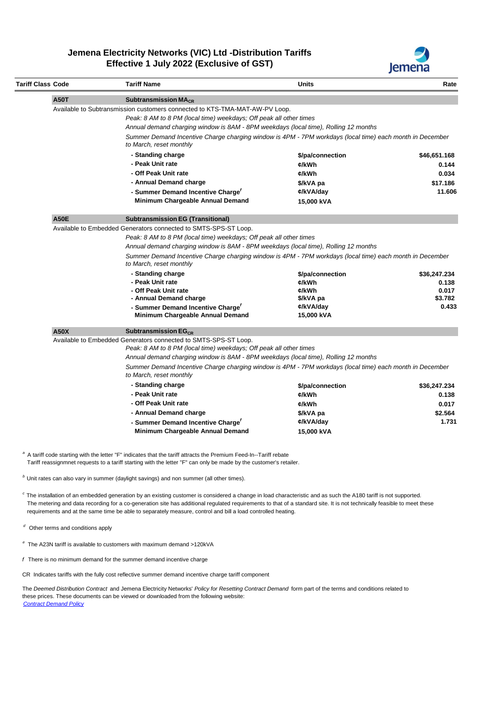

| <b>Tariff Class Code</b> | <b>Tariff Name</b>                                                                                                                                        | Units                  | Rate             |
|--------------------------|-----------------------------------------------------------------------------------------------------------------------------------------------------------|------------------------|------------------|
| <b>A50T</b>              | Subtransmission MA <sub>CR</sub>                                                                                                                          |                        |                  |
|                          | Available to Subtransmission customers connected to KTS-TMA-MAT-AW-PV Loop.                                                                               |                        |                  |
|                          | Peak: 8 AM to 8 PM (local time) weekdays; Off peak all other times                                                                                        |                        |                  |
|                          | Annual demand charging window is 8AM - 8PM weekdays (local time), Rolling 12 months                                                                       |                        |                  |
|                          | Summer Demand Incentive Charge charging window is 4PM - 7PM workdays (local time) each month in December                                                  |                        |                  |
|                          | - Standing charge                                                                                                                                         | \$/pa/connection       | \$46,651.168     |
|                          | - Peak Unit rate                                                                                                                                          | ¢/kWh                  | 0.144            |
|                          | - Off Peak Unit rate                                                                                                                                      | ¢/kWh                  | 0.034            |
|                          | - Annual Demand charge                                                                                                                                    | \$/kVA pa              | \$17.186         |
|                          | - Summer Demand Incentive Charge'                                                                                                                         | ¢/kVA/day              | 11.606           |
|                          | Minimum Chargeable Annual Demand                                                                                                                          | 15,000 kVA             |                  |
| <b>A50E</b>              | <b>Subtransmission EG (Transitional)</b>                                                                                                                  |                        |                  |
|                          | Available to Embedded Generators connected to SMTS-SPS-ST Loop.                                                                                           |                        |                  |
|                          | Peak: 8 AM to 8 PM (local time) weekdays; Off peak all other times<br>Annual demand charging window is 8AM - 8PM weekdays (local time), Rolling 12 months |                        |                  |
|                          | Summer Demand Incentive Charge charging window is 4PM - 7PM workdays (local time) each month in December<br>to March, reset monthly                       |                        |                  |
|                          | - Standing charge                                                                                                                                         | \$/pa/connection       | \$36,247.234     |
|                          | - Peak Unit rate                                                                                                                                          | ¢/kWh                  | 0.138            |
|                          | - Off Peak Unit rate                                                                                                                                      | ¢/kWh                  | 0.017            |
|                          | - Annual Demand charge                                                                                                                                    | \$/kVA pa<br>¢/kVA/day | \$3.782<br>0.433 |
|                          | - Summer Demand Incentive Charge'<br>Minimum Chargeable Annual Demand                                                                                     | 15,000 kVA             |                  |
| <b>A50X</b>              | Subtransmission $EG_{CR}$                                                                                                                                 |                        |                  |
|                          | Available to Embedded Generators connected to SMTS-SPS-ST Loop.                                                                                           |                        |                  |
|                          |                                                                                                                                                           |                        |                  |
|                          | Peak: 8 AM to 8 PM (local time) weekdays; Off peak all other times                                                                                        |                        |                  |
|                          | Annual demand charging window is 8AM - 8PM weekdays (local time), Rolling 12 months                                                                       |                        |                  |
|                          | Summer Demand Incentive Charge charging window is 4PM - 7PM workdays (local time) each month in December<br>to March, reset monthly                       |                        |                  |
|                          | - Standing charge                                                                                                                                         | \$/pa/connection       | \$36,247.234     |
|                          | - Peak Unit rate                                                                                                                                          | ¢/kWh                  | 0.138            |
|                          | - Off Peak Unit rate                                                                                                                                      | ¢/kWh                  | 0.017            |
|                          | - Annual Demand charge                                                                                                                                    | \$/kVA pa              |                  |
|                          | - Summer Demand Incentive Charge'                                                                                                                         | ¢/kVA/day              | \$2.564<br>1.731 |

*<sup>c</sup>* The installation of an embedded generation by an existing customer is considered a change in load characteristic and as such the A180 tariff is not supported. The metering and data recording for a co-generation site has additional regulated requirements to that of a standard site. It is not technically feasible to meet these requirements and at the same time be able to separately measure, control and bill a load controlled heating.

- *<sup>d</sup>* Other terms and conditions apply
- *<sup>e</sup>*The A23N tariff is available to customers with maximum demand >120kVA
- *f* There is no minimum demand for the summer demand incentive charge

CR Indicates tariffs with the fully cost reflective summer demand incentive charge tariff component

 The *Deemed Distribution Contract* and Jemena Electricity Networks' *Policy for Resetting Contract Demand* form part of the terms and conditions related to these prices. These documents can be viewed or downloaded from the following website:  *[Contract Demand Policy](https://jemena.com.au/about/document-centre/electricity/contract-demand-reset-policy)*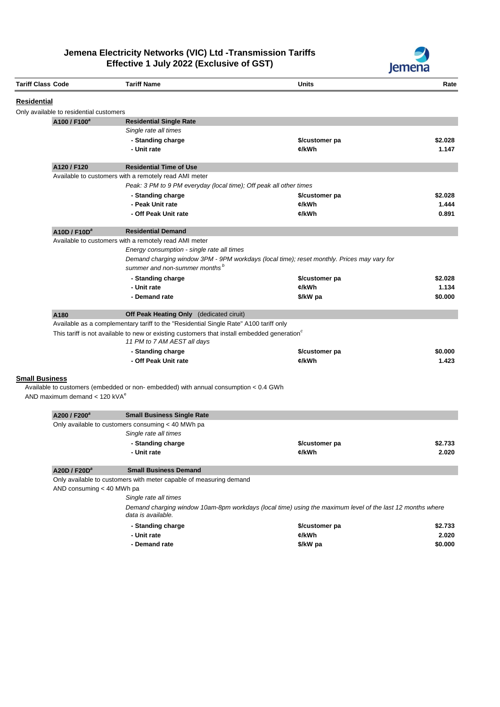

| <b>Tariff Class Code</b> |                                           | <b>Tariff Name</b>                                                                                                                     | Units          | Rate    |
|--------------------------|-------------------------------------------|----------------------------------------------------------------------------------------------------------------------------------------|----------------|---------|
| <b>Residential</b>       |                                           |                                                                                                                                        |                |         |
|                          | Only available to residential customers   |                                                                                                                                        |                |         |
|                          | A100 / F100 <sup>ª</sup>                  | <b>Residential Single Rate</b>                                                                                                         |                |         |
|                          |                                           | Single rate all times                                                                                                                  |                |         |
|                          |                                           | - Standing charge                                                                                                                      | \$/customer pa | \$2.028 |
|                          |                                           | - Unit rate                                                                                                                            | ¢/kWh          | 1.147   |
|                          |                                           |                                                                                                                                        |                |         |
|                          | A120 / F120                               | <b>Residential Time of Use</b>                                                                                                         |                |         |
|                          |                                           | Available to customers with a remotely read AMI meter                                                                                  |                |         |
|                          |                                           | Peak: 3 PM to 9 PM everyday (local time); Off peak all other times                                                                     |                |         |
|                          |                                           | - Standing charge                                                                                                                      | \$/customer pa | \$2.028 |
|                          |                                           | - Peak Unit rate                                                                                                                       | ¢/kWh          | 1.444   |
|                          |                                           | - Off Peak Unit rate                                                                                                                   | ¢/kWh          | 0.891   |
|                          | A10D / F10D <sup>a</sup>                  | <b>Residential Demand</b>                                                                                                              |                |         |
|                          |                                           | Available to customers with a remotely read AMI meter                                                                                  |                |         |
|                          |                                           | Energy consumption - single rate all times                                                                                             |                |         |
|                          |                                           | Demand charging window 3PM - 9PM workdays (local time); reset monthly. Prices may vary for                                             |                |         |
|                          |                                           | summer and non-summer months <sup>b</sup>                                                                                              |                |         |
|                          |                                           | - Standing charge                                                                                                                      | \$/customer pa | \$2.028 |
|                          |                                           | - Unit rate                                                                                                                            | ¢/kWh          | 1.134   |
|                          |                                           | - Demand rate                                                                                                                          | \$/kW pa       | \$0.000 |
| A180                     |                                           | Off Peak Heating Only (dedicated ciruit)                                                                                               |                |         |
|                          |                                           | Available as a complementary tariff to the "Residential Single Rate" A100 tariff only                                                  |                |         |
|                          |                                           | This tariff is not available to new or existing customers that install embedded generation <sup>c</sup><br>11 PM to 7 AM AEST all days |                |         |
|                          |                                           | - Standing charge                                                                                                                      | \$/customer pa | \$0.000 |
|                          |                                           | - Off Peak Unit rate                                                                                                                   | ¢/kWh          | 1.423   |
| <b>Small Business</b>    | AND maximum demand $<$ 120 kVA $^{\circ}$ | Available to customers (embedded or non-embedded) with annual consumption < 0.4 GWh                                                    |                |         |
|                          | A200 / F200 <sup>ª</sup>                  | <b>Small Business Single Rate</b>                                                                                                      |                |         |
|                          |                                           | Only available to customers consuming < 40 MWh pa                                                                                      |                |         |
|                          |                                           | Single rate all times                                                                                                                  |                |         |
|                          |                                           | - Standing charge                                                                                                                      | \$/customer pa | \$2.733 |
|                          |                                           | - Unit rate                                                                                                                            | ¢/kWh          | 2.020   |
|                          | A20D / F20D <sup>a</sup>                  | <b>Small Business Demand</b>                                                                                                           |                |         |
|                          |                                           | Only available to customers with meter capable of measuring demand                                                                     |                |         |
|                          | AND consuming $<$ 40 MWh pa               |                                                                                                                                        |                |         |
|                          |                                           | Single rate all times                                                                                                                  |                |         |
|                          |                                           | Demand charging window 10am-8pm workdays (local time) using the maximum level of the last 12 months where<br>data is available.        |                |         |
|                          |                                           | - Standing charge                                                                                                                      | \$/customer pa | \$2.733 |
|                          |                                           | - Unit rate                                                                                                                            | ¢/kWh          | 2.020   |
|                          |                                           | - Demand rate                                                                                                                          | \$/kW pa       | \$0.000 |
|                          |                                           |                                                                                                                                        |                |         |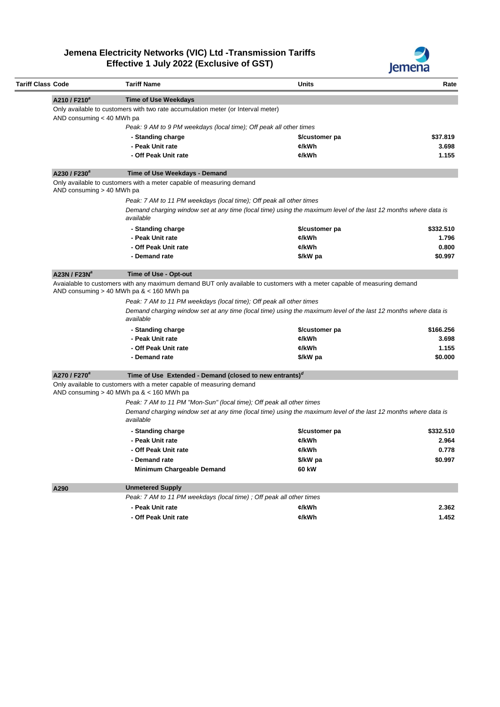

| Tariff Class Code         | <b>Tariff Name</b>                                                                                                                                                                                  | Units          | Rate                          |
|---------------------------|-----------------------------------------------------------------------------------------------------------------------------------------------------------------------------------------------------|----------------|-------------------------------|
| A210 / F210 <sup>a</sup>  | <b>Time of Use Weekdays</b>                                                                                                                                                                         |                |                               |
|                           | Only available to customers with two rate accumulation meter (or Interval meter)                                                                                                                    |                |                               |
| AND consuming < 40 MWh pa |                                                                                                                                                                                                     |                |                               |
|                           | Peak: 9 AM to 9 PM weekdays (local time); Off peak all other times                                                                                                                                  |                |                               |
|                           | - Standing charge                                                                                                                                                                                   | \$/customer pa | \$37.819                      |
|                           | - Peak Unit rate                                                                                                                                                                                    | ¢/kWh          | 3.698                         |
|                           | - Off Peak Unit rate                                                                                                                                                                                | ¢/kWh          | 1.155                         |
| A230 / F230 <sup>ª</sup>  | Time of Use Weekdays - Demand                                                                                                                                                                       |                |                               |
| AND consuming > 40 MWh pa | Only available to customers with a meter capable of measuring demand                                                                                                                                |                |                               |
|                           | Peak: 7 AM to 11 PM weekdays (local time); Off peak all other times                                                                                                                                 |                |                               |
|                           | Demand charging window set at any time (local time) using the maximum level of the last 12 months where data is<br>available                                                                        |                |                               |
|                           | - Standing charge                                                                                                                                                                                   | \$/customer pa | \$332.510                     |
|                           | - Peak Unit rate                                                                                                                                                                                    | ¢/kWh          | 1.796                         |
|                           | - Off Peak Unit rate                                                                                                                                                                                | ¢/kWh          | 0.800                         |
|                           | - Demand rate                                                                                                                                                                                       | \$/kW pa       | \$0.997                       |
| A23N / F23N <sup>a</sup>  | Time of Use - Opt-out                                                                                                                                                                               |                |                               |
|                           | Peak: 7 AM to 11 PM weekdays (local time); Off peak all other times<br>Demand charging window set at any time (local time) using the maximum level of the last 12 months where data is<br>available |                |                               |
|                           | - Standing charge                                                                                                                                                                                   | \$/customer pa | \$166.256                     |
|                           | - Peak Unit rate                                                                                                                                                                                    | ¢/kWh          | 3.698                         |
|                           | - Off Peak Unit rate                                                                                                                                                                                | ¢/kWh          | 1.155                         |
|                           | - Demand rate                                                                                                                                                                                       | \$/kW pa       | \$0.000                       |
| A270 / F270 <sup>a</sup>  | Time of Use Extended - Demand (closed to new entrants) $d$                                                                                                                                          |                |                               |
|                           | Only available to customers with a meter capable of measuring demand<br>AND consuming > 40 MWh pa & < 160 MWh pa                                                                                    |                |                               |
|                           | Peak: 7 AM to 11 PM "Mon-Sun" (local time); Off peak all other times                                                                                                                                |                |                               |
|                           |                                                                                                                                                                                                     |                |                               |
|                           | Demand charging window set at any time (local time) using the maximum level of the last 12 months where data is<br>available                                                                        |                |                               |
|                           | - Standing charge                                                                                                                                                                                   | \$/customer pa |                               |
|                           | - Peak Unit rate                                                                                                                                                                                    | ¢/kWh          | 2.964                         |
|                           | Off Peak Unit rate                                                                                                                                                                                  | ¢/kWh          |                               |
|                           | - Demand rate                                                                                                                                                                                       | \$/kW pa       |                               |
|                           | Minimum Chargeable Demand                                                                                                                                                                           | 60 kW          |                               |
| A290                      | <b>Unmetered Supply</b>                                                                                                                                                                             |                |                               |
|                           | Peak: 7 AM to 11 PM weekdays (local time); Off peak all other times                                                                                                                                 |                | \$332.510<br>0.778<br>\$0.997 |
|                           | - Peak Unit rate                                                                                                                                                                                    | ¢/kWh          | 2.362                         |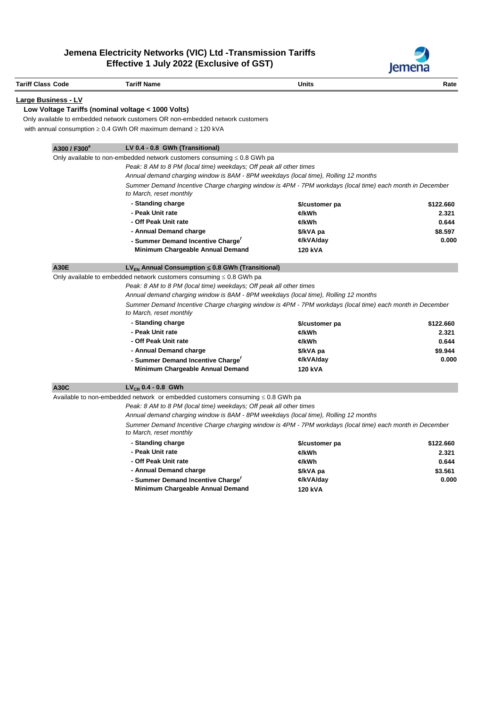

| <b>Tariff Class Code</b>    | <b>Tariff Name</b>                                                                                                                  | <b>Units</b>                                                                        | Rate      |  |  |
|-----------------------------|-------------------------------------------------------------------------------------------------------------------------------------|-------------------------------------------------------------------------------------|-----------|--|--|
| <u> Large Business - LV</u> |                                                                                                                                     |                                                                                     |           |  |  |
|                             | Low Voltage Tariffs (nominal voltage < 1000 Volts)                                                                                  |                                                                                     |           |  |  |
|                             | Only available to embedded network customers OR non-embedded network customers                                                      |                                                                                     |           |  |  |
|                             | with annual consumption $\geq 0.4$ GWh OR maximum demand $\geq 120$ kVA                                                             |                                                                                     |           |  |  |
| A300 / F300 <sup>a</sup>    | LV 0.4 - 0.8 GWh (Transitional)                                                                                                     |                                                                                     |           |  |  |
|                             | Only available to non-embedded network customers consuming $\leq 0.8$ GWh pa                                                        |                                                                                     |           |  |  |
|                             | Peak: 8 AM to 8 PM (local time) weekdays; Off peak all other times                                                                  |                                                                                     |           |  |  |
|                             | Annual demand charging window is 8AM - 8PM weekdays (local time), Rolling 12 months                                                 |                                                                                     |           |  |  |
|                             | Summer Demand Incentive Charge charging window is 4PM - 7PM workdays (local time) each month in December<br>to March, reset monthly |                                                                                     |           |  |  |
|                             | - Standing charge                                                                                                                   | \$/customer pa                                                                      | \$122,660 |  |  |
|                             | - Peak Unit rate                                                                                                                    | ¢/kWh                                                                               | 2.321     |  |  |
|                             | - Off Peak Unit rate                                                                                                                | ¢/kWh                                                                               | 0.644     |  |  |
|                             | - Annual Demand charge                                                                                                              | \$/kVA pa                                                                           | \$8.597   |  |  |
|                             | - Summer Demand Incentive Charge'                                                                                                   | ¢/kVA/day                                                                           | 0.000     |  |  |
|                             | Minimum Chargeable Annual Demand                                                                                                    | <b>120 kVA</b>                                                                      |           |  |  |
| <b>A30E</b>                 | $LV_{EN}$ Annual Consumption $\leq 0.8$ GWh (Transitional)                                                                          |                                                                                     |           |  |  |
|                             | Only available to embedded network customers consuming $\leq 0.8$ GWh pa                                                            |                                                                                     |           |  |  |
|                             | Peak: 8 AM to 8 PM (local time) weekdays; Off peak all other times                                                                  |                                                                                     |           |  |  |
|                             |                                                                                                                                     | Annual demand charging window is 8AM - 8PM weekdays (local time), Rolling 12 months |           |  |  |
|                             | Summer Demand Incentive Charge charging window is 4PM - 7PM workdays (local time) each month in December<br>to March, reset monthly |                                                                                     |           |  |  |
|                             | - Standing charge                                                                                                                   | \$/customer pa                                                                      | \$122.660 |  |  |
|                             | - Peak Unit rate                                                                                                                    | ¢/kWh                                                                               | 2.321     |  |  |
|                             | - Off Peak Unit rate                                                                                                                | ¢/kWh                                                                               | 0.644     |  |  |
|                             | - Annual Demand charge                                                                                                              | \$/kVA pa                                                                           | \$9.944   |  |  |
|                             | - Summer Demand Incentive Charge'                                                                                                   | ¢/kVA/day                                                                           | 0.000     |  |  |
|                             | Minimum Chargeable Annual Demand                                                                                                    | 120 kVA                                                                             |           |  |  |
| A30C                        | $LV_{CR}$ 0.4 - 0.8 GWh                                                                                                             |                                                                                     |           |  |  |
|                             | Available to non-embedded network or embedded customers consuming $\leq 0.8$ GWh pa                                                 |                                                                                     |           |  |  |
|                             | Peak: 8 AM to 8 PM (local time) weekdays; Off peak all other times                                                                  |                                                                                     |           |  |  |
|                             | Annual demand charging window is 8AM - 8PM weekdays (local time), Rolling 12 months                                                 |                                                                                     |           |  |  |
|                             | Summer Demand Incentive Charge charging window is 4PM - 7PM workdays (local time) each month in December<br>to March, reset monthly |                                                                                     |           |  |  |
|                             | - Standing charge                                                                                                                   | \$/customer pa                                                                      | \$122.660 |  |  |
|                             | - Peak Unit rate                                                                                                                    | ¢/kWh                                                                               | 2.321     |  |  |
|                             | - Off Peak Unit rate                                                                                                                | ¢/kWh                                                                               | 0.644     |  |  |
|                             | - Annual Demand charge                                                                                                              | \$/kVA pa                                                                           | \$3.561   |  |  |
|                             | - Summer Demand Incentive Charge'                                                                                                   | ¢/kVA/day                                                                           | 0.000     |  |  |
|                             | Minimum Chargeable Annual Demand                                                                                                    | <b>120 kVA</b>                                                                      |           |  |  |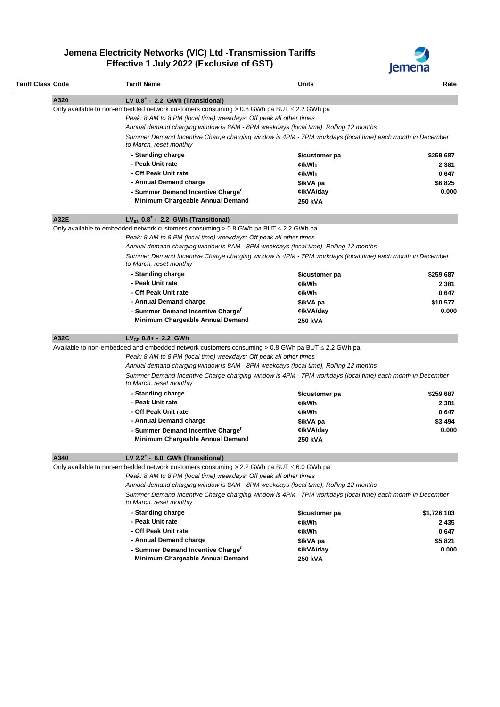

| <b>Tariff Class Code</b> |                                                                                                     | <b>Tariff Name</b>                                                                                                                  | Units          | Rate                                              |  |
|--------------------------|-----------------------------------------------------------------------------------------------------|-------------------------------------------------------------------------------------------------------------------------------------|----------------|---------------------------------------------------|--|
|                          | A320                                                                                                | LV 0.8 <sup>+</sup> - 2.2 GWh (Transitional)                                                                                        |                |                                                   |  |
|                          | Only available to non-embedded network customers consuming $> 0.8$ GWh pa BUT $\leq 2.2$ GWh pa     |                                                                                                                                     |                |                                                   |  |
|                          |                                                                                                     | Peak: 8 AM to 8 PM (local time) weekdays; Off peak all other times                                                                  |                |                                                   |  |
|                          |                                                                                                     | Annual demand charging window is 8AM - 8PM weekdays (local time), Rolling 12 months                                                 |                |                                                   |  |
|                          |                                                                                                     | Summer Demand Incentive Charge charging window is 4PM - 7PM workdays (local time) each month in December<br>to March, reset monthly |                |                                                   |  |
|                          |                                                                                                     | - Standing charge                                                                                                                   | \$/customer pa | \$259.687                                         |  |
|                          |                                                                                                     | - Peak Unit rate                                                                                                                    | ¢/kWh          | 2.381                                             |  |
|                          |                                                                                                     | - Off Peak Unit rate                                                                                                                | ¢/kWh          | 0.647                                             |  |
|                          |                                                                                                     | - Annual Demand charge                                                                                                              | \$/kVA pa      | \$6.825                                           |  |
|                          |                                                                                                     | - Summer Demand Incentive Charge'                                                                                                   | ¢/kVA/day      | 0.000                                             |  |
|                          |                                                                                                     | Minimum Chargeable Annual Demand                                                                                                    | 250 kVA        |                                                   |  |
|                          |                                                                                                     | $LV_{EN}$ 0.8 <sup>+</sup> - 2.2 GWh (Transitional)                                                                                 |                |                                                   |  |
|                          | A32E<br>Only available to embedded network customers consuming $> 0.8$ GWh pa BUT $\leq 2.2$ GWh pa |                                                                                                                                     |                |                                                   |  |
|                          | Peak: 8 AM to 8 PM (local time) weekdays; Off peak all other times                                  |                                                                                                                                     |                |                                                   |  |
|                          | Annual demand charging window is 8AM - 8PM weekdays (local time), Rolling 12 months                 |                                                                                                                                     |                |                                                   |  |
|                          |                                                                                                     | Summer Demand Incentive Charge charging window is 4PM - 7PM workdays (local time) each month in December                            |                |                                                   |  |
|                          |                                                                                                     | to March, reset monthly                                                                                                             |                |                                                   |  |
|                          |                                                                                                     | - Standing charge                                                                                                                   | \$/customer pa | \$259.687                                         |  |
|                          |                                                                                                     | - Peak Unit rate                                                                                                                    | ¢/kWh          | 2.381                                             |  |
|                          |                                                                                                     | - Off Peak Unit rate                                                                                                                | ¢/kWh          | 0.647                                             |  |
|                          |                                                                                                     | - Annual Demand charge                                                                                                              | \$/kVA pa      | \$10.577                                          |  |
|                          |                                                                                                     | - Summer Demand Incentive Charge'                                                                                                   | ¢/kVA/day      | 0.000                                             |  |
|                          |                                                                                                     | Minimum Chargeable Annual Demand                                                                                                    | 250 kVA        |                                                   |  |
|                          |                                                                                                     |                                                                                                                                     |                |                                                   |  |
|                          |                                                                                                     |                                                                                                                                     |                |                                                   |  |
|                          | A32C                                                                                                | $LV_{CR}$ 0.8+ - 2.2 GWh                                                                                                            |                |                                                   |  |
|                          |                                                                                                     | Available to non-embedded and embedded network customers consuming $> 0.8$ GWh pa BUT $\leq 2.2$ GWh pa                             |                |                                                   |  |
|                          |                                                                                                     | Peak: 8 AM to 8 PM (local time) weekdays; Off peak all other times                                                                  |                |                                                   |  |
|                          |                                                                                                     | Annual demand charging window is 8AM - 8PM weekdays (local time), Rolling 12 months                                                 |                |                                                   |  |
|                          |                                                                                                     | Summer Demand Incentive Charge charging window is 4PM - 7PM workdays (local time) each month in December<br>to March, reset monthly |                |                                                   |  |
|                          |                                                                                                     | - Standing charge                                                                                                                   | \$/customer pa |                                                   |  |
|                          |                                                                                                     | - Peak Unit rate                                                                                                                    | ¢/kWh          |                                                   |  |
|                          |                                                                                                     | - Off Peak Unit rate                                                                                                                | ¢/kWh          |                                                   |  |
|                          |                                                                                                     | - Annual Demand charge                                                                                                              | \$/kVA pa      |                                                   |  |
|                          |                                                                                                     | - Summer Demand Incentive Charge'                                                                                                   | ¢/kVA/day      |                                                   |  |
|                          |                                                                                                     | Minimum Chargeable Annual Demand                                                                                                    | <b>250 kVA</b> |                                                   |  |
|                          | A340                                                                                                | LV 2.2 <sup>+</sup> - 6.0 GWh (Transitional)                                                                                        |                | \$259.687<br>2.381<br>0.647<br>\$3.494<br>0.000   |  |
|                          |                                                                                                     | Only available to non-embedded network customers consuming $>$ 2.2 GWh pa BUT $\leq$ 6.0 GWh pa                                     |                |                                                   |  |
|                          |                                                                                                     | Peak: 8 AM to 8 PM (local time) weekdays; Off peak all other times                                                                  |                |                                                   |  |
|                          |                                                                                                     | Annual demand charging window is 8AM - 8PM weekdays (local time), Rolling 12 months                                                 |                |                                                   |  |
|                          |                                                                                                     | Summer Demand Incentive Charge charging window is 4PM - 7PM workdays (local time) each month in December<br>to March, reset monthly |                |                                                   |  |
|                          |                                                                                                     | - Standing charge                                                                                                                   | \$/customer pa |                                                   |  |
|                          |                                                                                                     | - Peak Unit rate                                                                                                                    | ¢/kWh          |                                                   |  |
|                          |                                                                                                     | - Off Peak Unit rate                                                                                                                | ¢/kWh          |                                                   |  |
|                          |                                                                                                     | - Annual Demand charge                                                                                                              | \$/kVA pa      |                                                   |  |
|                          |                                                                                                     | - Summer Demand Incentive Charge'                                                                                                   | ¢/kVA/day      | \$1,726.103<br>2.435<br>0.647<br>\$5.821<br>0.000 |  |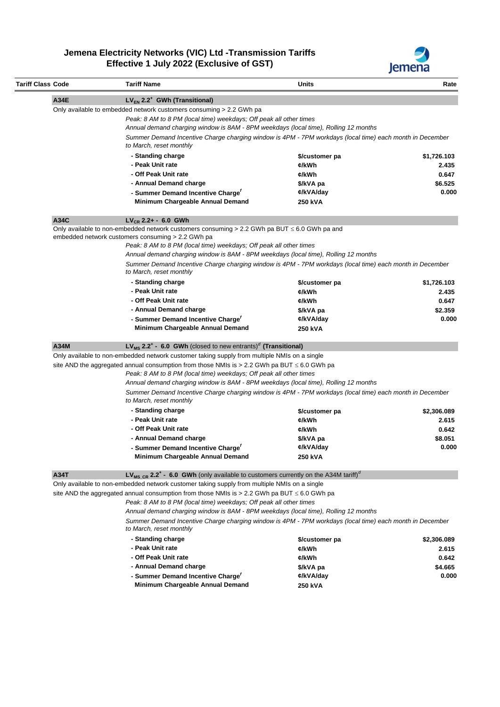

| Tariff Class Code | <b>Tariff Name</b>                                                                                                                                        | Units          | Rate        |
|-------------------|-----------------------------------------------------------------------------------------------------------------------------------------------------------|----------------|-------------|
| A34E              | $LV_{EN}$ 2.2 <sup>+</sup> GWh (Transitional)                                                                                                             |                |             |
|                   | Only available to embedded network customers consuming > 2.2 GWh pa                                                                                       |                |             |
|                   | Peak: 8 AM to 8 PM (local time) weekdays; Off peak all other times                                                                                        |                |             |
|                   | Annual demand charging window is 8AM - 8PM weekdays (local time), Rolling 12 months                                                                       |                |             |
|                   | Summer Demand Incentive Charge charging window is 4PM - 7PM workdays (local time) each month in December                                                  |                |             |
|                   | to March, reset monthly                                                                                                                                   |                |             |
|                   | - Standing charge                                                                                                                                         | \$/customer pa | \$1,726.103 |
|                   | - Peak Unit rate                                                                                                                                          | ¢/kWh          | 2.435       |
|                   | - Off Peak Unit rate                                                                                                                                      | ¢/kWh          | 0.647       |
|                   | - Annual Demand charge                                                                                                                                    | \$/kVA pa      | \$6.525     |
|                   | - Summer Demand Incentive Charge'                                                                                                                         | ¢/kVA/day      | 0.000       |
|                   | Minimum Chargeable Annual Demand                                                                                                                          | 250 kVA        |             |
| A34C              | $LV_{CR}$ 2.2+ - 6.0 GWh                                                                                                                                  |                |             |
|                   | Only available to non-embedded network customers consuming > 2.2 GWh pa BUT $\leq$ 6.0 GWh pa and                                                         |                |             |
|                   | embedded network customers consuming > 2.2 GWh pa                                                                                                         |                |             |
|                   | Peak: 8 AM to 8 PM (local time) weekdays; Off peak all other times                                                                                        |                |             |
|                   | Annual demand charging window is 8AM - 8PM weekdays (local time), Rolling 12 months                                                                       |                |             |
|                   | Summer Demand Incentive Charge charging window is 4PM - 7PM workdays (local time) each month in December<br>to March, reset monthly                       |                |             |
|                   | - Standing charge                                                                                                                                         | \$/customer pa | \$1,726.103 |
|                   | - Peak Unit rate                                                                                                                                          | ¢/kWh          | 2.435       |
|                   | - Off Peak Unit rate                                                                                                                                      | ¢/kWh          | 0.647       |
|                   | - Annual Demand charge                                                                                                                                    | \$/kVA pa      | \$2.359     |
|                   | - Summer Demand Incentive Charge'                                                                                                                         | ¢/kVA/day      | 0.000       |
|                   | Minimum Chargeable Annual Demand                                                                                                                          | 250 kVA        |             |
| A34M              | $LV_{MS}$ 2.2 <sup>+</sup> - 6.0 GWh (closed to new entrants) <sup>d</sup> (Transitional)                                                                 |                |             |
|                   | Only available to non-embedded network customer taking supply from multiple NMIs on a single                                                              |                |             |
|                   | site AND the aggregated annual consumption from those NMIs is $> 2.2$ GWh pa BUT $\leq 6.0$ GWh pa                                                        |                |             |
|                   |                                                                                                                                                           |                |             |
|                   | Peak: 8 AM to 8 PM (local time) weekdays; Off peak all other times<br>Annual demand charging window is 8AM - 8PM weekdays (local time), Rolling 12 months |                |             |
|                   |                                                                                                                                                           |                |             |
|                   | Summer Demand Incentive Charge charging window is 4PM - 7PM workdays (local time) each month in December<br>to March, reset monthly                       |                |             |
|                   |                                                                                                                                                           |                |             |
|                   | - Standing charge                                                                                                                                         | \$/customer pa | \$2,306.089 |
|                   | - Peak Unit rate                                                                                                                                          | ¢/kWh          | 2.615       |
|                   | - Off Peak Unit rate                                                                                                                                      | ¢/kWh          | 0.642       |
|                   | - Annual Demand charge                                                                                                                                    | \$/kVA pa      | \$8.051     |
|                   | - Summer Demand Incentive Charge'                                                                                                                         | ¢/kVA/day      | 0.000       |
|                   | Minimum Chargeable Annual Demand                                                                                                                          | 250 kVA        |             |
| A34T              | LV <sub>MS CR</sub> 2.2 <sup>+</sup> - 6.0 GWh (only available to customers currently on the A34M tariff) <sup><math>\sigma</math></sup>                  |                |             |
|                   | Only available to non-embedded network customer taking supply from multiple NMIs on a single                                                              |                |             |
|                   | site AND the aggregated annual consumption from those NMIs is $> 2.2$ GWh pa BUT $\leq 6.0$ GWh pa                                                        |                |             |
|                   | Peak: 8 AM to 8 PM (local time) weekdays; Off peak all other times                                                                                        |                |             |
|                   | Annual demand charging window is 8AM - 8PM weekdays (local time), Rolling 12 months                                                                       |                |             |
|                   | Summer Demand Incentive Charge charging window is 4PM - 7PM workdays (local time) each month in December<br>to March, reset monthly                       |                |             |
|                   | - Standing charge                                                                                                                                         | \$/customer pa | \$2,306.089 |
|                   | - Peak Unit rate                                                                                                                                          | ¢/kWh          | 2.615       |
|                   | - Off Peak Unit rate                                                                                                                                      | ¢/kWh          | 0.642       |
|                   | - Annual Demand charge                                                                                                                                    | \$/kVA pa      | \$4.665     |
|                   | - Summer Demand Incentive Charge'                                                                                                                         | ¢/kVA/day      | 0.000       |
|                   | Minimum Chargeable Annual Demand                                                                                                                          | 250 kVA        |             |
|                   |                                                                                                                                                           |                |             |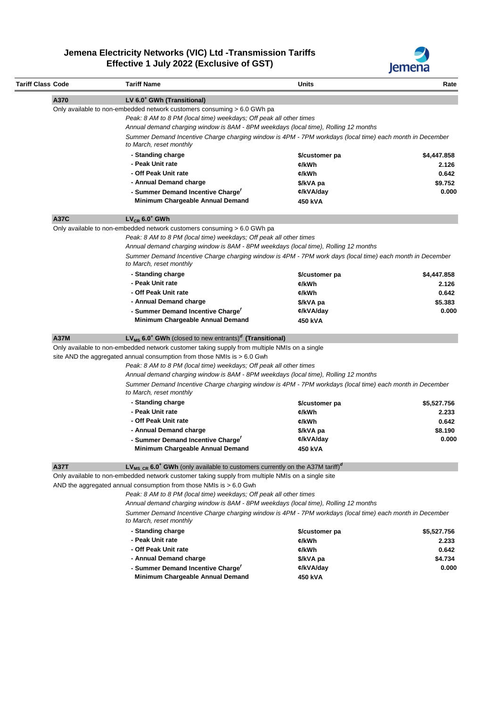

| Tariff Class Code |                                                                         | <b>Tariff Name</b>                                                                                                                         | Units                  | Rate        |  |
|-------------------|-------------------------------------------------------------------------|--------------------------------------------------------------------------------------------------------------------------------------------|------------------------|-------------|--|
|                   | A370                                                                    | LV 6.0 <sup>+</sup> GWh (Transitional)                                                                                                     |                        |             |  |
|                   | Only available to non-embedded network customers consuming > 6.0 GWh pa |                                                                                                                                            |                        |             |  |
|                   |                                                                         | Peak: 8 AM to 8 PM (local time) weekdays; Off peak all other times                                                                         |                        |             |  |
|                   |                                                                         | Annual demand charging window is 8AM - 8PM weekdays (local time), Rolling 12 months                                                        |                        |             |  |
|                   |                                                                         | Summer Demand Incentive Charge charging window is 4PM - 7PM workdays (local time) each month in December<br>to March, reset monthly        |                        |             |  |
|                   |                                                                         | - Standing charge                                                                                                                          | \$/customer pa         | \$4,447.858 |  |
|                   |                                                                         | - Peak Unit rate                                                                                                                           | ¢/kWh                  | 2.126       |  |
|                   |                                                                         | - Off Peak Unit rate                                                                                                                       | ¢/kWh                  | 0.642       |  |
|                   |                                                                         | - Annual Demand charge                                                                                                                     | \$/kVA pa              | \$9.752     |  |
|                   |                                                                         | - Summer Demand Incentive Charge'                                                                                                          | ¢/kVA/day              | 0.000       |  |
|                   |                                                                         | Minimum Chargeable Annual Demand                                                                                                           | 450 kVA                |             |  |
|                   | <b>A37C</b>                                                             | $LV_{CR}$ 6.0 <sup>+</sup> GWh                                                                                                             |                        |             |  |
|                   |                                                                         | Only available to non-embedded network customers consuming > 6.0 GWh pa                                                                    |                        |             |  |
|                   |                                                                         | Peak: 8 AM to 8 PM (local time) weekdays; Off peak all other times                                                                         |                        |             |  |
|                   |                                                                         | Annual demand charging window is 8AM - 8PM weekdays (local time), Rolling 12 months                                                        |                        |             |  |
|                   |                                                                         | Summer Demand Incentive Charge charging window is 4PM - 7PM work days (local time) each month in December<br>to March, reset monthly       |                        |             |  |
|                   |                                                                         | - Standing charge                                                                                                                          | \$/customer pa         | \$4,447.858 |  |
|                   |                                                                         | - Peak Unit rate                                                                                                                           | ¢/kWh                  | 2.126       |  |
|                   |                                                                         | - Off Peak Unit rate                                                                                                                       | ¢/kWh                  | 0.642       |  |
|                   |                                                                         | - Annual Demand charge                                                                                                                     | \$/kVA pa              | \$5.383     |  |
|                   |                                                                         | - Summer Demand Incentive Charge'                                                                                                          | ¢/kVA/day              | 0.000       |  |
|                   |                                                                         | Minimum Chargeable Annual Demand                                                                                                           | 450 kVA                |             |  |
|                   | A37M                                                                    | $LV_{MS}$ 6.0 <sup>+</sup> GWh (closed to new entrants) <sup><math>d</math></sup> (Transitional)                                           |                        |             |  |
|                   |                                                                         | Only available to non-embedded network customer taking supply from multiple NMIs on a single                                               |                        |             |  |
|                   |                                                                         | site AND the aggregated annual consumption from those NMIs is > 6.0 Gwh                                                                    |                        |             |  |
|                   |                                                                         | Peak: 8 AM to 8 PM (local time) weekdays; Off peak all other times                                                                         |                        |             |  |
|                   |                                                                         | Annual demand charging window is 8AM - 8PM weekdays (local time), Rolling 12 months                                                        |                        |             |  |
|                   |                                                                         | Summer Demand Incentive Charge charging window is 4PM - 7PM workdays (local time) each month in December<br>to March, reset monthly        |                        |             |  |
|                   |                                                                         | - Standing charge                                                                                                                          | \$/customer pa         | \$5,527.756 |  |
|                   |                                                                         | - Peak Unit rate                                                                                                                           | ¢/kWh                  | 2.233       |  |
|                   |                                                                         | - Off Peak Unit rate                                                                                                                       | ¢/kWh                  | 0.642       |  |
|                   |                                                                         | - Annual Demand charge                                                                                                                     |                        | \$8.190     |  |
|                   |                                                                         | - Summer Demand Incentive Charge'                                                                                                          | \$/kVA pa<br>¢/kVA/day | 0.000       |  |
|                   |                                                                         | Minimum Chargeable Annual Demand                                                                                                           | 450 kVA                |             |  |
|                   | A37T                                                                    | $LV_{MS\_CR}$ 6.0 <sup>+</sup> GWh (only available to customers currently on the A37M tariff) <sup>d</sup>                                 |                        |             |  |
|                   |                                                                         | Only available to non-embedded network customer taking supply from multiple NMIs on a single site                                          |                        |             |  |
|                   |                                                                         | AND the aggregated annual consumption from those NMIs is $> 6.0$ Gwh<br>Peak: 8 AM to 8 PM (local time) weekdays; Off peak all other times |                        |             |  |
|                   |                                                                         | Annual demand charging window is 8AM - 8PM weekdays (local time), Rolling 12 months                                                        |                        |             |  |
|                   |                                                                         | Summer Demand Incentive Charge charging window is 4PM - 7PM workdays (local time) each month in December<br>to March, reset monthly        |                        |             |  |
|                   |                                                                         | - Standing charge                                                                                                                          | \$/customer pa         | \$5,527.756 |  |
|                   |                                                                         | - Peak Unit rate                                                                                                                           | ¢/kWh                  | 2.233       |  |
|                   |                                                                         | - Off Peak Unit rate                                                                                                                       | ¢/kWh                  | 0.642       |  |
|                   |                                                                         | - Annual Demand charge                                                                                                                     | \$/kVA pa              | \$4.734     |  |
|                   |                                                                         | - Summer Demand Incentive Charge'                                                                                                          | ¢/kVA/day              | 0.000       |  |
|                   |                                                                         | Minimum Chargeable Annual Demand                                                                                                           | 450 kVA                |             |  |
|                   |                                                                         |                                                                                                                                            |                        |             |  |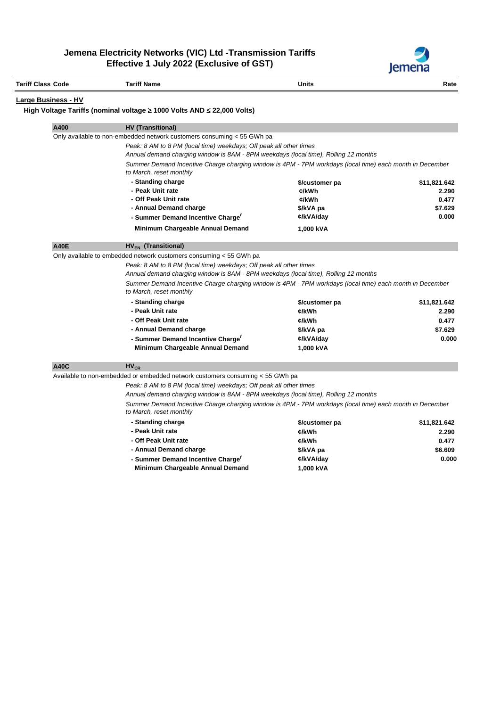

|                            |                    |                                                                                                                                     |                | Jemena       |  |
|----------------------------|--------------------|-------------------------------------------------------------------------------------------------------------------------------------|----------------|--------------|--|
| <b>Tariff Class Code</b>   | <b>Tariff Name</b> |                                                                                                                                     | <b>Units</b>   | Rate         |  |
| <b>Large Business - HV</b> |                    |                                                                                                                                     |                |              |  |
|                            |                    | High Voltage Tariffs (nominal voltage $\geq$ 1000 Volts AND $\leq$ 22,000 Volts)                                                    |                |              |  |
| A400                       |                    | <b>HV (Transitional)</b>                                                                                                            |                |              |  |
|                            |                    | Only available to non-embedded network customers consuming < 55 GWh pa                                                              |                |              |  |
|                            |                    | Peak: 8 AM to 8 PM (local time) weekdays; Off peak all other times                                                                  |                |              |  |
|                            |                    | Annual demand charging window is 8AM - 8PM weekdays (local time), Rolling 12 months                                                 |                |              |  |
|                            |                    | Summer Demand Incentive Charge charging window is 4PM - 7PM workdays (local time) each month in December<br>to March, reset monthly |                |              |  |
|                            |                    | - Standing charge                                                                                                                   | \$/customer pa | \$11,821.642 |  |
|                            |                    | - Peak Unit rate                                                                                                                    | ¢/kWh          | 2.290        |  |
|                            |                    | - Off Peak Unit rate                                                                                                                | ¢/kWh          | 0.477        |  |
|                            |                    | - Annual Demand charge                                                                                                              | \$/kVA pa      | \$7.629      |  |
|                            |                    | - Summer Demand Incentive Charge'                                                                                                   | ¢/kVA/day      | 0.000        |  |
|                            |                    | Minimum Chargeable Annual Demand                                                                                                    | 1,000 kVA      |              |  |
| <b>A40E</b>                |                    | $HV_{EN}$ (Transitional)                                                                                                            |                |              |  |
|                            |                    | Only available to embedded network customers consuming < 55 GWh pa                                                                  |                |              |  |
|                            |                    | Peak: 8 AM to 8 PM (local time) weekdays; Off peak all other times                                                                  |                |              |  |
|                            |                    | Annual demand charging window is 8AM - 8PM weekdays (local time), Rolling 12 months                                                 |                |              |  |
|                            |                    | Summer Demand Incentive Charge charging window is 4PM - 7PM workdays (local time) each month in December<br>to March, reset monthly |                |              |  |
|                            |                    | - Standing charge                                                                                                                   | \$/customer pa | \$11,821.642 |  |
|                            |                    | - Peak Unit rate                                                                                                                    | ¢/kWh          | 2.290        |  |
|                            |                    | - Off Peak Unit rate                                                                                                                | ¢/kWh          | 0.477        |  |
|                            |                    | - Annual Demand charge                                                                                                              | \$/kVA pa      | \$7.629      |  |
|                            |                    | - Summer Demand Incentive Charge <sup>f</sup>                                                                                       | ¢/kVA/day      | 0.000        |  |
|                            |                    | Minimum Chargeable Annual Demand                                                                                                    | 1,000 kVA      |              |  |
| <b>A40C</b>                | $HV_{CR}$          |                                                                                                                                     |                |              |  |
|                            |                    | Available to non-embedded or embedded network customers consuming < 55 GWh pa                                                       |                |              |  |
|                            |                    | Peak: 8 AM to 8 PM (local time) weekdays; Off peak all other times                                                                  |                |              |  |
|                            |                    | Annual demand charging window is 8AM - 8PM weekdays (local time), Rolling 12 months                                                 |                |              |  |
|                            |                    | Summer Demand Incentive Charge charging window is 4PM - 7PM workdays (local time) each month in December<br>to March, reset monthly |                |              |  |

| - Standing charge                 | \$/customer pa | \$11,821.642 |
|-----------------------------------|----------------|--------------|
| - Peak Unit rate                  | ¢/kWh          | 2.290        |
| - Off Peak Unit rate              | ¢/kWh          | 0.477        |
| - Annual Demand charge            | \$/kVA pa      | \$6.609      |
| - Summer Demand Incentive Charge' | ¢/kVA/day      | 0.000        |
| Minimum Chargeable Annual Demand  | 1.000 kVA      |              |
|                                   |                |              |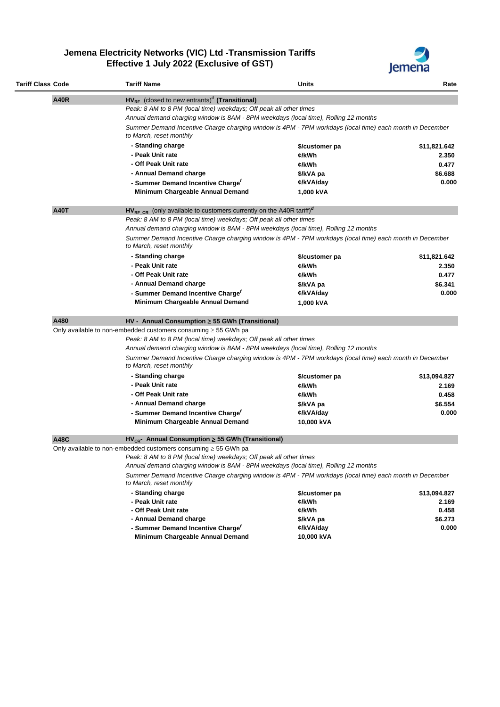

| Tariff Class Code                                              | <b>Tariff Name</b>                                                                         | Units                                                                                                    | Rate                                               |  |  |  |
|----------------------------------------------------------------|--------------------------------------------------------------------------------------------|----------------------------------------------------------------------------------------------------------|----------------------------------------------------|--|--|--|
| <b>A40R</b>                                                    | $H V_{RF}$ (closed to new entrants) <sup>d</sup> (Transitional)                            |                                                                                                          |                                                    |  |  |  |
|                                                                |                                                                                            | Peak: 8 AM to 8 PM (local time) weekdays; Off peak all other times                                       |                                                    |  |  |  |
|                                                                |                                                                                            | Annual demand charging window is 8AM - 8PM weekdays (local time), Rolling 12 months                      |                                                    |  |  |  |
|                                                                | to March, reset monthly                                                                    | Summer Demand Incentive Charge charging window is 4PM - 7PM workdays (local time) each month in December |                                                    |  |  |  |
|                                                                | - Standing charge                                                                          | \$/customer pa                                                                                           | \$11,821.642                                       |  |  |  |
|                                                                | - Peak Unit rate                                                                           | ¢/kWh                                                                                                    | 2.350                                              |  |  |  |
|                                                                | - Off Peak Unit rate                                                                       | ¢/kWh                                                                                                    | 0.477                                              |  |  |  |
|                                                                | - Annual Demand charge                                                                     | \$/kVA pa                                                                                                | \$6.688                                            |  |  |  |
|                                                                | - Summer Demand Incentive Charge'                                                          | ¢/kVA/day                                                                                                | 0.000                                              |  |  |  |
|                                                                | Minimum Chargeable Annual Demand                                                           | 1,000 kVA                                                                                                |                                                    |  |  |  |
| <b>A40T</b>                                                    | $H\dot{V}_{RF}$ cr (only available to customers currently on the A40R tariff) <sup>d</sup> |                                                                                                          |                                                    |  |  |  |
|                                                                | Peak: 8 AM to 8 PM (local time) weekdays; Off peak all other times                         |                                                                                                          |                                                    |  |  |  |
|                                                                |                                                                                            | Annual demand charging window is 8AM - 8PM weekdays (local time), Rolling 12 months                      |                                                    |  |  |  |
|                                                                | to March, reset monthly                                                                    | Summer Demand Incentive Charge charging window is 4PM - 7PM workdays (local time) each month in December |                                                    |  |  |  |
|                                                                | - Standing charge                                                                          | \$/customer pa                                                                                           | \$11,821.642                                       |  |  |  |
|                                                                | - Peak Unit rate                                                                           | ¢/kWh                                                                                                    | 2.350                                              |  |  |  |
|                                                                | - Off Peak Unit rate                                                                       | ¢/kWh                                                                                                    | 0.477                                              |  |  |  |
|                                                                | - Annual Demand charge                                                                     | \$/kVA pa                                                                                                | \$6.341                                            |  |  |  |
|                                                                | - Summer Demand Incentive Charge'                                                          | ¢/kVA/day                                                                                                | 0.000                                              |  |  |  |
|                                                                | Minimum Chargeable Annual Demand                                                           | 1,000 kVA                                                                                                |                                                    |  |  |  |
| A480                                                           |                                                                                            | HV - Annual Consumption ≥ 55 GWh (Transitional)                                                          |                                                    |  |  |  |
|                                                                |                                                                                            |                                                                                                          |                                                    |  |  |  |
| Only available to non-embedded customers consuming ≥ 55 GWh pa |                                                                                            |                                                                                                          |                                                    |  |  |  |
|                                                                | Peak: 8 AM to 8 PM (local time) weekdays; Off peak all other times                         |                                                                                                          |                                                    |  |  |  |
|                                                                |                                                                                            | Annual demand charging window is 8AM - 8PM weekdays (local time), Rolling 12 months                      |                                                    |  |  |  |
|                                                                | to March, reset monthly                                                                    | Summer Demand Incentive Charge charging window is 4PM - 7PM workdays (local time) each month in December |                                                    |  |  |  |
|                                                                | - Standing charge                                                                          |                                                                                                          |                                                    |  |  |  |
|                                                                | - Peak Unit rate                                                                           | \$/customer pa                                                                                           |                                                    |  |  |  |
|                                                                | - Off Peak Unit rate                                                                       | ¢/kWh<br>¢/kWh                                                                                           |                                                    |  |  |  |
|                                                                | - Annual Demand charge                                                                     |                                                                                                          |                                                    |  |  |  |
|                                                                |                                                                                            | \$/kVA pa<br>¢/kVA/day                                                                                   |                                                    |  |  |  |
|                                                                | - Summer Demand Incentive Charge'<br>Minimum Chargeable Annual Demand                      | 10,000 kVA                                                                                               |                                                    |  |  |  |
| A48C                                                           | $HV_{CR}$ - Annual Consumption $\geq$ 55 GWh (Transitional)                                |                                                                                                          | \$13,094.827<br>2.169<br>0.458<br>\$6.554<br>0.000 |  |  |  |
|                                                                | Only available to non-embedded customers consuming $\geq$ 55 GWh pa                        |                                                                                                          |                                                    |  |  |  |
|                                                                | Peak: 8 AM to 8 PM (local time) weekdays; Off peak all other times                         | Annual demand charging window is 8AM - 8PM weekdays (local time), Rolling 12 months                      |                                                    |  |  |  |
|                                                                | to March, reset monthly                                                                    | Summer Demand Incentive Charge charging window is 4PM - 7PM workdays (local time) each month in December |                                                    |  |  |  |
|                                                                | - Standing charge                                                                          | \$/customer pa                                                                                           |                                                    |  |  |  |
|                                                                | - Peak Unit rate                                                                           | ¢/kWh                                                                                                    |                                                    |  |  |  |
|                                                                | - Off Peak Unit rate                                                                       | ¢/kWh                                                                                                    |                                                    |  |  |  |
|                                                                | - Annual Demand charge                                                                     | \$/kVA pa                                                                                                |                                                    |  |  |  |
|                                                                | - Summer Demand Incentive Charge <sup>f</sup><br>Minimum Chargeable Annual Demand          | ¢/kVA/day<br>10,000 kVA                                                                                  | \$13,094.827<br>2.169<br>0.458<br>\$6.273<br>0.000 |  |  |  |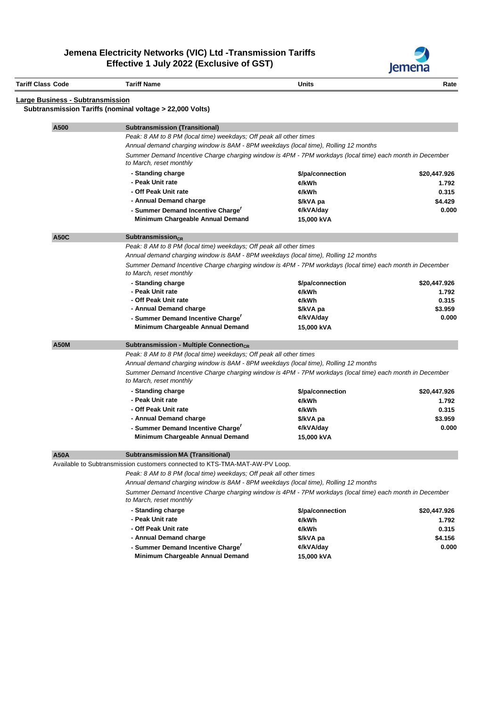

| <b>Tariff Class Code</b> |                                         | <b>Tariff Name</b>                                                                                                                                        | <b>Units</b>              | Rate                  |
|--------------------------|-----------------------------------------|-----------------------------------------------------------------------------------------------------------------------------------------------------------|---------------------------|-----------------------|
|                          | <b>Large Business - Subtransmission</b> |                                                                                                                                                           |                           |                       |
|                          |                                         | Subtransmission Tariffs (nominal voltage > 22,000 Volts)                                                                                                  |                           |                       |
|                          | A500                                    | <b>Subtransmission (Transitional)</b>                                                                                                                     |                           |                       |
|                          |                                         | Peak: 8 AM to 8 PM (local time) weekdays; Off peak all other times<br>Annual demand charging window is 8AM - 8PM weekdays (local time), Rolling 12 months |                           |                       |
|                          |                                         | Summer Demand Incentive Charge charging window is 4PM - 7PM workdays (local time) each month in December                                                  |                           |                       |
|                          |                                         | to March, reset monthly                                                                                                                                   |                           |                       |
|                          |                                         | - Standing charge                                                                                                                                         | \$/pa/connection          | \$20,447.926          |
|                          |                                         | - Peak Unit rate                                                                                                                                          | ¢/kWh                     | 1.792                 |
|                          |                                         | - Off Peak Unit rate                                                                                                                                      | ¢/kWh                     | 0.315                 |
|                          |                                         | - Annual Demand charge                                                                                                                                    | \$/kVA pa                 | \$4.429               |
|                          |                                         | - Summer Demand Incentive Charge'<br>Minimum Chargeable Annual Demand                                                                                     | ¢/kVA/day                 | 0.000                 |
|                          |                                         |                                                                                                                                                           | 15,000 kVA                |                       |
|                          | <b>A50C</b>                             | Subtransmission $_{CR}$                                                                                                                                   |                           |                       |
|                          |                                         | Peak: 8 AM to 8 PM (local time) weekdays; Off peak all other times                                                                                        |                           |                       |
|                          |                                         | Annual demand charging window is 8AM - 8PM weekdays (local time), Rolling 12 months                                                                       |                           |                       |
|                          |                                         | Summer Demand Incentive Charge charging window is 4PM - 7PM workdays (local time) each month in December<br>to March, reset monthly                       |                           |                       |
|                          |                                         | - Standing charge                                                                                                                                         | \$/pa/connection          | \$20,447.926          |
|                          |                                         | - Peak Unit rate                                                                                                                                          | ¢/kWh                     | 1.792                 |
|                          |                                         | - Off Peak Unit rate                                                                                                                                      | ¢/kWh                     | 0.315                 |
|                          |                                         | - Annual Demand charge                                                                                                                                    | \$/kVA pa                 | \$3.959               |
|                          |                                         | - Summer Demand Incentive Charge'<br>Minimum Chargeable Annual Demand                                                                                     | ¢/kVA/day<br>15,000 kVA   | 0.000                 |
|                          |                                         |                                                                                                                                                           |                           |                       |
|                          | <b>A50M</b>                             | Subtransmission - Multiple Connection <sub>CR</sub>                                                                                                       |                           |                       |
|                          |                                         | Peak: 8 AM to 8 PM (local time) weekdays; Off peak all other times<br>Annual demand charging window is 8AM - 8PM weekdays (local time), Rolling 12 months |                           |                       |
|                          |                                         | Summer Demand Incentive Charge charging window is 4PM - 7PM workdays (local time) each month in December                                                  |                           |                       |
|                          |                                         | to March, reset monthly                                                                                                                                   |                           |                       |
|                          |                                         | - Standing charge<br>- Peak Unit rate                                                                                                                     | \$/pa/connection<br>¢/kWh | \$20,447.926<br>1.792 |
|                          |                                         | - Off Peak Unit rate                                                                                                                                      | ¢/kWh                     | 0.315                 |
|                          |                                         | - Annual Demand charge                                                                                                                                    | \$/kVA pa                 | \$3.959               |
|                          |                                         | - Summer Demand Incentive Charge'                                                                                                                         | ¢/kVA/day                 | 0.000                 |
|                          |                                         | Minimum Chargeable Annual Demand                                                                                                                          | 15,000 kVA                |                       |
|                          | <b>A50A</b>                             | <b>Subtransmission MA (Transitional)</b>                                                                                                                  |                           |                       |
|                          |                                         | Available to Subtransmission customers connected to KTS-TMA-MAT-AW-PV Loop.                                                                               |                           |                       |
|                          |                                         | Peak: 8 AM to 8 PM (local time) weekdays; Off peak all other times                                                                                        |                           |                       |
|                          |                                         | Annual demand charging window is 8AM - 8PM weekdays (local time), Rolling 12 months                                                                       |                           |                       |
|                          |                                         | Summer Demand Incentive Charge charging window is 4PM - 7PM workdays (local time) each month in December<br>to March, reset monthly                       |                           |                       |
|                          |                                         | - Standing charge                                                                                                                                         | \$/pa/connection          | \$20,447.926          |
|                          |                                         | - Peak Unit rate                                                                                                                                          | ¢/kWh                     | 1.792                 |
|                          |                                         | - Off Peak Unit rate                                                                                                                                      | ¢/kWh                     | 0.315                 |
|                          |                                         | - Annual Demand charge                                                                                                                                    | \$/kVA pa                 | \$4.156               |
|                          |                                         | - Summer Demand Incentive Charge'<br>Minimum Chargeable Annual Demand                                                                                     | ¢/kVA/day<br>15,000 kVA   | 0.000                 |
|                          |                                         |                                                                                                                                                           |                           |                       |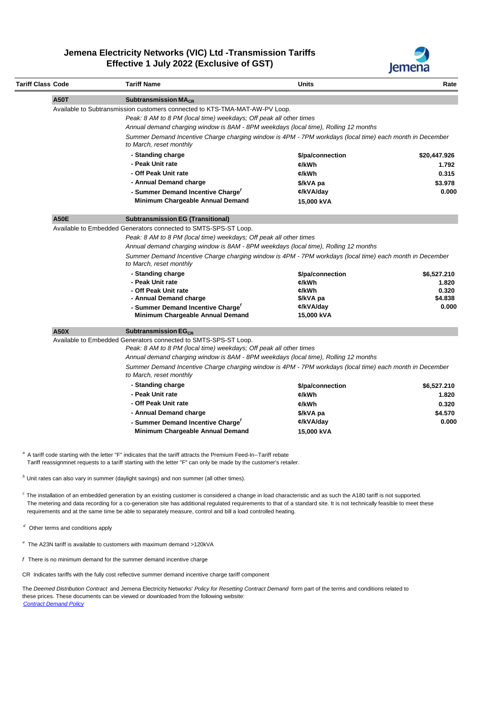

| <b>Tariff Class Code</b>              | <b>Tariff Name</b>                                                                                                                  | <b>Units</b>     | Rate        |  |  |
|---------------------------------------|-------------------------------------------------------------------------------------------------------------------------------------|------------------|-------------|--|--|
| <b>A50T</b>                           | Subtransmission $MA_{CR}$                                                                                                           |                  |             |  |  |
|                                       | Available to Subtransmission customers connected to KTS-TMA-MAT-AW-PV Loop.                                                         |                  |             |  |  |
|                                       | Peak: 8 AM to 8 PM (local time) weekdays; Off peak all other times                                                                  |                  |             |  |  |
|                                       | Annual demand charging window is 8AM - 8PM weekdays (local time), Rolling 12 months                                                 |                  |             |  |  |
|                                       | Summer Demand Incentive Charge charging window is 4PM - 7PM workdays (local time) each month in December<br>to March, reset monthly |                  |             |  |  |
| - Standing charge<br>\$/pa/connection |                                                                                                                                     |                  |             |  |  |
|                                       | - Peak Unit rate                                                                                                                    | ¢/kWh            | 1.792       |  |  |
|                                       | - Off Peak Unit rate                                                                                                                | ¢/kWh            | 0.315       |  |  |
|                                       | - Annual Demand charge                                                                                                              | \$/kVA pa        | \$3.978     |  |  |
|                                       | - Summer Demand Incentive Charge'                                                                                                   | ¢/kVA/day        | 0.000       |  |  |
|                                       | Minimum Chargeable Annual Demand                                                                                                    | 15,000 kVA       |             |  |  |
| <b>A50E</b>                           | <b>Subtransmission EG (Transitional)</b>                                                                                            |                  |             |  |  |
|                                       | Available to Embedded Generators connected to SMTS-SPS-ST Loop.                                                                     |                  |             |  |  |
|                                       | Peak: 8 AM to 8 PM (local time) weekdays; Off peak all other times                                                                  |                  |             |  |  |
|                                       | Annual demand charging window is 8AM - 8PM weekdays (local time), Rolling 12 months                                                 |                  |             |  |  |
|                                       | Summer Demand Incentive Charge charging window is 4PM - 7PM workdays (local time) each month in December<br>to March, reset monthly |                  |             |  |  |
|                                       | - Standing charge                                                                                                                   | \$/pa/connection | \$6,527.210 |  |  |
|                                       | - Peak Unit rate                                                                                                                    | ¢/kWh            | 1.820       |  |  |
|                                       | - Off Peak Unit rate                                                                                                                | ¢/kWh            | 0.320       |  |  |
|                                       | - Annual Demand charge                                                                                                              | \$/kVA pa        | \$4.838     |  |  |
|                                       | - Summer Demand Incentive Charge'                                                                                                   | ¢/kVA/day        | 0.000       |  |  |
|                                       | Minimum Chargeable Annual Demand                                                                                                    | 15,000 kVA       |             |  |  |
| <b>A50X</b>                           | Subtransmission $EG_{CR}$                                                                                                           |                  |             |  |  |
|                                       | Available to Embedded Generators connected to SMTS-SPS-ST Loop.                                                                     |                  |             |  |  |
|                                       | Peak: 8 AM to 8 PM (local time) weekdays; Off peak all other times                                                                  |                  |             |  |  |
|                                       | Annual demand charging window is 8AM - 8PM weekdays (local time), Rolling 12 months                                                 |                  |             |  |  |
|                                       | Summer Demand Incentive Charge charging window is 4PM - 7PM workdays (local time) each month in December<br>to March, reset monthly |                  |             |  |  |
|                                       |                                                                                                                                     |                  |             |  |  |
|                                       | - Standing charge                                                                                                                   | \$/pa/connection | \$6,527.210 |  |  |
|                                       | - Peak Unit rate                                                                                                                    | ¢/kWh            | 1.820       |  |  |
|                                       | - Off Peak Unit rate                                                                                                                | ¢/kWh            | 0.320       |  |  |
|                                       | - Annual Demand charge                                                                                                              | \$/kVA pa        | \$4.570     |  |  |
|                                       | - Summer Demand Incentive Charge'                                                                                                   | ¢/kVA/day        | 0.000       |  |  |

on of an embedded generation by an existing customer is considered a change in load characteristic and as such the A180 t The metering and data recording for a co-generation site has additional regulated requirements to that of a standard site. It is not technically feasible to meet these requirements and at the same time be able to separately measure, control and bill a load controlled heating.

*<sup>d</sup>* Other terms and conditions apply

*<sup>e</sup>*The A23N tariff is available to customers with maximum demand >120kVA

 *f* There is no minimum demand for the summer demand incentive charge

CR Indicates tariffs with the fully cost reflective summer demand incentive charge tariff component

 The *Deemed Distribution Contract* and Jemena Electricity Networks' *Policy for Resetting Contract Demand* form part of the terms and conditions related to these prices. These documents can be viewed or downloaded from the following website:  *[Contract Demand Policy](https://jemena.com.au/about/document-centre/electricity/contract-demand-reset-policy)*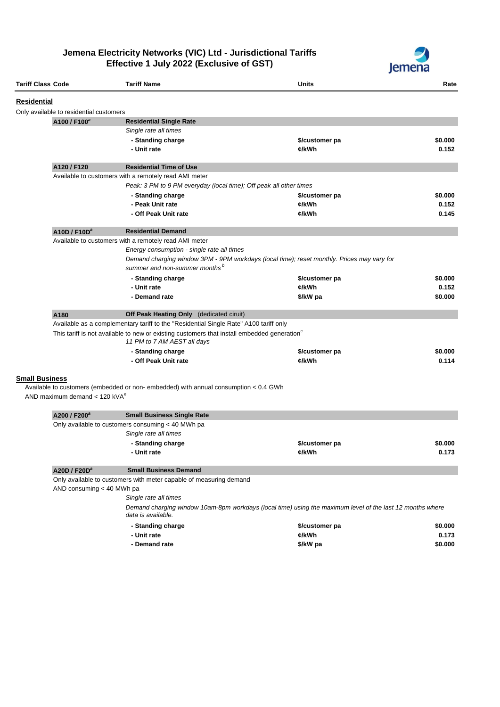

|                       | <b>Tariff Class Code</b>                    | <b>Tariff Name</b>                                                                                                                     | <b>Units</b>   | Rate             |
|-----------------------|---------------------------------------------|----------------------------------------------------------------------------------------------------------------------------------------|----------------|------------------|
| Residential           |                                             |                                                                                                                                        |                |                  |
|                       | Only available to residential customers     |                                                                                                                                        |                |                  |
|                       | A100 / F100 <sup>ª</sup>                    | <b>Residential Single Rate</b>                                                                                                         |                |                  |
|                       |                                             | Single rate all times                                                                                                                  |                |                  |
|                       |                                             | - Standing charge                                                                                                                      | \$/customer pa | \$0.000          |
|                       |                                             | - Unit rate                                                                                                                            | ¢/kWh          | 0.152            |
|                       | A120 / F120                                 | <b>Residential Time of Use</b>                                                                                                         |                |                  |
|                       |                                             | Available to customers with a remotely read AMI meter                                                                                  |                |                  |
|                       |                                             | Peak: 3 PM to 9 PM everyday (local time); Off peak all other times                                                                     |                |                  |
|                       |                                             | - Standing charge                                                                                                                      | \$/customer pa | \$0.000          |
|                       |                                             | - Peak Unit rate                                                                                                                       | ¢/kWh          | 0.152            |
|                       |                                             | - Off Peak Unit rate                                                                                                                   | ¢/kWh          | 0.145            |
|                       | A10D / F10D <sup>a</sup>                    | <b>Residential Demand</b>                                                                                                              |                |                  |
|                       |                                             | Available to customers with a remotely read AMI meter                                                                                  |                |                  |
|                       |                                             | Energy consumption - single rate all times                                                                                             |                |                  |
|                       |                                             | Demand charging window 3PM - 9PM workdays (local time); reset monthly. Prices may vary for                                             |                |                  |
|                       |                                             | summer and non-summer months <sup>b</sup>                                                                                              |                |                  |
|                       |                                             | - Standing charge                                                                                                                      | \$/customer pa | \$0.000          |
|                       |                                             | - Unit rate                                                                                                                            | ¢/kWh          | 0.152            |
|                       |                                             | - Demand rate                                                                                                                          | \$/kW pa       | \$0.000          |
|                       | A180                                        | Off Peak Heating Only (dedicated ciruit)                                                                                               |                |                  |
|                       |                                             | Available as a complementary tariff to the "Residential Single Rate" A100 tariff only                                                  |                |                  |
|                       |                                             | This tariff is not available to new or existing customers that install embedded generation <sup>c</sup><br>11 PM to 7 AM AEST all days |                |                  |
|                       |                                             | - Standing charge                                                                                                                      | \$/customer pa | \$0.000          |
|                       |                                             |                                                                                                                                        |                |                  |
|                       |                                             | - Off Peak Unit rate                                                                                                                   | ¢/kWh          | 0.114            |
| <b>Small Business</b> | AND maximum demand $<$ 120 kVA <sup>e</sup> | Available to customers (embedded or non-embedded) with annual consumption < 0.4 GWh                                                    |                |                  |
|                       | A200 / F200 <sup>a</sup>                    | <b>Small Business Single Rate</b>                                                                                                      |                |                  |
|                       |                                             | Only available to customers consuming < 40 MWh pa                                                                                      |                |                  |
|                       |                                             | Single rate all times                                                                                                                  |                |                  |
|                       |                                             | - Standing charge                                                                                                                      | \$/customer pa | \$0.000          |
|                       |                                             | - Unit rate                                                                                                                            | ¢/kWh          | 0.173            |
|                       | A20D / F20D <sup>a</sup>                    | <b>Small Business Demand</b>                                                                                                           |                |                  |
|                       |                                             | Only available to customers with meter capable of measuring demand                                                                     |                |                  |
|                       | AND consuming < 40 MWh pa                   |                                                                                                                                        |                |                  |
|                       |                                             | Single rate all times                                                                                                                  |                |                  |
|                       |                                             | Demand charging window 10am-8pm workdays (local time) using the maximum level of the last 12 months where<br>data is available.        |                |                  |
|                       |                                             | - Standing charge                                                                                                                      | \$/customer pa | \$0.000          |
|                       |                                             | - Unit rate                                                                                                                            | ¢/kWh          | 0.173<br>\$0.000 |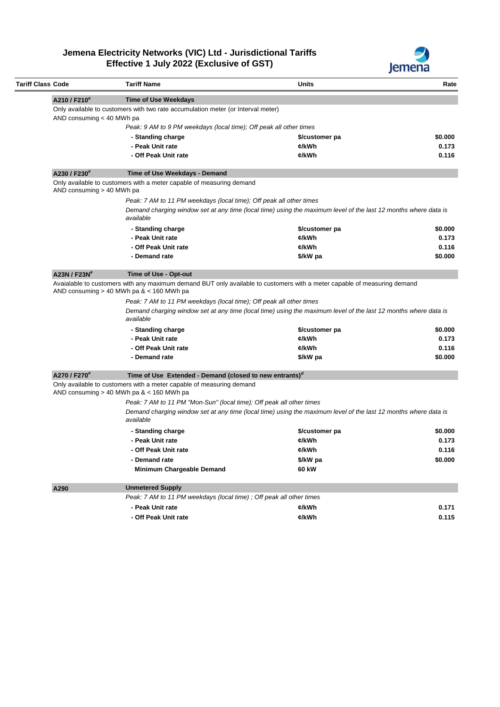

| Tariff Class Code        | <b>Tariff Name</b>                                                                                                                                                                                  | Units                                                                                                           | Rate    |  |  |  |
|--------------------------|-----------------------------------------------------------------------------------------------------------------------------------------------------------------------------------------------------|-----------------------------------------------------------------------------------------------------------------|---------|--|--|--|
| A210 / F210 <sup>a</sup> | <b>Time of Use Weekdays</b>                                                                                                                                                                         |                                                                                                                 |         |  |  |  |
|                          | Only available to customers with two rate accumulation meter (or Interval meter)                                                                                                                    |                                                                                                                 |         |  |  |  |
|                          | AND consuming < 40 MWh pa                                                                                                                                                                           |                                                                                                                 |         |  |  |  |
|                          | Peak: 9 AM to 9 PM weekdays (local time); Off peak all other times                                                                                                                                  |                                                                                                                 |         |  |  |  |
|                          | - Standing charge                                                                                                                                                                                   | \$/customer pa                                                                                                  | \$0.000 |  |  |  |
|                          | - Peak Unit rate                                                                                                                                                                                    | ¢/kWh                                                                                                           | 0.173   |  |  |  |
|                          | - Off Peak Unit rate                                                                                                                                                                                | ¢/kWh                                                                                                           | 0.116   |  |  |  |
| A230 / F230 <sup>ª</sup> | Time of Use Weekdays - Demand                                                                                                                                                                       |                                                                                                                 |         |  |  |  |
|                          | Only available to customers with a meter capable of measuring demand<br>AND consuming > 40 MWh pa                                                                                                   |                                                                                                                 |         |  |  |  |
|                          | Peak: 7 AM to 11 PM weekdays (local time); Off peak all other times                                                                                                                                 |                                                                                                                 |         |  |  |  |
|                          | available                                                                                                                                                                                           | Demand charging window set at any time (local time) using the maximum level of the last 12 months where data is |         |  |  |  |
|                          | - Standing charge                                                                                                                                                                                   | \$/customer pa                                                                                                  | \$0.000 |  |  |  |
|                          | - Peak Unit rate                                                                                                                                                                                    | ¢/kWh                                                                                                           | 0.173   |  |  |  |
|                          | - Off Peak Unit rate                                                                                                                                                                                | ¢/kWh                                                                                                           | 0.116   |  |  |  |
|                          | - Demand rate                                                                                                                                                                                       | \$/kW pa                                                                                                        | \$0.000 |  |  |  |
| A23N / F23N <sup>a</sup> | Time of Use - Opt-out                                                                                                                                                                               |                                                                                                                 |         |  |  |  |
|                          | Peak: 7 AM to 11 PM weekdays (local time); Off peak all other times<br>Demand charging window set at any time (local time) using the maximum level of the last 12 months where data is<br>available |                                                                                                                 |         |  |  |  |
|                          |                                                                                                                                                                                                     |                                                                                                                 |         |  |  |  |
|                          | - Standing charge                                                                                                                                                                                   | \$/customer pa                                                                                                  | \$0.000 |  |  |  |
|                          | - Peak Unit rate                                                                                                                                                                                    | ¢/kWh                                                                                                           | 0.173   |  |  |  |
|                          | - Off Peak Unit rate                                                                                                                                                                                | ¢/kWh                                                                                                           | 0.116   |  |  |  |
|                          | - Demand rate                                                                                                                                                                                       | \$/kW pa                                                                                                        | \$0.000 |  |  |  |
| A270 / F270 <sup>a</sup> | Time of Use Extended - Demand (closed to new entrants) $d$                                                                                                                                          |                                                                                                                 |         |  |  |  |
|                          | Only available to customers with a meter capable of measuring demand<br>AND consuming > 40 MWh pa & < 160 MWh pa                                                                                    |                                                                                                                 |         |  |  |  |
|                          | Peak: 7 AM to 11 PM "Mon-Sun" (local time); Off peak all other times                                                                                                                                |                                                                                                                 |         |  |  |  |
|                          | available                                                                                                                                                                                           | Demand charging window set at any time (local time) using the maximum level of the last 12 months where data is |         |  |  |  |
|                          | - Standing charge                                                                                                                                                                                   | \$/customer pa                                                                                                  | \$0.000 |  |  |  |
|                          | - Peak Unit rate                                                                                                                                                                                    | ¢/kWh                                                                                                           | 0.173   |  |  |  |
|                          | Off Peak Unit rate                                                                                                                                                                                  | ¢/kWh                                                                                                           | 0.116   |  |  |  |
|                          | - Demand rate                                                                                                                                                                                       | \$/kW pa                                                                                                        | \$0.000 |  |  |  |
|                          | Minimum Chargeable Demand                                                                                                                                                                           | 60 kW                                                                                                           |         |  |  |  |
| A290                     | <b>Unmetered Supply</b>                                                                                                                                                                             |                                                                                                                 |         |  |  |  |
|                          | Peak: 7 AM to 11 PM weekdays (local time); Off peak all other times                                                                                                                                 |                                                                                                                 |         |  |  |  |
|                          | - Peak Unit rate                                                                                                                                                                                    | ¢/kWh                                                                                                           | 0.171   |  |  |  |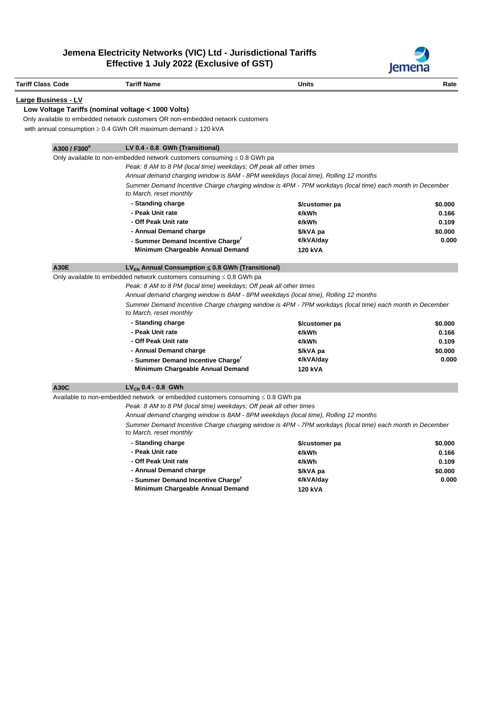

| <b>Tariff Class Code</b>   | <b>Tariff Name</b>                                                                                                                  | Units          | Rate    |  |  |
|----------------------------|-------------------------------------------------------------------------------------------------------------------------------------|----------------|---------|--|--|
| <b>Large Business - LV</b> |                                                                                                                                     |                |         |  |  |
|                            | Low Voltage Tariffs (nominal voltage < 1000 Volts)                                                                                  |                |         |  |  |
|                            | Only available to embedded network customers OR non-embedded network customers                                                      |                |         |  |  |
|                            | with annual consumption $\geq 0.4$ GWh OR maximum demand $\geq 120$ kVA                                                             |                |         |  |  |
|                            |                                                                                                                                     |                |         |  |  |
| A300 / F300 <sup>ª</sup>   | LV 0.4 - 0.8 GWh (Transitional)                                                                                                     |                |         |  |  |
|                            | Only available to non-embedded network customers consuming $\leq 0.8$ GWh pa                                                        |                |         |  |  |
|                            | Peak: 8 AM to 8 PM (local time) weekdays; Off peak all other times                                                                  |                |         |  |  |
|                            | Annual demand charging window is 8AM - 8PM weekdays (local time), Rolling 12 months                                                 |                |         |  |  |
|                            | Summer Demand Incentive Charge charging window is 4PM - 7PM workdays (local time) each month in December<br>to March, reset monthly |                |         |  |  |
|                            | - Standing charge                                                                                                                   | \$/customer pa | \$0.000 |  |  |
|                            | - Peak Unit rate                                                                                                                    | ¢/kWh          | 0.166   |  |  |
|                            | - Off Peak Unit rate                                                                                                                | ¢/kWh          | 0.109   |  |  |
|                            | - Annual Demand charge                                                                                                              | \$/kVA pa      | \$0.000 |  |  |
|                            | - Summer Demand Incentive Charge'                                                                                                   | ¢/kVA/day      | 0.000   |  |  |
|                            | Minimum Chargeable Annual Demand                                                                                                    | <b>120 kVA</b> |         |  |  |
| <b>A30E</b>                | $LV_{EN}$ Annual Consumption $\leq$ 0.8 GWh (Transitional)                                                                          |                |         |  |  |
|                            | Only available to embedded network customers consuming $\leq 0.8$ GWh pa                                                            |                |         |  |  |
|                            | Peak: 8 AM to 8 PM (local time) weekdays; Off peak all other times                                                                  |                |         |  |  |
|                            | Annual demand charging window is 8AM - 8PM weekdays (local time), Rolling 12 months                                                 |                |         |  |  |
|                            | Summer Demand Incentive Charge charging window is 4PM - 7PM workdays (local time) each month in December<br>to March, reset monthly |                |         |  |  |
|                            | - Standing charge                                                                                                                   | \$/customer pa | \$0.000 |  |  |
|                            | - Peak Unit rate                                                                                                                    | ¢/kWh          | 0.166   |  |  |
|                            | - Off Peak Unit rate                                                                                                                | ¢/kWh          | 0.109   |  |  |
|                            | - Annual Demand charge                                                                                                              | \$/kVA pa      | \$0.000 |  |  |
|                            | - Summer Demand Incentive Charge'                                                                                                   | ¢/kVA/day      | 0.000   |  |  |
|                            | Minimum Chargeable Annual Demand                                                                                                    | <b>120 kVA</b> |         |  |  |
| A30C                       | $LV_{CR}$ 0.4 - 0.8 GWh                                                                                                             |                |         |  |  |
|                            | Available to non-embedded network or embedded customers consuming $\leq 0.8$ GWh pa                                                 |                |         |  |  |
|                            | Peak: 8 AM to 8 PM (local time) weekdays; Off peak all other times                                                                  |                |         |  |  |
|                            | Annual demand charging window is 8AM - 8PM weekdays (local time), Rolling 12 months                                                 |                |         |  |  |
|                            | Summer Demand Incentive Charge charging window is 4PM - 7PM workdays (local time) each month in December<br>to March, reset monthly |                |         |  |  |
|                            | - Standing charge                                                                                                                   | \$/customer pa | \$0.000 |  |  |
|                            | - Peak Unit rate                                                                                                                    | ¢/kWh          | 0.166   |  |  |
|                            | - Off Peak Unit rate                                                                                                                | ¢/kWh          | 0.109   |  |  |
|                            | - Annual Demand charge                                                                                                              | \$/kVA pa      | \$0.000 |  |  |
|                            | - Summer Demand Incentive Charge'                                                                                                   | ¢/kVA/day      | 0.000   |  |  |
|                            | Minimum Chargeable Annual Demand                                                                                                    | <b>120 kVA</b> |         |  |  |
|                            |                                                                                                                                     |                |         |  |  |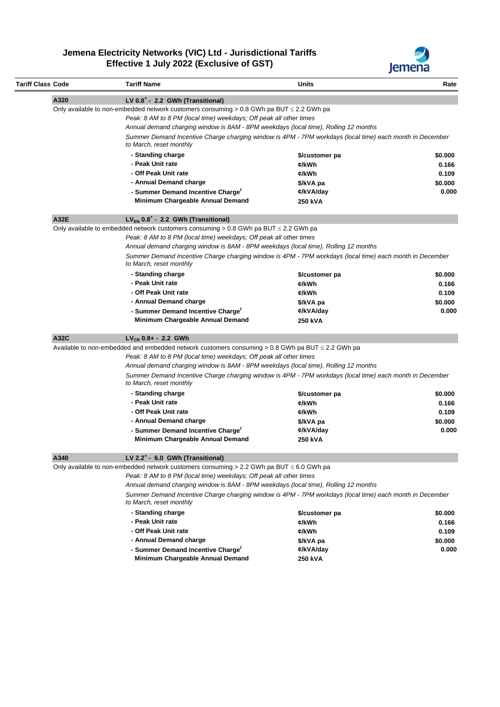

|                                                                                                         | Tariff Class Code                                                  | <b>Tariff Name</b>                                                                                                                              | Units                                                                                                                                                                                           | Rate                                          |  |  |
|---------------------------------------------------------------------------------------------------------|--------------------------------------------------------------------|-------------------------------------------------------------------------------------------------------------------------------------------------|-------------------------------------------------------------------------------------------------------------------------------------------------------------------------------------------------|-----------------------------------------------|--|--|
|                                                                                                         | A320                                                               | LV 0.8 <sup>+</sup> - 2.2 GWh (Transitional)                                                                                                    |                                                                                                                                                                                                 |                                               |  |  |
|                                                                                                         |                                                                    | Only available to non-embedded network customers consuming $> 0.8$ GWh pa BUT $\leq 2.2$ GWh pa                                                 |                                                                                                                                                                                                 |                                               |  |  |
|                                                                                                         |                                                                    | Peak: 8 AM to 8 PM (local time) weekdays; Off peak all other times                                                                              |                                                                                                                                                                                                 |                                               |  |  |
|                                                                                                         |                                                                    | Annual demand charging window is 8AM - 8PM weekdays (local time), Rolling 12 months                                                             |                                                                                                                                                                                                 |                                               |  |  |
|                                                                                                         |                                                                    | Summer Demand Incentive Charge charging window is 4PM - 7PM workdays (local time) each month in December<br>to March, reset monthly             |                                                                                                                                                                                                 |                                               |  |  |
|                                                                                                         |                                                                    | - Standing charge                                                                                                                               | \$/customer pa                                                                                                                                                                                  | \$0.000                                       |  |  |
|                                                                                                         |                                                                    | - Peak Unit rate                                                                                                                                | ¢/kWh                                                                                                                                                                                           | 0.166                                         |  |  |
|                                                                                                         |                                                                    | - Off Peak Unit rate                                                                                                                            | ¢/kWh                                                                                                                                                                                           | 0.109                                         |  |  |
|                                                                                                         |                                                                    | - Annual Demand charge                                                                                                                          | \$/kVA pa                                                                                                                                                                                       | \$0.000                                       |  |  |
|                                                                                                         |                                                                    | - Summer Demand Incentive Charge'                                                                                                               | ¢/kVA/day                                                                                                                                                                                       | 0.000                                         |  |  |
|                                                                                                         |                                                                    | Minimum Chargeable Annual Demand                                                                                                                | 250 kVA                                                                                                                                                                                         |                                               |  |  |
|                                                                                                         | A32E                                                               | $LV_{EN}$ 0.8 <sup>+</sup> - 2.2 GWh (Transitional)                                                                                             |                                                                                                                                                                                                 |                                               |  |  |
|                                                                                                         |                                                                    | Only available to embedded network customers consuming > 0.8 GWh pa BUT ≤ 2.2 GWh pa                                                            |                                                                                                                                                                                                 |                                               |  |  |
|                                                                                                         |                                                                    | Peak: 8 AM to 8 PM (local time) weekdays; Off peak all other times                                                                              |                                                                                                                                                                                                 |                                               |  |  |
|                                                                                                         |                                                                    | Annual demand charging window is 8AM - 8PM weekdays (local time), Rolling 12 months                                                             |                                                                                                                                                                                                 |                                               |  |  |
|                                                                                                         |                                                                    | Summer Demand Incentive Charge charging window is 4PM - 7PM workdays (local time) each month in December<br>to March, reset monthly             |                                                                                                                                                                                                 |                                               |  |  |
|                                                                                                         |                                                                    | - Standing charge                                                                                                                               |                                                                                                                                                                                                 | \$0.000                                       |  |  |
|                                                                                                         |                                                                    | - Peak Unit rate                                                                                                                                | \$/customer pa<br>¢/kWh                                                                                                                                                                         | 0.166                                         |  |  |
|                                                                                                         |                                                                    | - Off Peak Unit rate                                                                                                                            | ¢/kWh                                                                                                                                                                                           | 0.109                                         |  |  |
|                                                                                                         |                                                                    | - Annual Demand charge                                                                                                                          | \$/kVA pa                                                                                                                                                                                       | \$0.000                                       |  |  |
|                                                                                                         |                                                                    | - Summer Demand Incentive Charge'                                                                                                               | ¢/kVA/day                                                                                                                                                                                       | 0.000                                         |  |  |
|                                                                                                         |                                                                    | Minimum Chargeable Annual Demand                                                                                                                | 250 kVA                                                                                                                                                                                         |                                               |  |  |
|                                                                                                         |                                                                    |                                                                                                                                                 |                                                                                                                                                                                                 |                                               |  |  |
|                                                                                                         | A32C                                                               | $LV_{CR}$ 0.8+ - 2.2 GWh                                                                                                                        |                                                                                                                                                                                                 |                                               |  |  |
|                                                                                                         |                                                                    |                                                                                                                                                 |                                                                                                                                                                                                 |                                               |  |  |
| Available to non-embedded and embedded network customers consuming $> 0.8$ GWh pa BUT $\leq$ 2.2 GWh pa |                                                                    |                                                                                                                                                 |                                                                                                                                                                                                 |                                               |  |  |
|                                                                                                         | Peak: 8 AM to 8 PM (local time) weekdays; Off peak all other times |                                                                                                                                                 |                                                                                                                                                                                                 |                                               |  |  |
|                                                                                                         |                                                                    |                                                                                                                                                 | Annual demand charging window is 8AM - 8PM weekdays (local time), Rolling 12 months<br>Summer Demand Incentive Charge charging window is 4PM - 7PM workdays (local time) each month in December |                                               |  |  |
|                                                                                                         |                                                                    |                                                                                                                                                 |                                                                                                                                                                                                 |                                               |  |  |
|                                                                                                         |                                                                    | to March, reset monthly                                                                                                                         |                                                                                                                                                                                                 |                                               |  |  |
|                                                                                                         |                                                                    | - Standing charge                                                                                                                               | \$/customer pa                                                                                                                                                                                  |                                               |  |  |
|                                                                                                         |                                                                    | - Peak Unit rate                                                                                                                                | ¢/kWh                                                                                                                                                                                           |                                               |  |  |
|                                                                                                         |                                                                    | - Off Peak Unit rate                                                                                                                            | ¢/kWh                                                                                                                                                                                           |                                               |  |  |
|                                                                                                         |                                                                    | - Annual Demand charge                                                                                                                          | \$/kVA pa                                                                                                                                                                                       |                                               |  |  |
|                                                                                                         |                                                                    | - Summer Demand Incentive Charge'<br>Minimum Chargeable Annual Demand                                                                           | ¢/kVA/day<br>250 kVA                                                                                                                                                                            |                                               |  |  |
|                                                                                                         |                                                                    |                                                                                                                                                 |                                                                                                                                                                                                 | \$0.000<br>0.166<br>0.109<br>\$0.000<br>0.000 |  |  |
|                                                                                                         | A340                                                               | LV 2.2 <sup>+</sup> - 6.0 GWh (Transitional)<br>Only available to non-embedded network customers consuming $>$ 2.2 GWh pa BUT $\leq$ 6.0 GWh pa |                                                                                                                                                                                                 |                                               |  |  |
|                                                                                                         |                                                                    | Peak: 8 AM to 8 PM (local time) weekdays; Off peak all other times                                                                              |                                                                                                                                                                                                 |                                               |  |  |
|                                                                                                         |                                                                    | Annual demand charging window is 8AM - 8PM weekdays (local time), Rolling 12 months                                                             |                                                                                                                                                                                                 |                                               |  |  |
|                                                                                                         |                                                                    | Summer Demand Incentive Charge charging window is 4PM - 7PM workdays (local time) each month in December<br>to March, reset monthly             |                                                                                                                                                                                                 |                                               |  |  |
|                                                                                                         |                                                                    | - Standing charge                                                                                                                               | \$/customer pa                                                                                                                                                                                  |                                               |  |  |
|                                                                                                         |                                                                    | - Peak Unit rate                                                                                                                                | ¢/kWh                                                                                                                                                                                           | \$0.000<br>0.166                              |  |  |
|                                                                                                         |                                                                    | - Off Peak Unit rate                                                                                                                            | ¢/kWh                                                                                                                                                                                           |                                               |  |  |
|                                                                                                         |                                                                    | - Annual Demand charge                                                                                                                          | \$/kVA pa                                                                                                                                                                                       |                                               |  |  |
|                                                                                                         |                                                                    | - Summer Demand Incentive Charge'                                                                                                               | ¢/kVA/day                                                                                                                                                                                       | 0.109<br>\$0.000<br>0.000                     |  |  |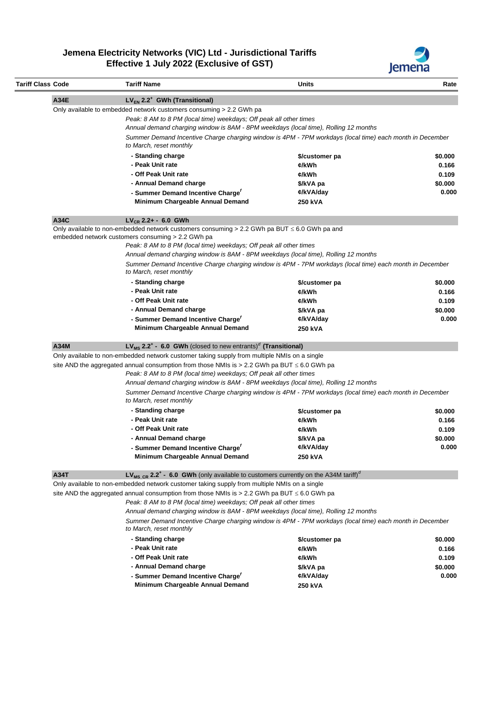

| Tariff Class Code |                                                                                              | <b>Tariff Name</b>                                                                                                                       | Units          | Rate             |  |
|-------------------|----------------------------------------------------------------------------------------------|------------------------------------------------------------------------------------------------------------------------------------------|----------------|------------------|--|
|                   | A34E                                                                                         | $LV_{EN}$ 2.2 <sup>+</sup> GWh (Transitional)                                                                                            |                |                  |  |
|                   | Only available to embedded network customers consuming > 2.2 GWh pa                          |                                                                                                                                          |                |                  |  |
|                   |                                                                                              | Peak: 8 AM to 8 PM (local time) weekdays; Off peak all other times                                                                       |                |                  |  |
|                   |                                                                                              | Annual demand charging window is 8AM - 8PM weekdays (local time), Rolling 12 months                                                      |                |                  |  |
|                   |                                                                                              | Summer Demand Incentive Charge charging window is 4PM - 7PM workdays (local time) each month in December                                 |                |                  |  |
|                   |                                                                                              | to March, reset monthly                                                                                                                  |                |                  |  |
|                   |                                                                                              | - Standing charge                                                                                                                        | \$/customer pa | \$0.000          |  |
|                   |                                                                                              | - Peak Unit rate                                                                                                                         | ¢/kWh          | 0.166            |  |
|                   |                                                                                              | - Off Peak Unit rate                                                                                                                     | ¢/kWh          | 0.109            |  |
|                   |                                                                                              | - Annual Demand charge                                                                                                                   | \$/kVA pa      | \$0.000          |  |
|                   |                                                                                              | - Summer Demand Incentive Charge'                                                                                                        | ¢/kVA/day      | 0.000            |  |
|                   |                                                                                              | Minimum Chargeable Annual Demand                                                                                                         | 250 kVA        |                  |  |
|                   | A34C                                                                                         | $LV_{CR}$ 2.2+ - 6.0 GWh                                                                                                                 |                |                  |  |
|                   |                                                                                              | Only available to non-embedded network customers consuming > 2.2 GWh pa BUT $\leq$ 6.0 GWh pa and                                        |                |                  |  |
|                   |                                                                                              | embedded network customers consuming > 2.2 GWh pa                                                                                        |                |                  |  |
|                   |                                                                                              | Peak: 8 AM to 8 PM (local time) weekdays; Off peak all other times                                                                       |                |                  |  |
|                   |                                                                                              | Annual demand charging window is 8AM - 8PM weekdays (local time), Rolling 12 months                                                      |                |                  |  |
|                   |                                                                                              | Summer Demand Incentive Charge charging window is 4PM - 7PM workdays (local time) each month in December<br>to March, reset monthly      |                |                  |  |
|                   |                                                                                              | - Standing charge                                                                                                                        | \$/customer pa | \$0.000          |  |
|                   |                                                                                              | - Peak Unit rate                                                                                                                         | ¢/kWh          | 0.166            |  |
|                   |                                                                                              | - Off Peak Unit rate                                                                                                                     | ¢/kWh          | 0.109            |  |
|                   |                                                                                              | - Annual Demand charge                                                                                                                   | \$/kVA pa      | \$0.000          |  |
|                   |                                                                                              | - Summer Demand Incentive Charge'                                                                                                        | ¢/kVA/day      | 0.000            |  |
|                   |                                                                                              | Minimum Chargeable Annual Demand                                                                                                         | 250 kVA        |                  |  |
|                   | A34M                                                                                         | $LV_{MS}$ 2.2 <sup>+</sup> - 6.0 GWh (closed to new entrants) <sup>d</sup> (Transitional)                                                |                |                  |  |
|                   |                                                                                              | Only available to non-embedded network customer taking supply from multiple NMIs on a single                                             |                |                  |  |
|                   |                                                                                              | site AND the aggregated annual consumption from those NMIs is $> 2.2$ GWh pa BUT $\leq 6.0$ GWh pa                                       |                |                  |  |
|                   |                                                                                              | Peak: 8 AM to 8 PM (local time) weekdays; Off peak all other times                                                                       |                |                  |  |
|                   |                                                                                              | Annual demand charging window is 8AM - 8PM weekdays (local time), Rolling 12 months                                                      |                |                  |  |
|                   |                                                                                              | Summer Demand Incentive Charge charging window is 4PM - 7PM workdays (local time) each month in December                                 |                |                  |  |
|                   |                                                                                              | to March, reset monthly                                                                                                                  |                |                  |  |
|                   |                                                                                              | - Standing charge                                                                                                                        |                |                  |  |
|                   |                                                                                              | - Peak Unit rate                                                                                                                         | \$/customer pa | \$0.000<br>0.166 |  |
|                   |                                                                                              | - Off Peak Unit rate                                                                                                                     | ¢/kWh          |                  |  |
|                   |                                                                                              |                                                                                                                                          | ¢/kWh          | 0.109            |  |
|                   |                                                                                              | - Annual Demand charge                                                                                                                   | \$/kVA pa      | \$0.000          |  |
|                   |                                                                                              | - Summer Demand Incentive Charge'                                                                                                        | ¢/kVA/day      | 0.000            |  |
|                   |                                                                                              | Minimum Chargeable Annual Demand                                                                                                         | 250 kVA        |                  |  |
|                   | A34T                                                                                         | LV <sub>MS CR</sub> 2.2 <sup>+</sup> - 6.0 GWh (only available to customers currently on the A34M tariff) <sup><math>\sigma</math></sup> |                |                  |  |
|                   | Only available to non-embedded network customer taking supply from multiple NMIs on a single |                                                                                                                                          |                |                  |  |
|                   |                                                                                              | site AND the aggregated annual consumption from those NMIs is $> 2.2$ GWh pa BUT $\leq 6.0$ GWh pa                                       |                |                  |  |
|                   |                                                                                              | Peak: 8 AM to 8 PM (local time) weekdays; Off peak all other times                                                                       |                |                  |  |
|                   |                                                                                              | Annual demand charging window is 8AM - 8PM weekdays (local time), Rolling 12 months                                                      |                |                  |  |
|                   |                                                                                              | Summer Demand Incentive Charge charging window is 4PM - 7PM workdays (local time) each month in December<br>to March, reset monthly      |                |                  |  |
|                   |                                                                                              | - Standing charge                                                                                                                        | \$/customer pa | \$0.000          |  |
|                   |                                                                                              | - Peak Unit rate                                                                                                                         | ¢/kWh          | 0.166            |  |
|                   |                                                                                              | - Off Peak Unit rate                                                                                                                     | ¢/kWh          | 0.109            |  |
|                   |                                                                                              | - Annual Demand charge                                                                                                                   | \$/kVA pa      | \$0.000          |  |
|                   |                                                                                              | - Summer Demand Incentive Charge <sup>f</sup>                                                                                            | ¢/kVA/day      | 0.000            |  |
|                   |                                                                                              | Minimum Chargeable Annual Demand                                                                                                         | 250 kVA        |                  |  |
|                   |                                                                                              |                                                                                                                                          |                |                  |  |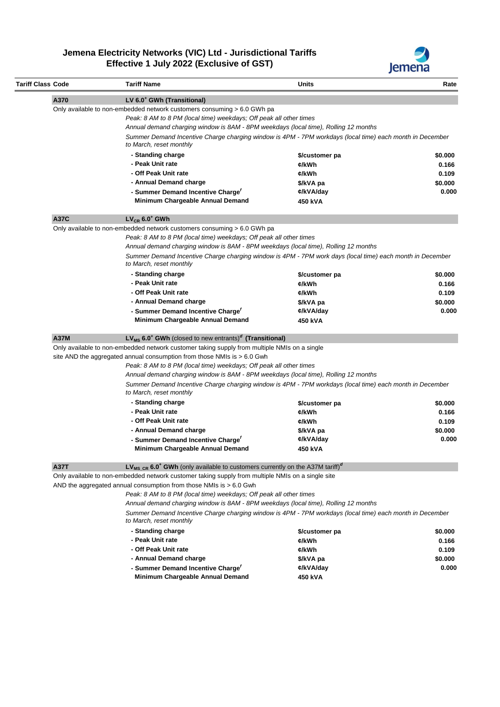

| Tariff Class Code | <b>Tariff Name</b>                                                                                                                                                                                                         | Units                  | Rate             |  |
|-------------------|----------------------------------------------------------------------------------------------------------------------------------------------------------------------------------------------------------------------------|------------------------|------------------|--|
| A370              | LV 6.0 <sup>+</sup> GWh (Transitional)                                                                                                                                                                                     |                        |                  |  |
|                   | Only available to non-embedded network customers consuming > 6.0 GWh pa                                                                                                                                                    |                        |                  |  |
|                   | Peak: 8 AM to 8 PM (local time) weekdays; Off peak all other times<br>Annual demand charging window is 8AM - 8PM weekdays (local time), Rolling 12 months                                                                  |                        |                  |  |
|                   | Summer Demand Incentive Charge charging window is 4PM - 7PM workdays (local time) each month in December<br>to March, reset monthly                                                                                        |                        |                  |  |
|                   | - Standing charge                                                                                                                                                                                                          | \$/customer pa         | \$0.000          |  |
|                   | - Peak Unit rate                                                                                                                                                                                                           | ¢/kWh                  | 0.166            |  |
|                   | - Off Peak Unit rate                                                                                                                                                                                                       | ¢/kWh                  | 0.109            |  |
|                   | - Annual Demand charge                                                                                                                                                                                                     | \$/kVA pa              | \$0.000          |  |
|                   | - Summer Demand Incentive Charge'                                                                                                                                                                                          | ¢/kVA/day              | 0.000            |  |
|                   | Minimum Chargeable Annual Demand                                                                                                                                                                                           | 450 kVA                |                  |  |
| <b>A37C</b>       | $LV_{CR}$ 6.0 <sup>+</sup> GWh                                                                                                                                                                                             |                        |                  |  |
|                   | Only available to non-embedded network customers consuming > 6.0 GWh pa                                                                                                                                                    |                        |                  |  |
|                   | Peak: 8 AM to 8 PM (local time) weekdays; Off peak all other times                                                                                                                                                         |                        |                  |  |
|                   | Annual demand charging window is 8AM - 8PM weekdays (local time), Rolling 12 months                                                                                                                                        |                        |                  |  |
|                   | Summer Demand Incentive Charge charging window is 4PM - 7PM work days (local time) each month in December<br>to March, reset monthly                                                                                       |                        |                  |  |
|                   | - Standing charge                                                                                                                                                                                                          | \$/customer pa         | \$0.000          |  |
|                   | - Peak Unit rate                                                                                                                                                                                                           | ¢/kWh                  | 0.166            |  |
|                   | - Off Peak Unit rate                                                                                                                                                                                                       | ¢/kWh                  | 0.109            |  |
|                   | - Annual Demand charge                                                                                                                                                                                                     | \$/kVA pa              | \$0.000          |  |
|                   | - Summer Demand Incentive Charge'                                                                                                                                                                                          | ¢/kVA/day              | 0.000            |  |
|                   | Minimum Chargeable Annual Demand                                                                                                                                                                                           | 450 kVA                |                  |  |
| A37M              | $LV_{MS}$ 6.0 <sup>+</sup> GWh (closed to new entrants) <sup><math>d</math></sup> (Transitional)                                                                                                                           |                        |                  |  |
|                   | Only available to non-embedded network customer taking supply from multiple NMIs on a single                                                                                                                               |                        |                  |  |
|                   | site AND the aggregated annual consumption from those NMIs is > 6.0 Gwh                                                                                                                                                    |                        |                  |  |
|                   | Peak: 8 AM to 8 PM (local time) weekdays; Off peak all other times                                                                                                                                                         |                        |                  |  |
|                   |                                                                                                                                                                                                                            |                        |                  |  |
|                   | Annual demand charging window is 8AM - 8PM weekdays (local time), Rolling 12 months<br>Summer Demand Incentive Charge charging window is 4PM - 7PM workdays (local time) each month in December                            |                        |                  |  |
|                   | to March, reset monthly                                                                                                                                                                                                    |                        |                  |  |
|                   | - Standing charge                                                                                                                                                                                                          | \$/customer pa         | \$0.000          |  |
|                   | - Peak Unit rate                                                                                                                                                                                                           | ¢/kWh                  | 0.166            |  |
|                   | - Off Peak Unit rate                                                                                                                                                                                                       | ¢/kWh                  | 0.109            |  |
|                   | - Annual Demand charge                                                                                                                                                                                                     | \$/kVA pa              | \$0.000          |  |
|                   | - Summer Demand Incentive Charge'                                                                                                                                                                                          | ¢/kVA/day              |                  |  |
|                   | Minimum Chargeable Annual Demand                                                                                                                                                                                           | 450 kVA                |                  |  |
| <b>A37T</b>       | LV <sub>MS CR</sub> 6.0 <sup>+</sup> GWh (only available to customers currently on the A37M tariff) <sup>d</sup>                                                                                                           |                        | 0.000            |  |
|                   | Only available to non-embedded network customer taking supply from multiple NMIs on a single site                                                                                                                          |                        |                  |  |
|                   | AND the aggregated annual consumption from those NMIs is $> 6.0$ Gwh<br>Peak: 8 AM to 8 PM (local time) weekdays; Off peak all other times                                                                                 |                        |                  |  |
|                   |                                                                                                                                                                                                                            |                        |                  |  |
|                   | Annual demand charging window is 8AM - 8PM weekdays (local time), Rolling 12 months<br>Summer Demand Incentive Charge charging window is 4PM - 7PM workdays (local time) each month in December<br>to March, reset monthly |                        |                  |  |
|                   | - Standing charge                                                                                                                                                                                                          |                        | \$0.000          |  |
|                   | - Peak Unit rate                                                                                                                                                                                                           | \$/customer pa         | 0.166            |  |
|                   | - Off Peak Unit rate                                                                                                                                                                                                       | ¢/kWh<br>¢/kWh         | 0.109            |  |
|                   |                                                                                                                                                                                                                            |                        |                  |  |
|                   | - Annual Demand charge<br>- Summer Demand Incentive Charge'                                                                                                                                                                | \$/kVA pa<br>¢/kVA/day | \$0.000<br>0.000 |  |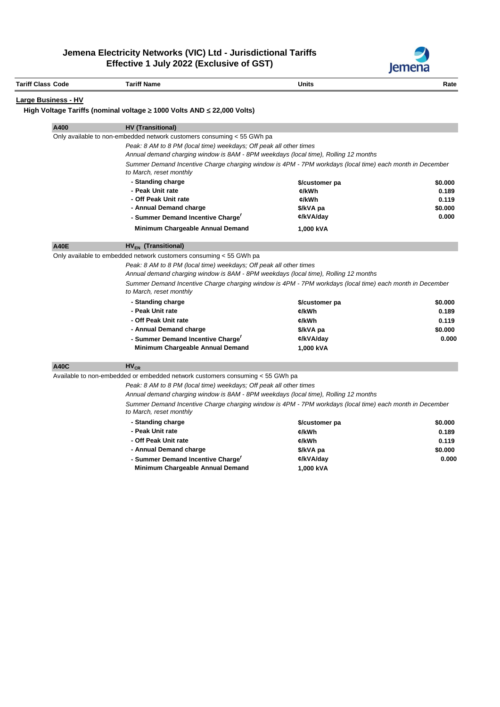

|                          |             |                                                                                                                                                           |                | <b>JEHIEH</b> |  |
|--------------------------|-------------|-----------------------------------------------------------------------------------------------------------------------------------------------------------|----------------|---------------|--|
| <b>Tariff Class Code</b> |             | <b>Tariff Name</b>                                                                                                                                        | <b>Units</b>   | Rate          |  |
| Large Business - HV      |             |                                                                                                                                                           |                |               |  |
|                          |             | High Voltage Tariffs (nominal voltage ≥ 1000 Volts AND ≤ 22,000 Volts)                                                                                    |                |               |  |
|                          | A400        | <b>HV (Transitional)</b>                                                                                                                                  |                |               |  |
|                          |             | Only available to non-embedded network customers consuming < 55 GWh pa                                                                                    |                |               |  |
|                          |             | Peak: 8 AM to 8 PM (local time) weekdays; Off peak all other times                                                                                        |                |               |  |
|                          |             | Annual demand charging window is 8AM - 8PM weekdays (local time), Rolling 12 months                                                                       |                |               |  |
|                          |             | Summer Demand Incentive Charge charging window is 4PM - 7PM workdays (local time) each month in December<br>to March, reset monthly                       |                |               |  |
|                          |             | - Standing charge                                                                                                                                         | \$/customer pa | \$0.000       |  |
|                          |             | - Peak Unit rate                                                                                                                                          | ¢/kWh          | 0.189         |  |
|                          |             | - Off Peak Unit rate                                                                                                                                      | ¢/kWh          | 0.119         |  |
|                          |             | - Annual Demand charge                                                                                                                                    | \$/kVA pa      | \$0.000       |  |
|                          |             | - Summer Demand Incentive Charge'                                                                                                                         | ¢/kVA/day      | 0.000         |  |
|                          |             | Minimum Chargeable Annual Demand                                                                                                                          | 1,000 kVA      |               |  |
|                          | <b>A40E</b> | $HV_{FN}$ (Transitional)                                                                                                                                  |                |               |  |
|                          |             | Only available to embedded network customers consuming < 55 GWh pa                                                                                        |                |               |  |
|                          |             | Peak: 8 AM to 8 PM (local time) weekdays; Off peak all other times                                                                                        |                |               |  |
|                          |             | Annual demand charging window is 8AM - 8PM weekdays (local time), Rolling 12 months                                                                       |                |               |  |
|                          |             | Summer Demand Incentive Charge charging window is 4PM - 7PM workdays (local time) each month in December<br>to March, reset monthly                       |                |               |  |
|                          |             | - Standing charge                                                                                                                                         | \$/customer pa | \$0.000       |  |
|                          |             | - Peak Unit rate                                                                                                                                          | ¢/kWh          | 0.189         |  |
|                          |             | - Off Peak Unit rate                                                                                                                                      | ¢/kWh          | 0.119         |  |
|                          |             | - Annual Demand charge                                                                                                                                    | \$/kVA pa      | \$0.000       |  |
|                          |             | - Summer Demand Incentive Charge <sup>f</sup>                                                                                                             | ¢/kVA/day      | 0.000         |  |
|                          |             | Minimum Chargeable Annual Demand                                                                                                                          | 1,000 kVA      |               |  |
|                          | <b>A40C</b> | $HV_{CR}$                                                                                                                                                 |                |               |  |
|                          |             | Available to non-embedded or embedded network customers consuming < 55 GWh pa                                                                             |                |               |  |
|                          |             | Peak: 8 AM to 8 PM (local time) weekdays; Off peak all other times<br>Annual demand charging window is 8AM - 8PM weekdays (local time), Rolling 12 months |                |               |  |
|                          |             | Summer Demand Incentive Charge charging window is 4PM - 7PM workdays (local time) each month in December<br>to March, reset monthly                       |                |               |  |

| - Standing charge                 | \$/customer pa | \$0,000 |
|-----------------------------------|----------------|---------|
| - Peak Unit rate                  | ¢/kWh          | 0.189   |
| - Off Peak Unit rate              | ¢/kWh          | 0.119   |
| - Annual Demand charge            | \$/kVA pa      | \$0,000 |
| - Summer Demand Incentive Charge' | ¢/kVA/day      | 0.000   |
| Minimum Chargeable Annual Demand  | 1,000 kVA      |         |
|                                   |                |         |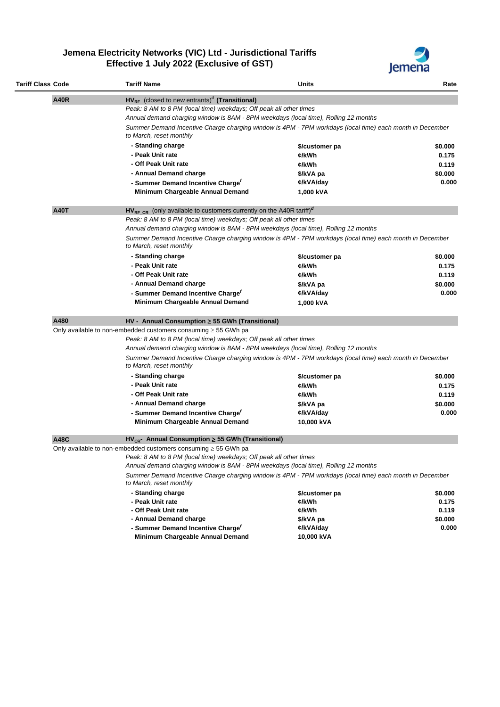

| Tariff Class Code | <b>Tariff Name</b>                                                                                                                  | Units                                                              | Rate                                          |  |  |  |
|-------------------|-------------------------------------------------------------------------------------------------------------------------------------|--------------------------------------------------------------------|-----------------------------------------------|--|--|--|
| <b>A40R</b>       | $H V_{RF}$ (closed to new entrants) <sup>d</sup> (Transitional)                                                                     |                                                                    |                                               |  |  |  |
|                   |                                                                                                                                     | Peak: 8 AM to 8 PM (local time) weekdays; Off peak all other times |                                               |  |  |  |
|                   | Annual demand charging window is 8AM - 8PM weekdays (local time), Rolling 12 months                                                 |                                                                    |                                               |  |  |  |
|                   | Summer Demand Incentive Charge charging window is 4PM - 7PM workdays (local time) each month in December                            |                                                                    |                                               |  |  |  |
|                   | to March, reset monthly                                                                                                             |                                                                    |                                               |  |  |  |
|                   | - Standing charge                                                                                                                   | \$/customer pa                                                     | \$0.000                                       |  |  |  |
|                   | - Peak Unit rate                                                                                                                    | ¢/kWh                                                              | 0.175                                         |  |  |  |
|                   | - Off Peak Unit rate                                                                                                                | ¢/kWh                                                              | 0.119                                         |  |  |  |
|                   | - Annual Demand charge                                                                                                              | \$/kVA pa                                                          | \$0.000                                       |  |  |  |
|                   | - Summer Demand Incentive Charge'                                                                                                   | ¢/kVA/day                                                          | 0.000                                         |  |  |  |
|                   | Minimum Chargeable Annual Demand                                                                                                    | 1,000 kVA                                                          |                                               |  |  |  |
| <b>A40T</b>       | $HV_{RF}$ cR (only available to customers currently on the A40R tariff) <sup>d</sup>                                                |                                                                    |                                               |  |  |  |
|                   | Peak: 8 AM to 8 PM (local time) weekdays; Off peak all other times                                                                  |                                                                    |                                               |  |  |  |
|                   | Annual demand charging window is 8AM - 8PM weekdays (local time), Rolling 12 months                                                 |                                                                    |                                               |  |  |  |
|                   | Summer Demand Incentive Charge charging window is 4PM - 7PM workdays (local time) each month in December<br>to March, reset monthly |                                                                    |                                               |  |  |  |
|                   | - Standing charge                                                                                                                   | \$/customer pa                                                     | \$0.000                                       |  |  |  |
|                   | - Peak Unit rate                                                                                                                    | ¢/kWh                                                              | 0.175                                         |  |  |  |
|                   | - Off Peak Unit rate                                                                                                                | ¢/kWh                                                              | 0.119                                         |  |  |  |
|                   | - Annual Demand charge                                                                                                              | \$/kVA pa                                                          | \$0.000                                       |  |  |  |
|                   | - Summer Demand Incentive Charge'                                                                                                   | ¢/kVA/day                                                          | 0.000                                         |  |  |  |
|                   | Minimum Chargeable Annual Demand                                                                                                    | 1,000 kVA                                                          |                                               |  |  |  |
| A480              | HV - Annual Consumption ≥ 55 GWh (Transitional)                                                                                     |                                                                    |                                               |  |  |  |
|                   | Only available to non-embedded customers consuming $\geq$ 55 GWh pa                                                                 |                                                                    |                                               |  |  |  |
|                   |                                                                                                                                     |                                                                    |                                               |  |  |  |
|                   |                                                                                                                                     |                                                                    |                                               |  |  |  |
|                   | Peak: 8 AM to 8 PM (local time) weekdays; Off peak all other times                                                                  |                                                                    |                                               |  |  |  |
|                   | Annual demand charging window is 8AM - 8PM weekdays (local time), Rolling 12 months                                                 |                                                                    |                                               |  |  |  |
|                   | Summer Demand Incentive Charge charging window is 4PM - 7PM workdays (local time) each month in December                            |                                                                    |                                               |  |  |  |
|                   | to March, reset monthly                                                                                                             |                                                                    |                                               |  |  |  |
|                   | - Standing charge                                                                                                                   | \$/customer pa                                                     |                                               |  |  |  |
|                   | - Peak Unit rate                                                                                                                    | ¢/kWh                                                              |                                               |  |  |  |
|                   | - Off Peak Unit rate                                                                                                                | ¢/kWh                                                              |                                               |  |  |  |
|                   | - Annual Demand charge                                                                                                              | \$/kVA pa                                                          | \$0.000<br>0.175<br>0.119<br>\$0.000          |  |  |  |
|                   | - Summer Demand Incentive Charge'                                                                                                   | ¢/kVA/day                                                          |                                               |  |  |  |
|                   | Minimum Chargeable Annual Demand                                                                                                    | 10,000 kVA                                                         |                                               |  |  |  |
| A48C              | $\mathsf{HV}_{\mathsf{CR}}$ - Annual Consumption $\geq 55$ GWh (Transitional)                                                       |                                                                    | 0.000                                         |  |  |  |
|                   | Only available to non-embedded customers consuming $\geq$ 55 GWh pa                                                                 |                                                                    |                                               |  |  |  |
|                   | Peak: 8 AM to 8 PM (local time) weekdays; Off peak all other times                                                                  |                                                                    |                                               |  |  |  |
|                   | Annual demand charging window is 8AM - 8PM weekdays (local time), Rolling 12 months                                                 |                                                                    |                                               |  |  |  |
|                   | Summer Demand Incentive Charge charging window is 4PM - 7PM workdays (local time) each month in December<br>to March, reset monthly |                                                                    |                                               |  |  |  |
|                   | - Standing charge                                                                                                                   | \$/customer pa                                                     |                                               |  |  |  |
|                   | - Peak Unit rate                                                                                                                    | ¢/kWh                                                              |                                               |  |  |  |
|                   | - Off Peak Unit rate                                                                                                                | ¢/kWh                                                              |                                               |  |  |  |
|                   | - Annual Demand charge                                                                                                              | \$/kVA pa                                                          |                                               |  |  |  |
|                   | - Summer Demand Incentive Charge <sup>f</sup><br>Minimum Chargeable Annual Demand                                                   | ¢/kVA/day<br>10,000 kVA                                            | \$0.000<br>0.175<br>0.119<br>\$0.000<br>0.000 |  |  |  |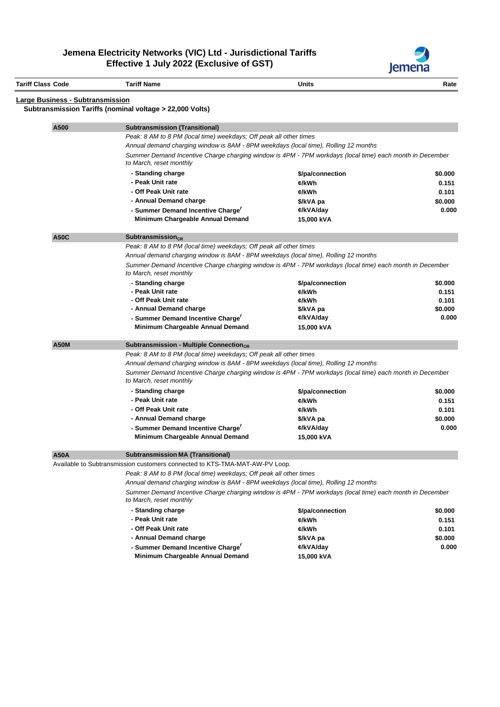

| Tariff Class Code                       | <b>Tariff Name</b>                                                                                                                                        | <b>Units</b>                                                       | Rate             |  |  |
|-----------------------------------------|-----------------------------------------------------------------------------------------------------------------------------------------------------------|--------------------------------------------------------------------|------------------|--|--|
| <b>Large Business - Subtransmission</b> | Subtransmission Tariffs (nominal voltage > 22,000 Volts)                                                                                                  |                                                                    |                  |  |  |
|                                         |                                                                                                                                                           |                                                                    |                  |  |  |
| A500                                    | <b>Subtransmission (Transitional)</b>                                                                                                                     |                                                                    |                  |  |  |
|                                         | Peak: 8 AM to 8 PM (local time) weekdays; Off peak all other times<br>Annual demand charging window is 8AM - 8PM weekdays (local time), Rolling 12 months |                                                                    |                  |  |  |
|                                         | Summer Demand Incentive Charge charging window is 4PM - 7PM workdays (local time) each month in December                                                  |                                                                    |                  |  |  |
|                                         | to March, reset monthly                                                                                                                                   |                                                                    |                  |  |  |
|                                         | - Standing charge                                                                                                                                         | \$/pa/connection                                                   | \$0.000          |  |  |
|                                         | - Peak Unit rate                                                                                                                                          | ¢/kWh                                                              | 0.151            |  |  |
|                                         | - Off Peak Unit rate                                                                                                                                      | ¢/kWh                                                              | 0.101            |  |  |
|                                         | - Annual Demand charge                                                                                                                                    | \$/kVA pa                                                          | \$0.000          |  |  |
|                                         | - Summer Demand Incentive Charge'                                                                                                                         | ¢/kVA/day                                                          | 0.000            |  |  |
|                                         | Minimum Chargeable Annual Demand                                                                                                                          | 15,000 kVA                                                         |                  |  |  |
| <b>A50C</b>                             | Subtransmission $_{CR}$                                                                                                                                   |                                                                    |                  |  |  |
|                                         | Peak: 8 AM to 8 PM (local time) weekdays; Off peak all other times                                                                                        |                                                                    |                  |  |  |
|                                         | Annual demand charging window is 8AM - 8PM weekdays (local time), Rolling 12 months                                                                       |                                                                    |                  |  |  |
|                                         | Summer Demand Incentive Charge charging window is 4PM - 7PM workdays (local time) each month in December<br>to March, reset monthly                       |                                                                    |                  |  |  |
|                                         | - Standing charge                                                                                                                                         | \$/pa/connection                                                   | \$0.000          |  |  |
|                                         | - Peak Unit rate                                                                                                                                          | ¢/kWh                                                              | 0.151            |  |  |
|                                         | - Off Peak Unit rate                                                                                                                                      | ¢/kWh                                                              | 0.101            |  |  |
|                                         | - Annual Demand charge<br>- Summer Demand Incentive Charge'                                                                                               | \$/kVA pa<br>¢/kVA/day                                             | \$0.000<br>0.000 |  |  |
|                                         | Minimum Chargeable Annual Demand                                                                                                                          | 15,000 kVA                                                         |                  |  |  |
| <b>A50M</b>                             | Subtransmission - Multiple Connection <sub>CR</sub>                                                                                                       |                                                                    |                  |  |  |
|                                         | Peak: 8 AM to 8 PM (local time) weekdays; Off peak all other times                                                                                        |                                                                    |                  |  |  |
|                                         | Annual demand charging window is 8AM - 8PM weekdays (local time), Rolling 12 months                                                                       |                                                                    |                  |  |  |
|                                         | Summer Demand Incentive Charge charging window is 4PM - 7PM workdays (local time) each month in December<br>to March, reset monthly                       |                                                                    |                  |  |  |
|                                         | - Standing charge                                                                                                                                         | \$/pa/connection                                                   | \$0.000          |  |  |
|                                         | - Peak Unit rate                                                                                                                                          | ¢/kWh                                                              | 0.151            |  |  |
|                                         | - Off Peak Unit rate                                                                                                                                      | ¢/kWh                                                              | 0.101            |  |  |
|                                         | - Annual Demand charge                                                                                                                                    | \$/kVA pa                                                          | \$0.000          |  |  |
|                                         | - Summer Demand Incentive Charge'                                                                                                                         | ¢/kVA/day                                                          | 0.000            |  |  |
|                                         | Minimum Chargeable Annual Demand                                                                                                                          | 15,000 kVA                                                         |                  |  |  |
| <b>A50A</b>                             | <b>Subtransmission MA (Transitional)</b>                                                                                                                  |                                                                    |                  |  |  |
|                                         | Available to Subtransmission customers connected to KTS-TMA-MAT-AW-PV Loop.                                                                               |                                                                    |                  |  |  |
|                                         |                                                                                                                                                           | Peak: 8 AM to 8 PM (local time) weekdays; Off peak all other times |                  |  |  |
|                                         | Annual demand charging window is 8AM - 8PM weekdays (local time), Rolling 12 months                                                                       |                                                                    |                  |  |  |
|                                         | Summer Demand Incentive Charge charging window is 4PM - 7PM workdays (local time) each month in December<br>to March, reset monthly                       |                                                                    |                  |  |  |
|                                         | - Standing charge                                                                                                                                         | \$/pa/connection                                                   | \$0.000          |  |  |
|                                         | - Peak Unit rate                                                                                                                                          | ¢/kWh                                                              | 0.151            |  |  |
|                                         | - Off Peak Unit rate                                                                                                                                      | ¢/kWh                                                              | 0.101            |  |  |
|                                         | - Annual Demand charge                                                                                                                                    | \$/kVA pa                                                          | \$0.000          |  |  |
|                                         | - Summer Demand Incentive Charge'                                                                                                                         | ¢/kVA/day                                                          | 0.000            |  |  |
|                                         | Minimum Chargeable Annual Demand                                                                                                                          | 15,000 kVA                                                         |                  |  |  |